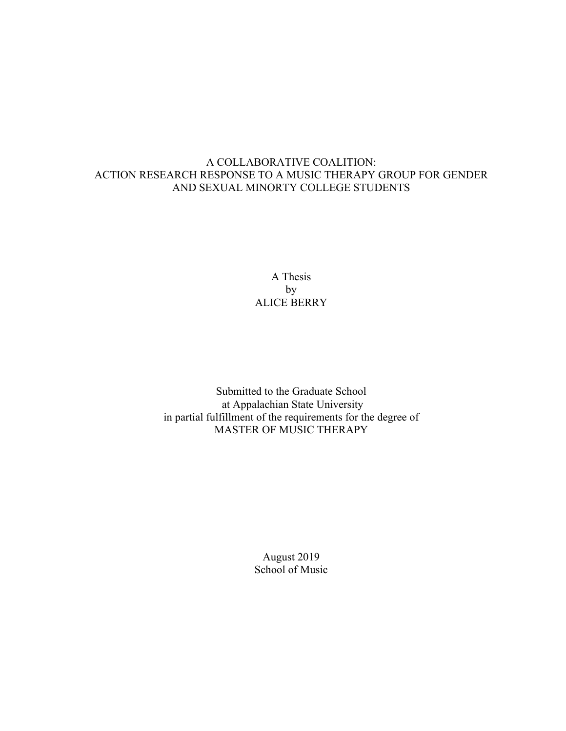# A COLLABORATIVE COALITION: ACTION RESEARCH RESPONSE TO A MUSIC THERAPY GROUP FOR GENDER AND SEXUAL MINORTY COLLEGE STUDENTS

A Thesis by ALICE BERRY

Submitted to the Graduate School at Appalachian State University in partial fulfillment of the requirements for the degree of MASTER OF MUSIC THERAPY

> August 2019 School of Music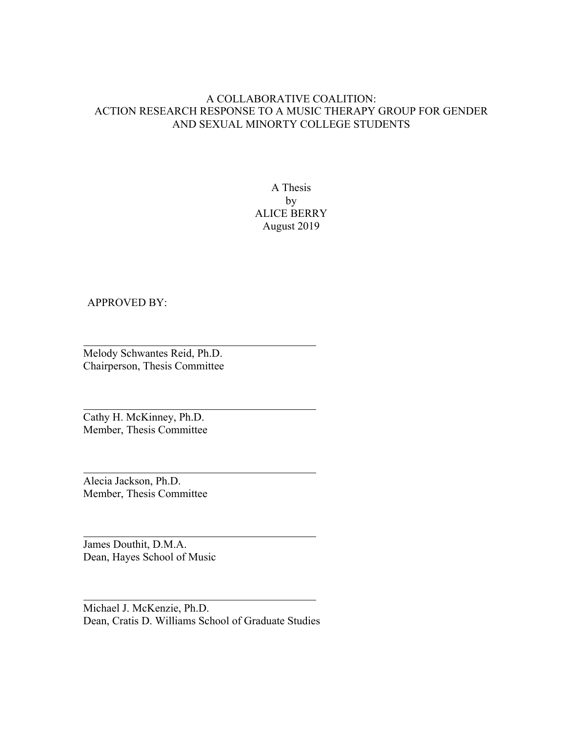# A COLLABORATIVE COALITION: ACTION RESEARCH RESPONSE TO A MUSIC THERAPY GROUP FOR GENDER AND SEXUAL MINORTY COLLEGE STUDENTS

A Thesis by ALICE BERRY August 2019

## APPROVED BY:

Melody Schwantes Reid, Ph.D. Chairperson, Thesis Committee

Cathy H. McKinney, Ph.D. Member, Thesis Committee

Alecia Jackson, Ph.D. Member, Thesis Committee

James Douthit, D.M.A. Dean, Hayes School of Music

Michael J. McKenzie, Ph.D. Dean, Cratis D. Williams School of Graduate Studies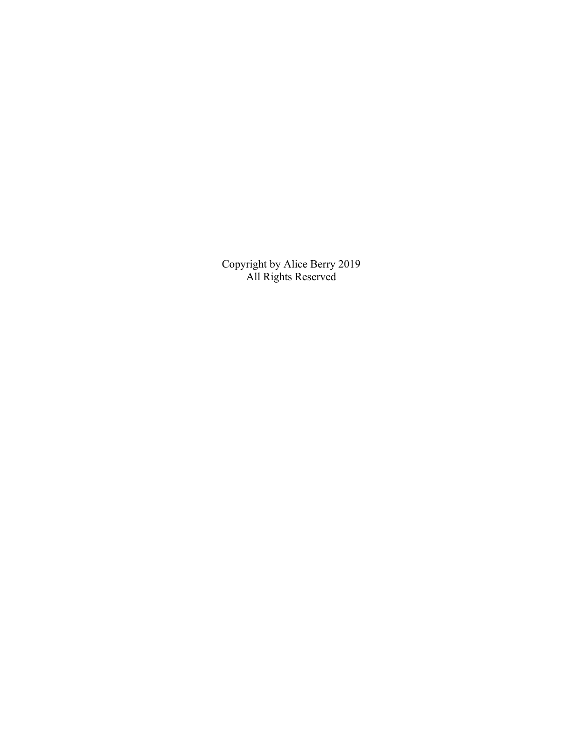Copyright by Alice Berry 2019 All Rights Reserved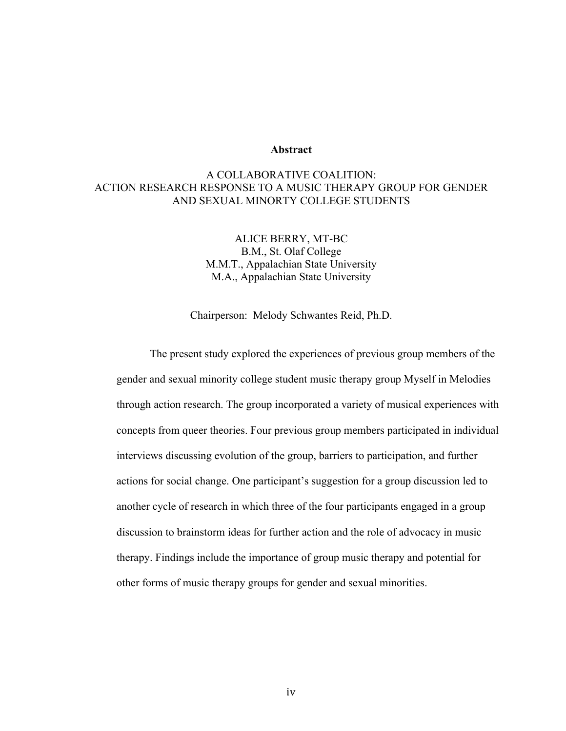#### **Abstract**

# A COLLABORATIVE COALITION: ACTION RESEARCH RESPONSE TO A MUSIC THERAPY GROUP FOR GENDER AND SEXUAL MINORTY COLLEGE STUDENTS

ALICE BERRY, MT-BC B.M., St. Olaf College M.M.T., Appalachian State University M.A., Appalachian State University

Chairperson: Melody Schwantes Reid, Ph.D.

The present study explored the experiences of previous group members of the gender and sexual minority college student music therapy group Myself in Melodies through action research. The group incorporated a variety of musical experiences with concepts from queer theories. Four previous group members participated in individual interviews discussing evolution of the group, barriers to participation, and further actions for social change. One participant's suggestion for a group discussion led to another cycle of research in which three of the four participants engaged in a group discussion to brainstorm ideas for further action and the role of advocacy in music therapy. Findings include the importance of group music therapy and potential for other forms of music therapy groups for gender and sexual minorities.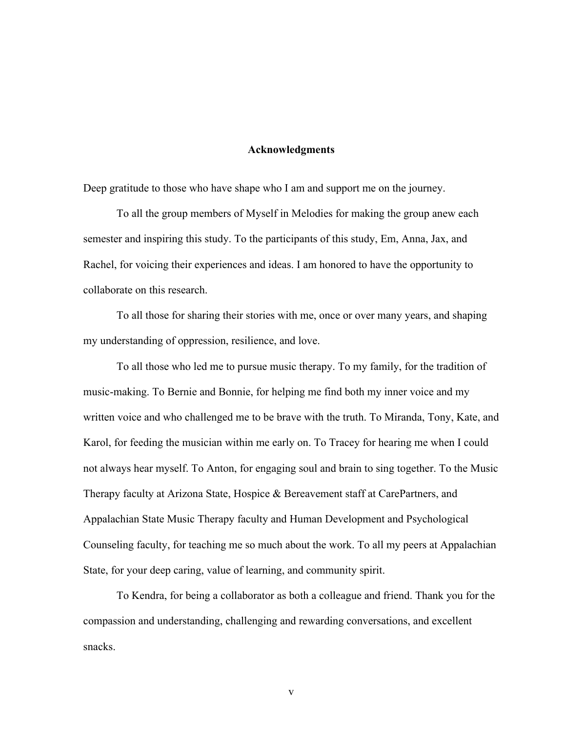## **Acknowledgments**

Deep gratitude to those who have shape who I am and support me on the journey.

To all the group members of Myself in Melodies for making the group anew each semester and inspiring this study. To the participants of this study, Em, Anna, Jax, and Rachel, for voicing their experiences and ideas. I am honored to have the opportunity to collaborate on this research.

To all those for sharing their stories with me, once or over many years, and shaping my understanding of oppression, resilience, and love.

To all those who led me to pursue music therapy. To my family, for the tradition of music-making. To Bernie and Bonnie, for helping me find both my inner voice and my written voice and who challenged me to be brave with the truth. To Miranda, Tony, Kate, and Karol, for feeding the musician within me early on. To Tracey for hearing me when I could not always hear myself. To Anton, for engaging soul and brain to sing together. To the Music Therapy faculty at Arizona State, Hospice & Bereavement staff at CarePartners, and Appalachian State Music Therapy faculty and Human Development and Psychological Counseling faculty, for teaching me so much about the work. To all my peers at Appalachian State, for your deep caring, value of learning, and community spirit.

To Kendra, for being a collaborator as both a colleague and friend. Thank you for the compassion and understanding, challenging and rewarding conversations, and excellent snacks.

v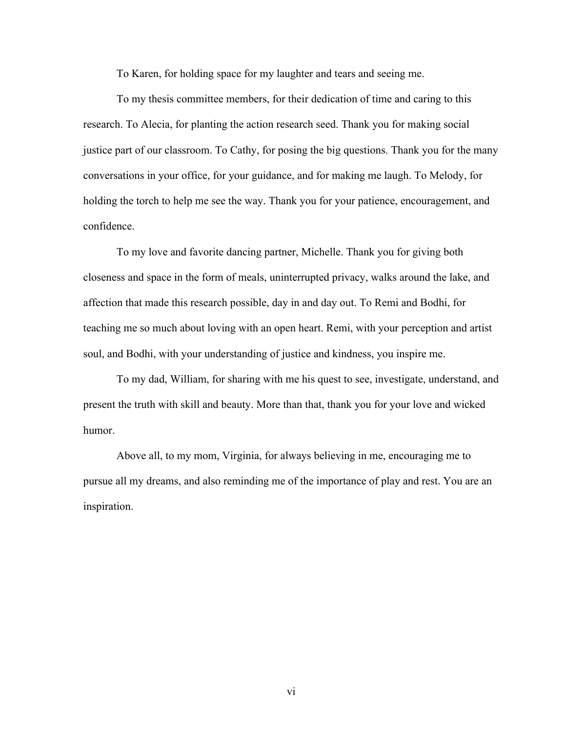To Karen, for holding space for my laughter and tears and seeing me.

To my thesis committee members, for their dedication of time and caring to this research. To Alecia, for planting the action research seed. Thank you for making social justice part of our classroom. To Cathy, for posing the big questions. Thank you for the many conversations in your office, for your guidance, and for making me laugh. To Melody, for holding the torch to help me see the way. Thank you for your patience, encouragement, and confidence.

To my love and favorite dancing partner, Michelle. Thank you for giving both closeness and space in the form of meals, uninterrupted privacy, walks around the lake, and affection that made this research possible, day in and day out. To Remi and Bodhi, for teaching me so much about loving with an open heart. Remi, with your perception and artist soul, and Bodhi, with your understanding of justice and kindness, you inspire me.

To my dad, William, for sharing with me his quest to see, investigate, understand, and present the truth with skill and beauty. More than that, thank you for your love and wicked humor.

Above all, to my mom, Virginia, for always believing in me, encouraging me to pursue all my dreams, and also reminding me of the importance of play and rest. You are an inspiration.

vi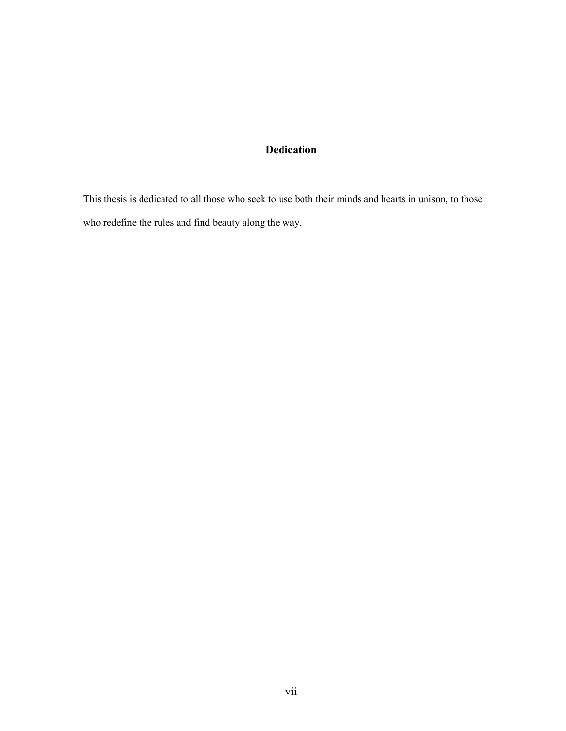# **Dedication**

This thesis is dedicated to all those who seek to use both their minds and hearts in unison, to those who redefine the rules and find beauty along the way.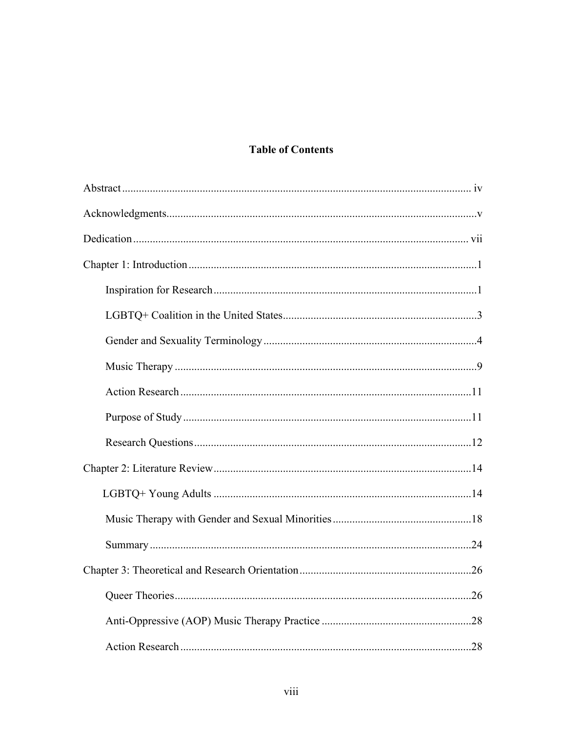# **Table of Contents**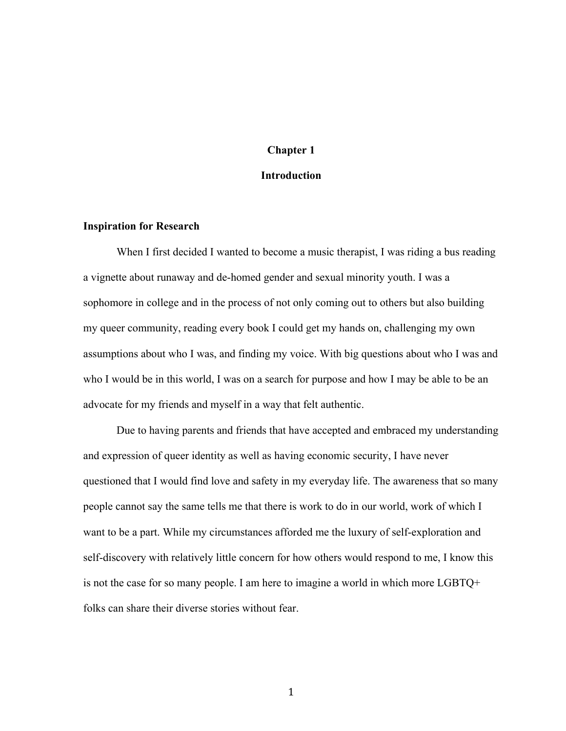## **Chapter 1**

#### **Introduction**

#### **Inspiration for Research**

When I first decided I wanted to become a music therapist, I was riding a bus reading a vignette about runaway and de-homed gender and sexual minority youth. I was a sophomore in college and in the process of not only coming out to others but also building my queer community, reading every book I could get my hands on, challenging my own assumptions about who I was, and finding my voice. With big questions about who I was and who I would be in this world, I was on a search for purpose and how I may be able to be an advocate for my friends and myself in a way that felt authentic.

Due to having parents and friends that have accepted and embraced my understanding and expression of queer identity as well as having economic security, I have never questioned that I would find love and safety in my everyday life. The awareness that so many people cannot say the same tells me that there is work to do in our world, work of which I want to be a part. While my circumstances afforded me the luxury of self-exploration and self-discovery with relatively little concern for how others would respond to me, I know this is not the case for so many people. I am here to imagine a world in which more LGBTQ+ folks can share their diverse stories without fear.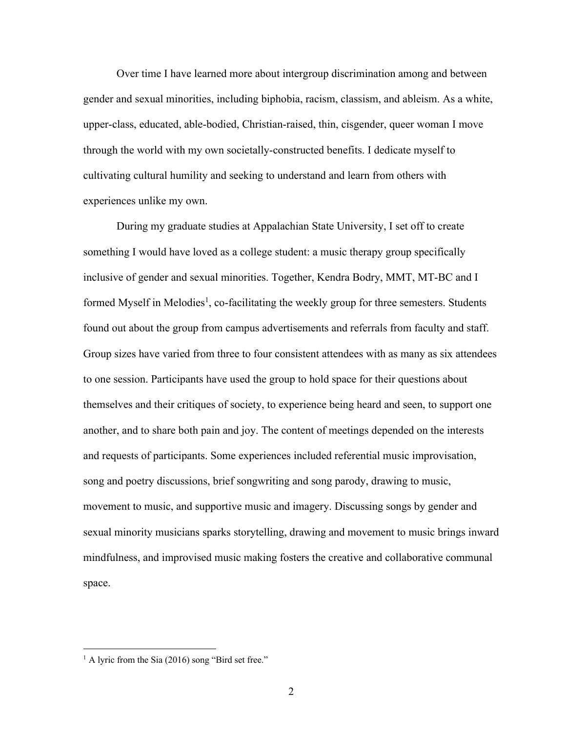Over time I have learned more about intergroup discrimination among and between gender and sexual minorities, including biphobia, racism, classism, and ableism. As a white, upper-class, educated, able-bodied, Christian-raised, thin, cisgender, queer woman I move through the world with my own societally-constructed benefits. I dedicate myself to cultivating cultural humility and seeking to understand and learn from others with experiences unlike my own.

During my graduate studies at Appalachian State University, I set off to create something I would have loved as a college student: a music therapy group specifically inclusive of gender and sexual minorities. Together, Kendra Bodry, MMT, MT-BC and I formed Myself in Melodies<sup>1</sup>, co-facilitating the weekly group for three semesters. Students found out about the group from campus advertisements and referrals from faculty and staff. Group sizes have varied from three to four consistent attendees with as many as six attendees to one session. Participants have used the group to hold space for their questions about themselves and their critiques of society, to experience being heard and seen, to support one another, and to share both pain and joy. The content of meetings depended on the interests and requests of participants. Some experiences included referential music improvisation, song and poetry discussions, brief songwriting and song parody, drawing to music, movement to music, and supportive music and imagery. Discussing songs by gender and sexual minority musicians sparks storytelling, drawing and movement to music brings inward mindfulness, and improvised music making fosters the creative and collaborative communal space.

 $<sup>1</sup>$  A lyric from the Sia (2016) song "Bird set free."</sup>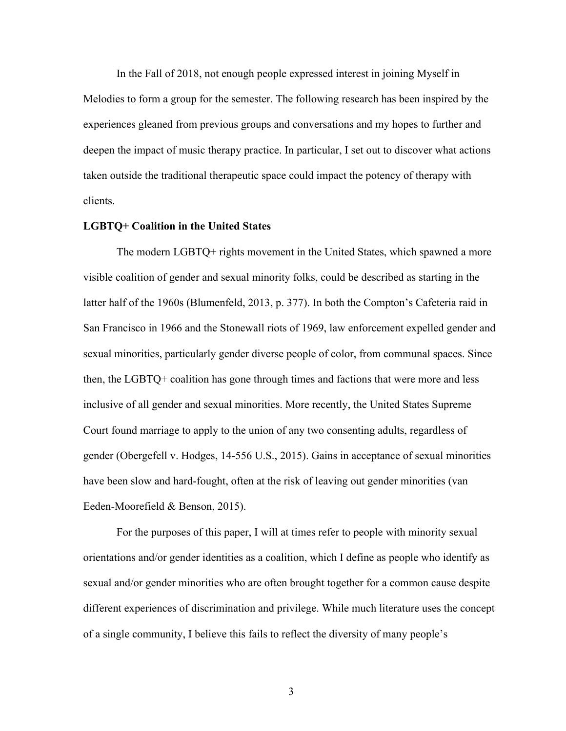In the Fall of 2018, not enough people expressed interest in joining Myself in Melodies to form a group for the semester. The following research has been inspired by the experiences gleaned from previous groups and conversations and my hopes to further and deepen the impact of music therapy practice. In particular, I set out to discover what actions taken outside the traditional therapeutic space could impact the potency of therapy with clients.

#### **LGBTQ+ Coalition in the United States**

The modern LGBTQ+ rights movement in the United States, which spawned a more visible coalition of gender and sexual minority folks, could be described as starting in the latter half of the 1960s (Blumenfeld, 2013, p. 377). In both the Compton's Cafeteria raid in San Francisco in 1966 and the Stonewall riots of 1969, law enforcement expelled gender and sexual minorities, particularly gender diverse people of color, from communal spaces. Since then, the LGBTQ+ coalition has gone through times and factions that were more and less inclusive of all gender and sexual minorities. More recently, the United States Supreme Court found marriage to apply to the union of any two consenting adults, regardless of gender (Obergefell v. Hodges, 14-556 U.S., 2015). Gains in acceptance of sexual minorities have been slow and hard-fought, often at the risk of leaving out gender minorities (van Eeden-Moorefield & Benson, 2015).

For the purposes of this paper, I will at times refer to people with minority sexual orientations and/or gender identities as a coalition, which I define as people who identify as sexual and/or gender minorities who are often brought together for a common cause despite different experiences of discrimination and privilege. While much literature uses the concept of a single community, I believe this fails to reflect the diversity of many people's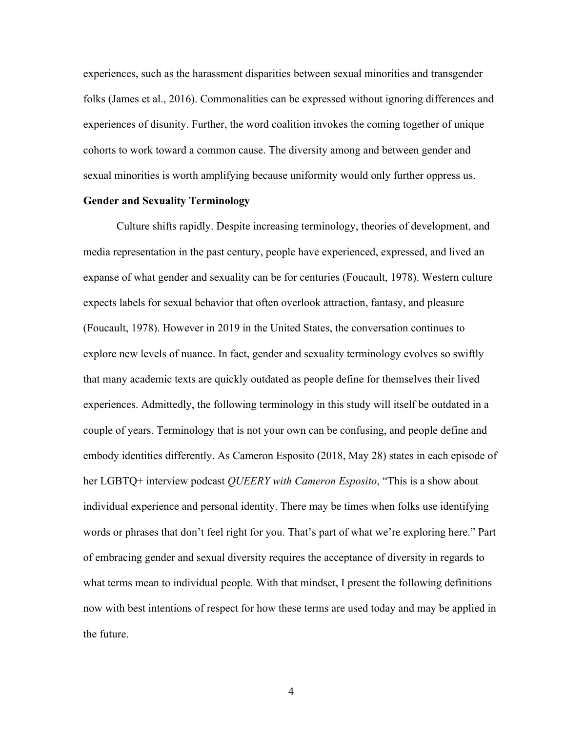experiences, such as the harassment disparities between sexual minorities and transgender folks (James et al., 2016). Commonalities can be expressed without ignoring differences and experiences of disunity. Further, the word coalition invokes the coming together of unique cohorts to work toward a common cause. The diversity among and between gender and sexual minorities is worth amplifying because uniformity would only further oppress us.

## **Gender and Sexuality Terminology**

Culture shifts rapidly. Despite increasing terminology, theories of development, and media representation in the past century, people have experienced, expressed, and lived an expanse of what gender and sexuality can be for centuries (Foucault, 1978). Western culture expects labels for sexual behavior that often overlook attraction, fantasy, and pleasure (Foucault, 1978). However in 2019 in the United States, the conversation continues to explore new levels of nuance. In fact, gender and sexuality terminology evolves so swiftly that many academic texts are quickly outdated as people define for themselves their lived experiences. Admittedly, the following terminology in this study will itself be outdated in a couple of years. Terminology that is not your own can be confusing, and people define and embody identities differently. As Cameron Esposito (2018, May 28) states in each episode of her LGBTQ+ interview podcast *QUEERY with Cameron Esposito*, "This is a show about individual experience and personal identity. There may be times when folks use identifying words or phrases that don't feel right for you. That's part of what we're exploring here." Part of embracing gender and sexual diversity requires the acceptance of diversity in regards to what terms mean to individual people. With that mindset, I present the following definitions now with best intentions of respect for how these terms are used today and may be applied in the future.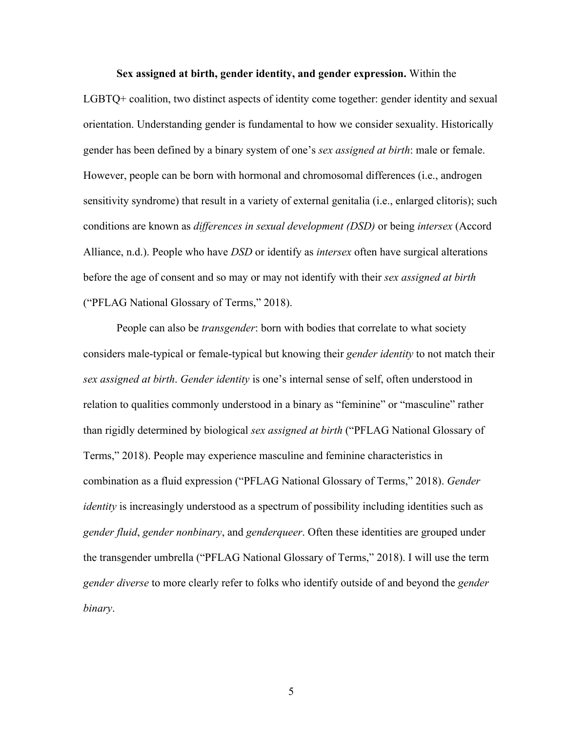**Sex assigned at birth, gender identity, and gender expression.** Within the LGBTQ+ coalition, two distinct aspects of identity come together: gender identity and sexual orientation. Understanding gender is fundamental to how we consider sexuality. Historically gender has been defined by a binary system of one's *sex assigned at birth*: male or female. However, people can be born with hormonal and chromosomal differences (i.e., androgen sensitivity syndrome) that result in a variety of external genitalia (i.e., enlarged clitoris); such conditions are known as *differences in sexual development (DSD)* or being *intersex* (Accord Alliance, n.d.). People who have *DSD* or identify as *intersex* often have surgical alterations before the age of consent and so may or may not identify with their *sex assigned at birth* ("PFLAG National Glossary of Terms," 2018).

People can also be *transgender*: born with bodies that correlate to what society considers male-typical or female-typical but knowing their *gender identity* to not match their *sex assigned at birth*. *Gender identity* is one's internal sense of self, often understood in relation to qualities commonly understood in a binary as "feminine" or "masculine" rather than rigidly determined by biological *sex assigned at birth* ("PFLAG National Glossary of Terms," 2018). People may experience masculine and feminine characteristics in combination as a fluid expression ("PFLAG National Glossary of Terms," 2018). *Gender identity* is increasingly understood as a spectrum of possibility including identities such as *gender fluid*, *gender nonbinary*, and *genderqueer*. Often these identities are grouped under the transgender umbrella ("PFLAG National Glossary of Terms," 2018). I will use the term *gender diverse* to more clearly refer to folks who identify outside of and beyond the *gender binary*.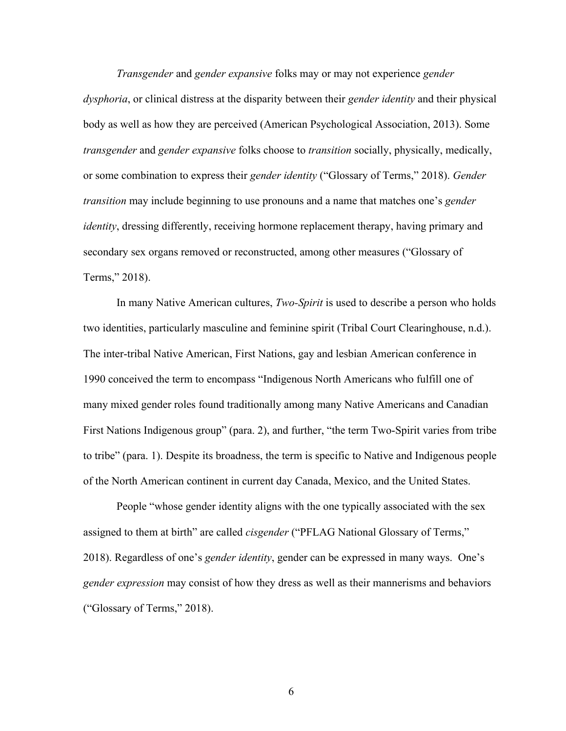*Transgender* and *gender expansive* folks may or may not experience *gender dysphoria*, or clinical distress at the disparity between their *gender identity* and their physical body as well as how they are perceived (American Psychological Association, 2013). Some *transgender* and *gender expansive* folks choose to *transition* socially, physically, medically, or some combination to express their *gender identity* ("Glossary of Terms," 2018). *Gender transition* may include beginning to use pronouns and a name that matches one's *gender identity*, dressing differently, receiving hormone replacement therapy, having primary and secondary sex organs removed or reconstructed, among other measures ("Glossary of Terms," 2018).

In many Native American cultures, *Two-Spirit* is used to describe a person who holds two identities, particularly masculine and feminine spirit (Tribal Court Clearinghouse, n.d.). The inter-tribal Native American, First Nations, gay and lesbian American conference in 1990 conceived the term to encompass "Indigenous North Americans who fulfill one of many mixed gender roles found traditionally among many Native Americans and Canadian First Nations Indigenous group" (para. 2), and further, "the term Two-Spirit varies from tribe to tribe" (para. 1). Despite its broadness, the term is specific to Native and Indigenous people of the North American continent in current day Canada, Mexico, and the United States.

People "whose gender identity aligns with the one typically associated with the sex assigned to them at birth" are called *cisgender* ("PFLAG National Glossary of Terms," 2018). Regardless of one's *gender identity*, gender can be expressed in many ways. One's *gender expression* may consist of how they dress as well as their mannerisms and behaviors ("Glossary of Terms," 2018).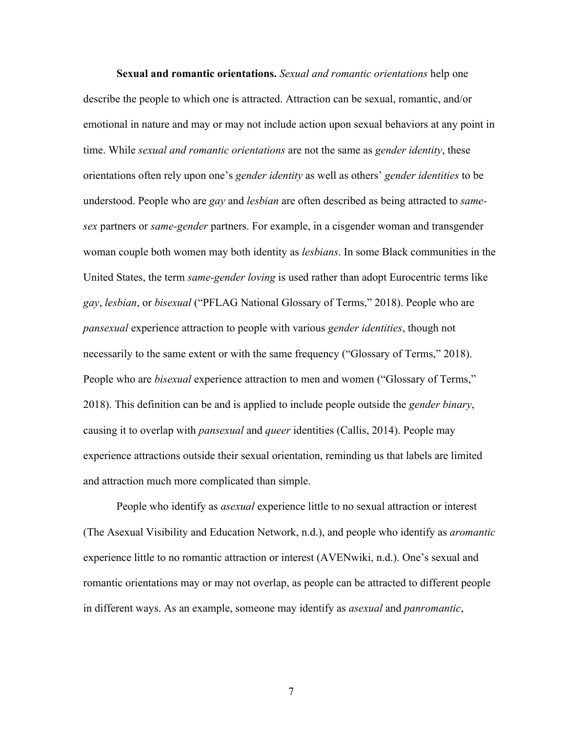**Sexual and romantic orientations.** *Sexual and romantic orientations* help one describe the people to which one is attracted. Attraction can be sexual, romantic, and/or emotional in nature and may or may not include action upon sexual behaviors at any point in time. While *sexual and romantic orientations* are not the same as *gender identity*, these orientations often rely upon one's *gender identity* as well as others' *gender identities* to be understood. People who are *gay* and *lesbian* are often described as being attracted to *samesex* partners or *same-gender* partners. For example, in a cisgender woman and transgender woman couple both women may both identity as *lesbians*. In some Black communities in the United States, the term *same-gender loving* is used rather than adopt Eurocentric terms like *gay*, *lesbian*, or *bisexual* ("PFLAG National Glossary of Terms," 2018). People who are *pansexual* experience attraction to people with various *gender identities*, though not necessarily to the same extent or with the same frequency ("Glossary of Terms," 2018). People who are *bisexual* experience attraction to men and women ("Glossary of Terms," 2018). This definition can be and is applied to include people outside the *gender binary*, causing it to overlap with *pansexual* and *queer* identities (Callis, 2014). People may experience attractions outside their sexual orientation, reminding us that labels are limited and attraction much more complicated than simple.

People who identify as *asexual* experience little to no sexual attraction or interest (The Asexual Visibility and Education Network, n.d.), and people who identify as *aromantic* experience little to no romantic attraction or interest (AVENwiki, n.d.). One's sexual and romantic orientations may or may not overlap, as people can be attracted to different people in different ways. As an example, someone may identify as *asexual* and *panromantic*,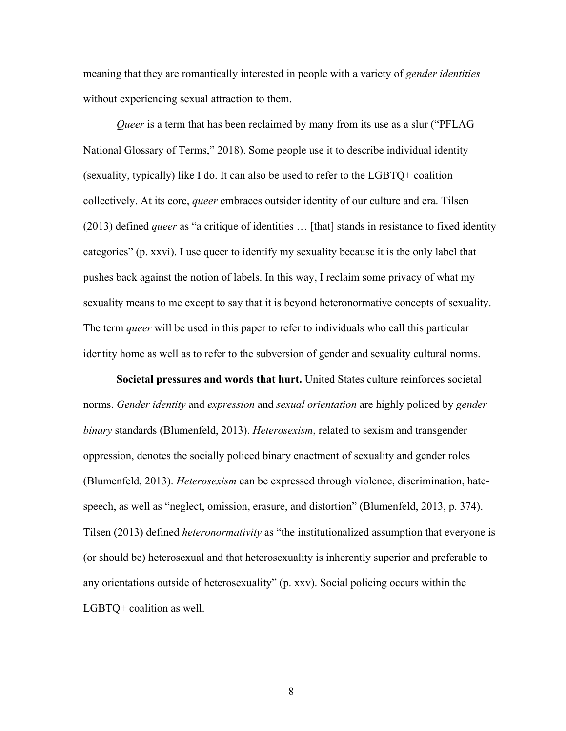meaning that they are romantically interested in people with a variety of *gender identities* without experiencing sexual attraction to them.

*Queer* is a term that has been reclaimed by many from its use as a slur ("PFLAG") National Glossary of Terms," 2018). Some people use it to describe individual identity (sexuality, typically) like I do. It can also be used to refer to the LGBTQ+ coalition collectively. At its core, *queer* embraces outsider identity of our culture and era. Tilsen (2013) defined *queer* as "a critique of identities … [that] stands in resistance to fixed identity categories" (p. xxvi). I use queer to identify my sexuality because it is the only label that pushes back against the notion of labels. In this way, I reclaim some privacy of what my sexuality means to me except to say that it is beyond heteronormative concepts of sexuality. The term *queer* will be used in this paper to refer to individuals who call this particular identity home as well as to refer to the subversion of gender and sexuality cultural norms.

**Societal pressures and words that hurt.** United States culture reinforces societal norms. *Gender identity* and *expression* and *sexual orientation* are highly policed by *gender binary* standards (Blumenfeld, 2013). *Heterosexism*, related to sexism and transgender oppression, denotes the socially policed binary enactment of sexuality and gender roles (Blumenfeld, 2013). *Heterosexism* can be expressed through violence, discrimination, hatespeech, as well as "neglect, omission, erasure, and distortion" (Blumenfeld, 2013, p. 374). Tilsen (2013) defined *heteronormativity* as "the institutionalized assumption that everyone is (or should be) heterosexual and that heterosexuality is inherently superior and preferable to any orientations outside of heterosexuality" (p. xxv). Social policing occurs within the LGBTQ+ coalition as well.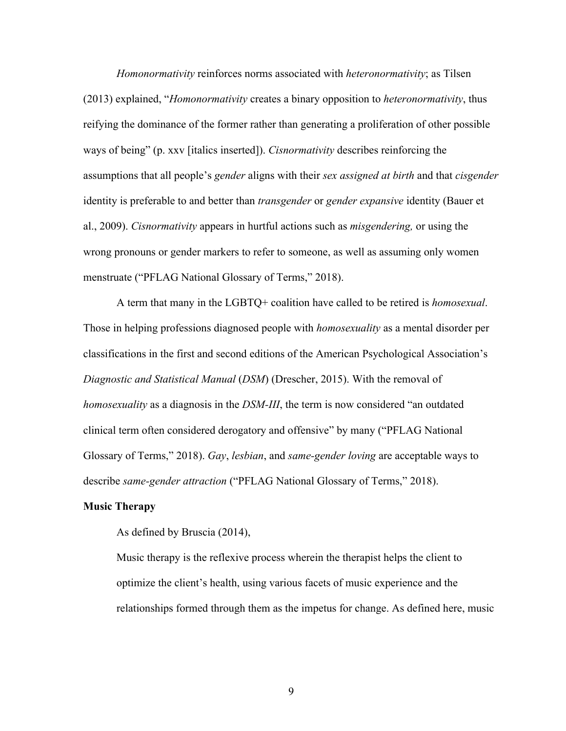*Homonormativity* reinforces norms associated with *heteronormativity*; as Tilsen (2013) explained, "*Homonormativity* creates a binary opposition to *heteronormativity*, thus reifying the dominance of the former rather than generating a proliferation of other possible ways of being" (p. xxv [italics inserted]). *Cisnormativity* describes reinforcing the assumptions that all people's *gender* aligns with their *sex assigned at birth* and that *cisgender* identity is preferable to and better than *transgender* or *gender expansive* identity (Bauer et al., 2009). *Cisnormativity* appears in hurtful actions such as *misgendering,* or using the wrong pronouns or gender markers to refer to someone, as well as assuming only women menstruate ("PFLAG National Glossary of Terms," 2018).

A term that many in the LGBTQ+ coalition have called to be retired is *homosexual*. Those in helping professions diagnosed people with *homosexuality* as a mental disorder per classifications in the first and second editions of the American Psychological Association's *Diagnostic and Statistical Manual* (*DSM*) (Drescher, 2015). With the removal of *homosexuality* as a diagnosis in the *DSM-III*, the term is now considered "an outdated clinical term often considered derogatory and offensive" by many ("PFLAG National Glossary of Terms," 2018). *Gay*, *lesbian*, and *same-gender loving* are acceptable ways to describe *same-gender attraction* ("PFLAG National Glossary of Terms," 2018).

#### **Music Therapy**

As defined by Bruscia (2014),

Music therapy is the reflexive process wherein the therapist helps the client to optimize the client's health, using various facets of music experience and the relationships formed through them as the impetus for change. As defined here, music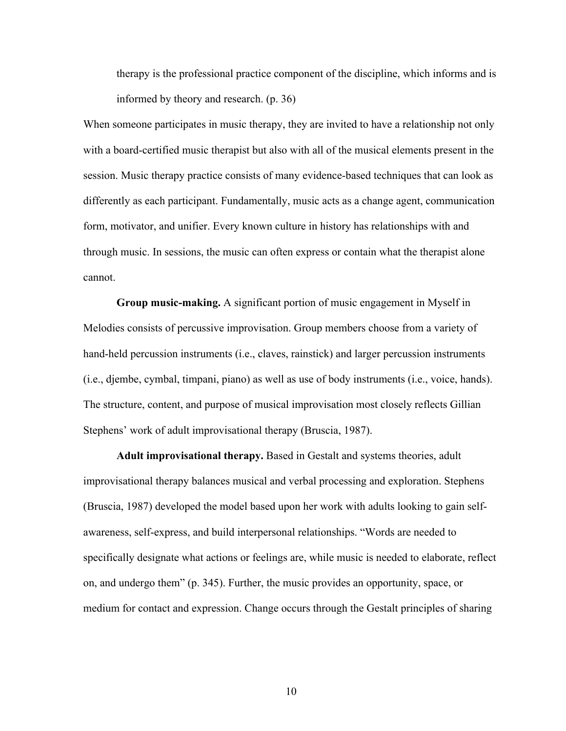therapy is the professional practice component of the discipline, which informs and is informed by theory and research. (p. 36)

When someone participates in music therapy, they are invited to have a relationship not only with a board-certified music therapist but also with all of the musical elements present in the session. Music therapy practice consists of many evidence-based techniques that can look as differently as each participant. Fundamentally, music acts as a change agent, communication form, motivator, and unifier. Every known culture in history has relationships with and through music. In sessions, the music can often express or contain what the therapist alone cannot.

**Group music-making.** A significant portion of music engagement in Myself in Melodies consists of percussive improvisation. Group members choose from a variety of hand-held percussion instruments (i.e., claves, rainstick) and larger percussion instruments (i.e., djembe, cymbal, timpani, piano) as well as use of body instruments (i.e., voice, hands). The structure, content, and purpose of musical improvisation most closely reflects Gillian Stephens' work of adult improvisational therapy (Bruscia, 1987).

**Adult improvisational therapy.** Based in Gestalt and systems theories, adult improvisational therapy balances musical and verbal processing and exploration. Stephens (Bruscia, 1987) developed the model based upon her work with adults looking to gain selfawareness, self-express, and build interpersonal relationships. "Words are needed to specifically designate what actions or feelings are, while music is needed to elaborate, reflect on, and undergo them" (p. 345). Further, the music provides an opportunity, space, or medium for contact and expression. Change occurs through the Gestalt principles of sharing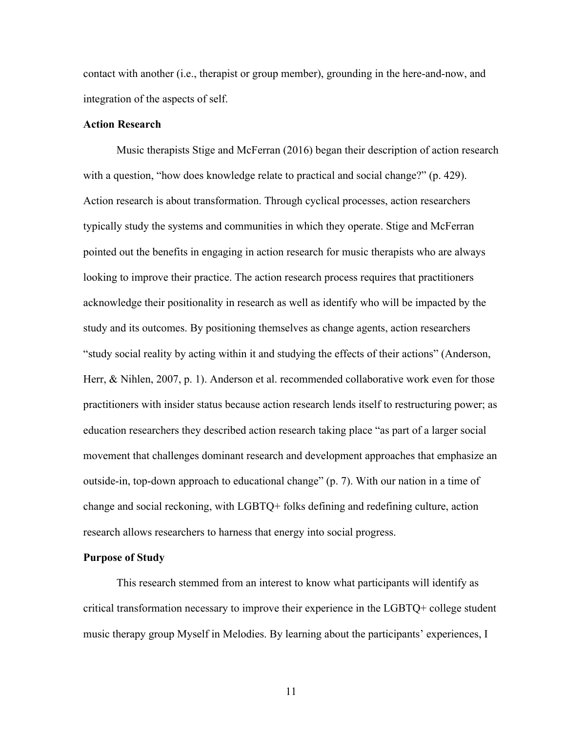contact with another (i.e., therapist or group member), grounding in the here-and-now, and integration of the aspects of self.

## **Action Research**

Music therapists Stige and McFerran (2016) began their description of action research with a question, "how does knowledge relate to practical and social change?" (p. 429). Action research is about transformation. Through cyclical processes, action researchers typically study the systems and communities in which they operate. Stige and McFerran pointed out the benefits in engaging in action research for music therapists who are always looking to improve their practice. The action research process requires that practitioners acknowledge their positionality in research as well as identify who will be impacted by the study and its outcomes. By positioning themselves as change agents, action researchers "study social reality by acting within it and studying the effects of their actions" (Anderson, Herr, & Nihlen, 2007, p. 1). Anderson et al. recommended collaborative work even for those practitioners with insider status because action research lends itself to restructuring power; as education researchers they described action research taking place "as part of a larger social movement that challenges dominant research and development approaches that emphasize an outside-in, top-down approach to educational change" (p. 7). With our nation in a time of change and social reckoning, with LGBTQ+ folks defining and redefining culture, action research allows researchers to harness that energy into social progress.

## **Purpose of Study**

This research stemmed from an interest to know what participants will identify as critical transformation necessary to improve their experience in the LGBTQ+ college student music therapy group Myself in Melodies. By learning about the participants' experiences, I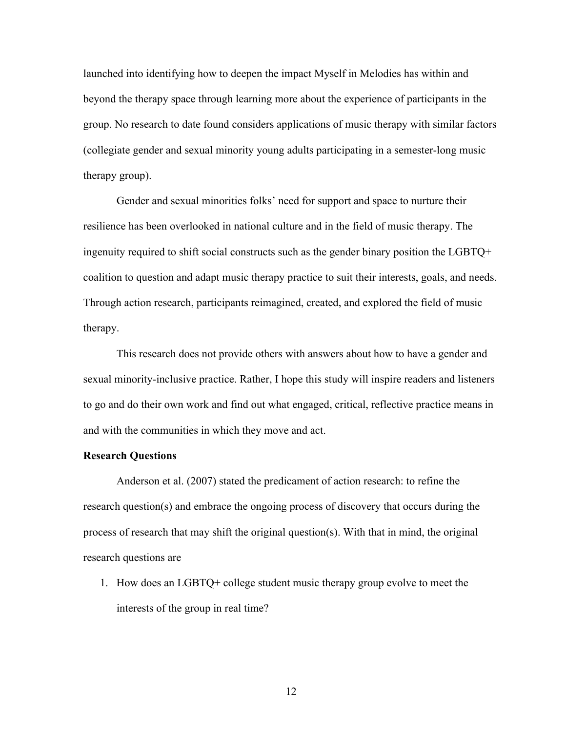launched into identifying how to deepen the impact Myself in Melodies has within and beyond the therapy space through learning more about the experience of participants in the group. No research to date found considers applications of music therapy with similar factors (collegiate gender and sexual minority young adults participating in a semester-long music therapy group).

Gender and sexual minorities folks' need for support and space to nurture their resilience has been overlooked in national culture and in the field of music therapy. The ingenuity required to shift social constructs such as the gender binary position the LGBTQ+ coalition to question and adapt music therapy practice to suit their interests, goals, and needs. Through action research, participants reimagined, created, and explored the field of music therapy.

This research does not provide others with answers about how to have a gender and sexual minority-inclusive practice. Rather, I hope this study will inspire readers and listeners to go and do their own work and find out what engaged, critical, reflective practice means in and with the communities in which they move and act.

#### **Research Questions**

Anderson et al. (2007) stated the predicament of action research: to refine the research question(s) and embrace the ongoing process of discovery that occurs during the process of research that may shift the original question(s). With that in mind, the original research questions are

1. How does an LGBTQ+ college student music therapy group evolve to meet the interests of the group in real time?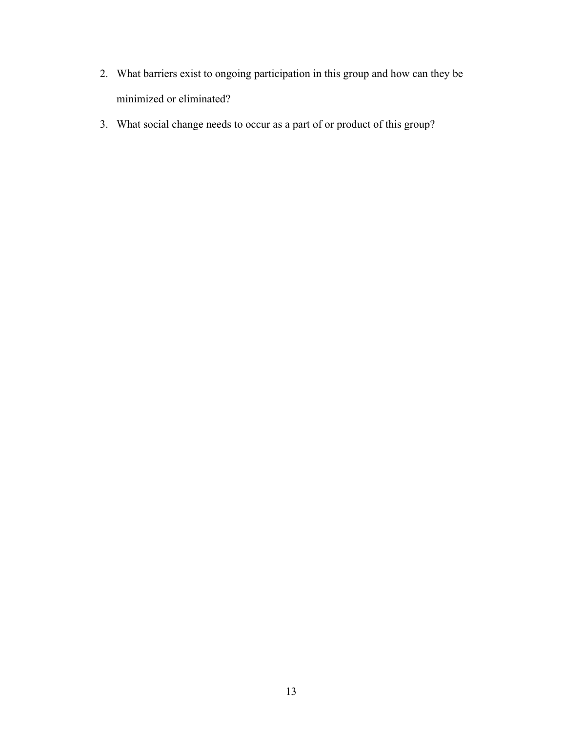- 2. What barriers exist to ongoing participation in this group and how can they be minimized or eliminated?
- 3. What social change needs to occur as a part of or product of this group?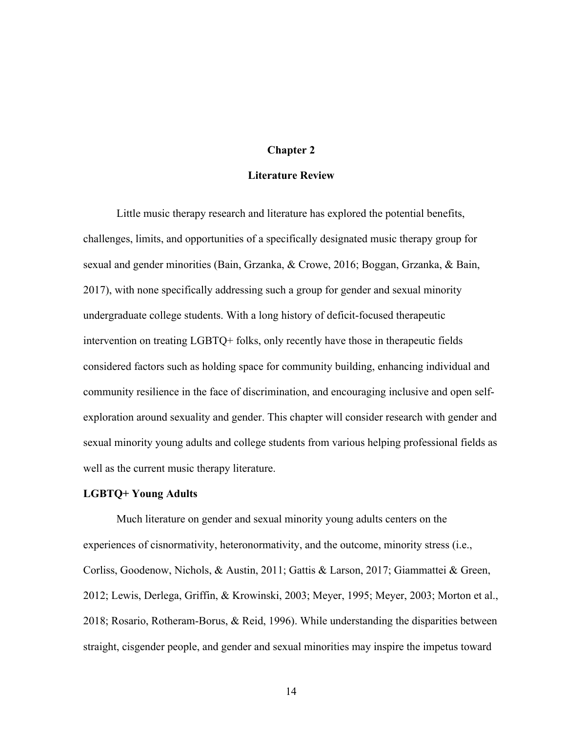## **Chapter 2**

#### **Literature Review**

Little music therapy research and literature has explored the potential benefits, challenges, limits, and opportunities of a specifically designated music therapy group for sexual and gender minorities (Bain, Grzanka, & Crowe, 2016; Boggan, Grzanka, & Bain, 2017), with none specifically addressing such a group for gender and sexual minority undergraduate college students. With a long history of deficit-focused therapeutic intervention on treating LGBTQ+ folks, only recently have those in therapeutic fields considered factors such as holding space for community building, enhancing individual and community resilience in the face of discrimination, and encouraging inclusive and open selfexploration around sexuality and gender. This chapter will consider research with gender and sexual minority young adults and college students from various helping professional fields as well as the current music therapy literature.

#### **LGBTQ+ Young Adults**

Much literature on gender and sexual minority young adults centers on the experiences of cisnormativity, heteronormativity, and the outcome, minority stress (i.e., Corliss, Goodenow, Nichols, & Austin, 2011; Gattis & Larson, 2017; Giammattei & Green, 2012; Lewis, Derlega, Griffin, & Krowinski, 2003; Meyer, 1995; Meyer, 2003; Morton et al., 2018; Rosario, Rotheram-Borus, & Reid, 1996). While understanding the disparities between straight, cisgender people, and gender and sexual minorities may inspire the impetus toward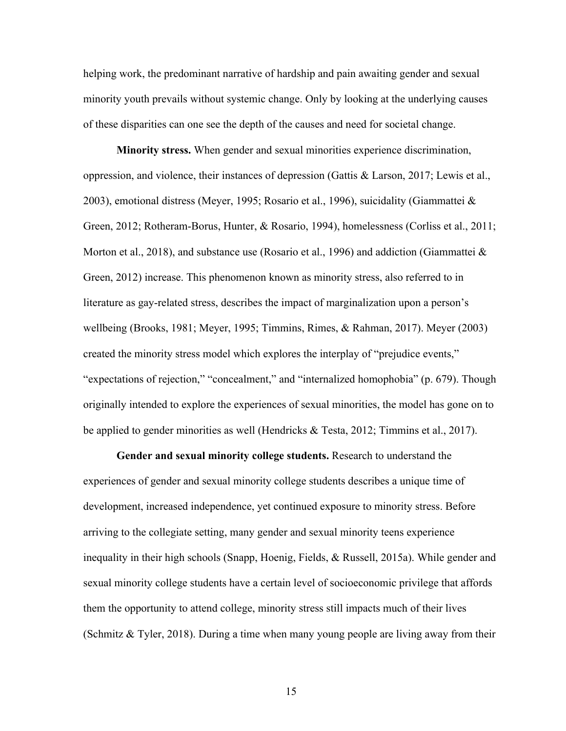helping work, the predominant narrative of hardship and pain awaiting gender and sexual minority youth prevails without systemic change. Only by looking at the underlying causes of these disparities can one see the depth of the causes and need for societal change.

**Minority stress.** When gender and sexual minorities experience discrimination, oppression, and violence, their instances of depression (Gattis & Larson, 2017; Lewis et al., 2003), emotional distress (Meyer, 1995; Rosario et al., 1996), suicidality (Giammattei & Green, 2012; Rotheram-Borus, Hunter, & Rosario, 1994), homelessness (Corliss et al., 2011; Morton et al., 2018), and substance use (Rosario et al., 1996) and addiction (Giammattei & Green, 2012) increase. This phenomenon known as minority stress, also referred to in literature as gay-related stress, describes the impact of marginalization upon a person's wellbeing (Brooks, 1981; Meyer, 1995; Timmins, Rimes, & Rahman, 2017). Meyer (2003) created the minority stress model which explores the interplay of "prejudice events," "expectations of rejection," "concealment," and "internalized homophobia" (p. 679). Though originally intended to explore the experiences of sexual minorities, the model has gone on to be applied to gender minorities as well (Hendricks & Testa, 2012; Timmins et al., 2017).

**Gender and sexual minority college students.** Research to understand the experiences of gender and sexual minority college students describes a unique time of development, increased independence, yet continued exposure to minority stress. Before arriving to the collegiate setting, many gender and sexual minority teens experience inequality in their high schools (Snapp, Hoenig, Fields, & Russell, 2015a). While gender and sexual minority college students have a certain level of socioeconomic privilege that affords them the opportunity to attend college, minority stress still impacts much of their lives (Schmitz & Tyler, 2018). During a time when many young people are living away from their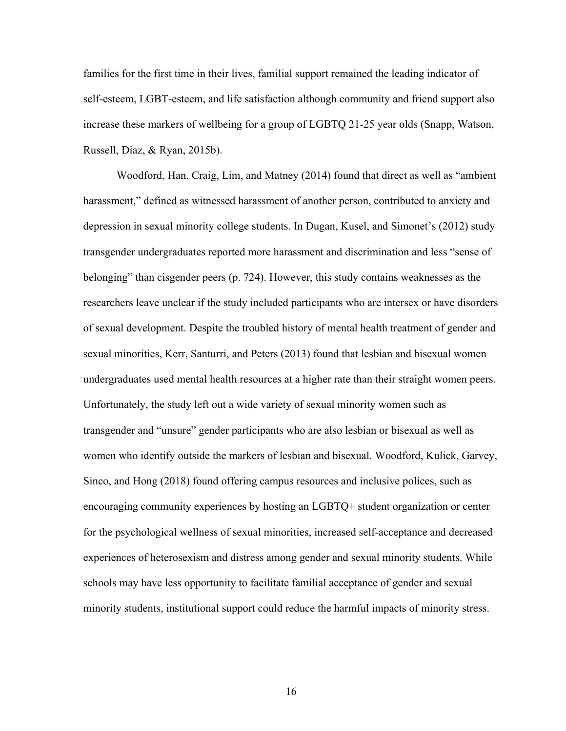families for the first time in their lives, familial support remained the leading indicator of self-esteem, LGBT-esteem, and life satisfaction although community and friend support also increase these markers of wellbeing for a group of LGBTQ 21-25 year olds (Snapp, Watson, Russell, Diaz, & Ryan, 2015b).

Woodford, Han, Craig, Lim, and Matney (2014) found that direct as well as "ambient harassment," defined as witnessed harassment of another person, contributed to anxiety and depression in sexual minority college students. In Dugan, Kusel, and Simonet's (2012) study transgender undergraduates reported more harassment and discrimination and less "sense of belonging" than cisgender peers (p. 724). However, this study contains weaknesses as the researchers leave unclear if the study included participants who are intersex or have disorders of sexual development. Despite the troubled history of mental health treatment of gender and sexual minorities, Kerr, Santurri, and Peters (2013) found that lesbian and bisexual women undergraduates used mental health resources at a higher rate than their straight women peers. Unfortunately, the study left out a wide variety of sexual minority women such as transgender and "unsure" gender participants who are also lesbian or bisexual as well as women who identify outside the markers of lesbian and bisexual. Woodford, Kulick, Garvey, Sinco, and Hong (2018) found offering campus resources and inclusive polices, such as encouraging community experiences by hosting an LGBTQ+ student organization or center for the psychological wellness of sexual minorities, increased self-acceptance and decreased experiences of heterosexism and distress among gender and sexual minority students. While schools may have less opportunity to facilitate familial acceptance of gender and sexual minority students, institutional support could reduce the harmful impacts of minority stress.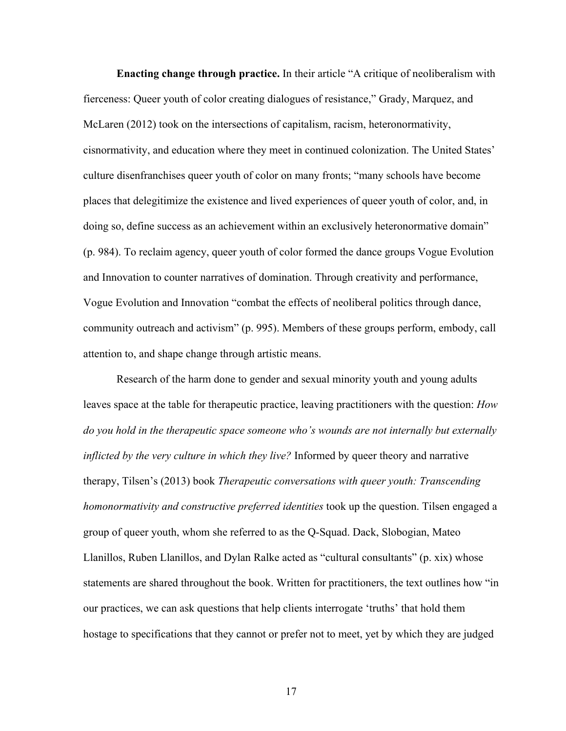**Enacting change through practice.** In their article "A critique of neoliberalism with fierceness: Queer youth of color creating dialogues of resistance," Grady, Marquez, and McLaren (2012) took on the intersections of capitalism, racism, heteronormativity, cisnormativity, and education where they meet in continued colonization. The United States' culture disenfranchises queer youth of color on many fronts; "many schools have become places that delegitimize the existence and lived experiences of queer youth of color, and, in doing so, define success as an achievement within an exclusively heteronormative domain" (p. 984). To reclaim agency, queer youth of color formed the dance groups Vogue Evolution and Innovation to counter narratives of domination. Through creativity and performance, Vogue Evolution and Innovation "combat the effects of neoliberal politics through dance, community outreach and activism" (p. 995). Members of these groups perform, embody, call attention to, and shape change through artistic means.

Research of the harm done to gender and sexual minority youth and young adults leaves space at the table for therapeutic practice, leaving practitioners with the question: *How do you hold in the therapeutic space someone who's wounds are not internally but externally inflicted by the very culture in which they live?* Informed by queer theory and narrative therapy, Tilsen's (2013) book *Therapeutic conversations with queer youth: Transcending homonormativity and constructive preferred identities* took up the question. Tilsen engaged a group of queer youth, whom she referred to as the Q-Squad. Dack, Slobogian, Mateo Llanillos, Ruben Llanillos, and Dylan Ralke acted as "cultural consultants" (p. xix) whose statements are shared throughout the book. Written for practitioners, the text outlines how "in our practices, we can ask questions that help clients interrogate 'truths' that hold them hostage to specifications that they cannot or prefer not to meet, yet by which they are judged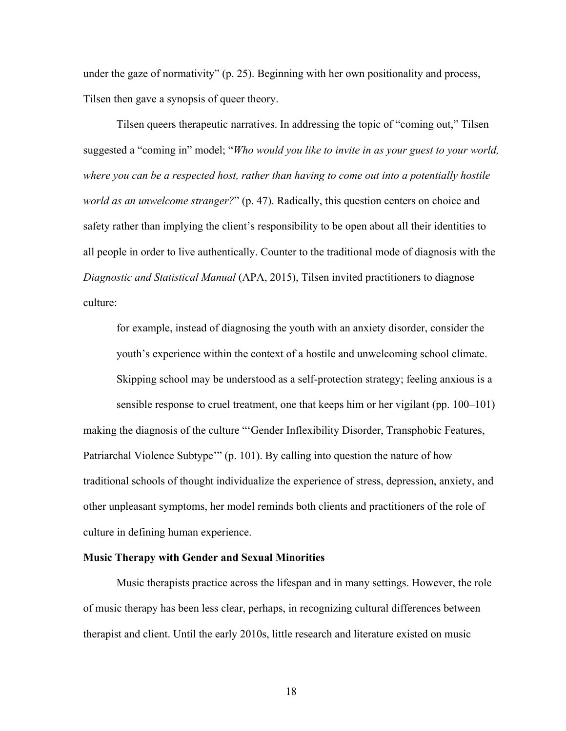under the gaze of normativity" (p. 25). Beginning with her own positionality and process, Tilsen then gave a synopsis of queer theory.

Tilsen queers therapeutic narratives. In addressing the topic of "coming out," Tilsen suggested a "coming in" model; "*Who would you like to invite in as your guest to your world, where you can be a respected host, rather than having to come out into a potentially hostile world as an unwelcome stranger?*" (p. 47). Radically, this question centers on choice and safety rather than implying the client's responsibility to be open about all their identities to all people in order to live authentically. Counter to the traditional mode of diagnosis with the *Diagnostic and Statistical Manual* (APA, 2015), Tilsen invited practitioners to diagnose culture:

for example, instead of diagnosing the youth with an anxiety disorder, consider the youth's experience within the context of a hostile and unwelcoming school climate. Skipping school may be understood as a self-protection strategy; feeling anxious is a sensible response to cruel treatment, one that keeps him or her vigilant (pp. 100–101) making the diagnosis of the culture "'Gender Inflexibility Disorder, Transphobic Features, Patriarchal Violence Subtype'" (p. 101). By calling into question the nature of how traditional schools of thought individualize the experience of stress, depression, anxiety, and other unpleasant symptoms, her model reminds both clients and practitioners of the role of culture in defining human experience.

## **Music Therapy with Gender and Sexual Minorities**

Music therapists practice across the lifespan and in many settings. However, the role of music therapy has been less clear, perhaps, in recognizing cultural differences between therapist and client. Until the early 2010s, little research and literature existed on music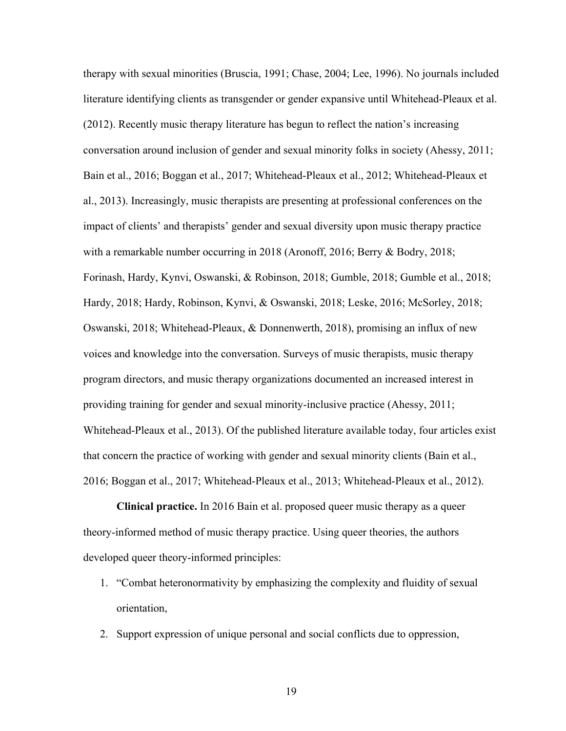therapy with sexual minorities (Bruscia, 1991; Chase, 2004; Lee, 1996). No journals included literature identifying clients as transgender or gender expansive until Whitehead-Pleaux et al. (2012). Recently music therapy literature has begun to reflect the nation's increasing conversation around inclusion of gender and sexual minority folks in society (Ahessy, 2011; Bain et al., 2016; Boggan et al., 2017; Whitehead-Pleaux et al., 2012; Whitehead-Pleaux et al., 2013). Increasingly, music therapists are presenting at professional conferences on the impact of clients' and therapists' gender and sexual diversity upon music therapy practice with a remarkable number occurring in 2018 (Aronoff, 2016; Berry & Bodry, 2018; Forinash, Hardy, Kynvi, Oswanski, & Robinson, 2018; Gumble, 2018; Gumble et al., 2018; Hardy, 2018; Hardy, Robinson, Kynvi, & Oswanski, 2018; Leske, 2016; McSorley, 2018; Oswanski, 2018; Whitehead-Pleaux, & Donnenwerth, 2018), promising an influx of new voices and knowledge into the conversation. Surveys of music therapists, music therapy program directors, and music therapy organizations documented an increased interest in providing training for gender and sexual minority-inclusive practice (Ahessy, 2011; Whitehead-Pleaux et al., 2013). Of the published literature available today, four articles exist that concern the practice of working with gender and sexual minority clients (Bain et al., 2016; Boggan et al., 2017; Whitehead-Pleaux et al., 2013; Whitehead-Pleaux et al., 2012).

**Clinical practice.** In 2016 Bain et al. proposed queer music therapy as a queer theory-informed method of music therapy practice. Using queer theories, the authors developed queer theory-informed principles:

- 1. "Combat heteronormativity by emphasizing the complexity and fluidity of sexual orientation,
- 2. Support expression of unique personal and social conflicts due to oppression,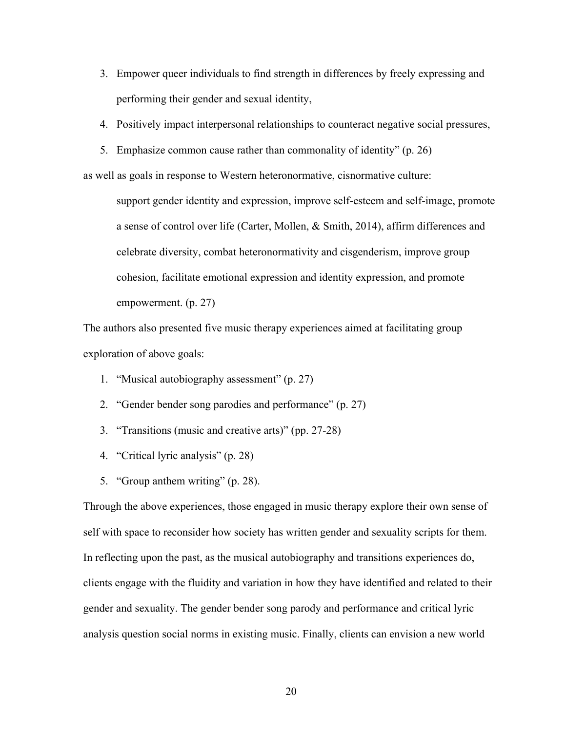- 3. Empower queer individuals to find strength in differences by freely expressing and performing their gender and sexual identity,
- 4. Positively impact interpersonal relationships to counteract negative social pressures,
- 5. Emphasize common cause rather than commonality of identity" (p. 26)

as well as goals in response to Western heteronormative, cisnormative culture:

support gender identity and expression, improve self-esteem and self-image, promote a sense of control over life (Carter, Mollen, & Smith, 2014), affirm differences and celebrate diversity, combat heteronormativity and cisgenderism, improve group cohesion, facilitate emotional expression and identity expression, and promote empowerment. (p. 27)

The authors also presented five music therapy experiences aimed at facilitating group exploration of above goals:

- 1. "Musical autobiography assessment" (p. 27)
- 2. "Gender bender song parodies and performance" (p. 27)
- 3. "Transitions (music and creative arts)" (pp. 27-28)
- 4. "Critical lyric analysis" (p. 28)
- 5. "Group anthem writing" (p. 28).

Through the above experiences, those engaged in music therapy explore their own sense of self with space to reconsider how society has written gender and sexuality scripts for them. In reflecting upon the past, as the musical autobiography and transitions experiences do, clients engage with the fluidity and variation in how they have identified and related to their gender and sexuality. The gender bender song parody and performance and critical lyric analysis question social norms in existing music. Finally, clients can envision a new world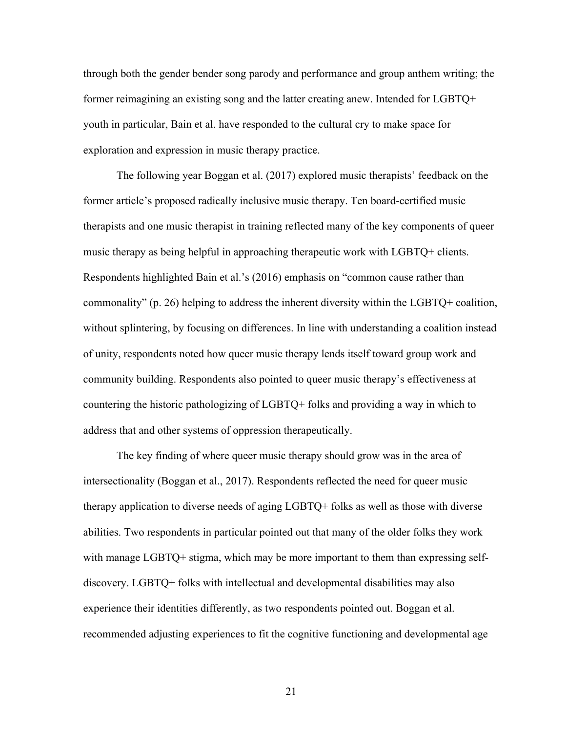through both the gender bender song parody and performance and group anthem writing; the former reimagining an existing song and the latter creating anew. Intended for LGBTQ+ youth in particular, Bain et al. have responded to the cultural cry to make space for exploration and expression in music therapy practice.

The following year Boggan et al. (2017) explored music therapists' feedback on the former article's proposed radically inclusive music therapy. Ten board-certified music therapists and one music therapist in training reflected many of the key components of queer music therapy as being helpful in approaching therapeutic work with LGBTQ+ clients. Respondents highlighted Bain et al.'s (2016) emphasis on "common cause rather than commonality" (p. 26) helping to address the inherent diversity within the LGBTQ+ coalition, without splintering, by focusing on differences. In line with understanding a coalition instead of unity, respondents noted how queer music therapy lends itself toward group work and community building. Respondents also pointed to queer music therapy's effectiveness at countering the historic pathologizing of LGBTQ+ folks and providing a way in which to address that and other systems of oppression therapeutically.

The key finding of where queer music therapy should grow was in the area of intersectionality (Boggan et al., 2017). Respondents reflected the need for queer music therapy application to diverse needs of aging LGBTQ+ folks as well as those with diverse abilities. Two respondents in particular pointed out that many of the older folks they work with manage LGBTQ+ stigma, which may be more important to them than expressing selfdiscovery. LGBTQ+ folks with intellectual and developmental disabilities may also experience their identities differently, as two respondents pointed out. Boggan et al. recommended adjusting experiences to fit the cognitive functioning and developmental age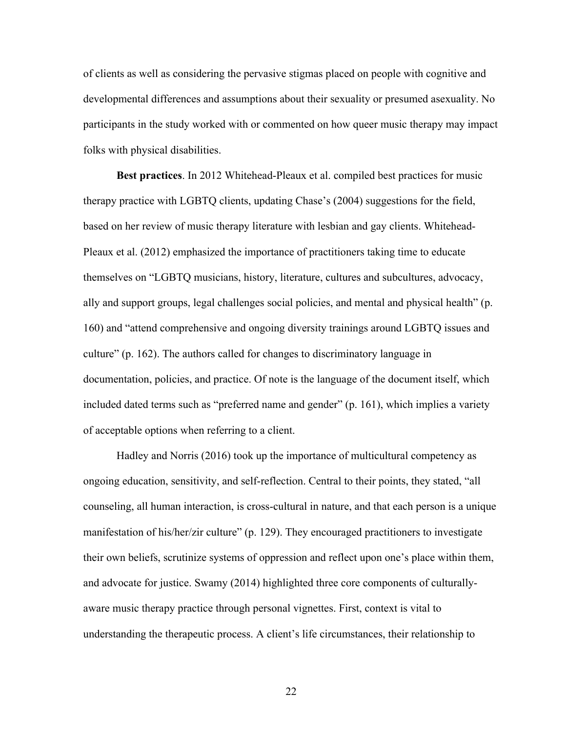of clients as well as considering the pervasive stigmas placed on people with cognitive and developmental differences and assumptions about their sexuality or presumed asexuality. No participants in the study worked with or commented on how queer music therapy may impact folks with physical disabilities.

**Best practices**. In 2012 Whitehead-Pleaux et al. compiled best practices for music therapy practice with LGBTQ clients, updating Chase's (2004) suggestions for the field, based on her review of music therapy literature with lesbian and gay clients. Whitehead-Pleaux et al. (2012) emphasized the importance of practitioners taking time to educate themselves on "LGBTQ musicians, history, literature, cultures and subcultures, advocacy, ally and support groups, legal challenges social policies, and mental and physical health" (p. 160) and "attend comprehensive and ongoing diversity trainings around LGBTQ issues and culture" (p. 162). The authors called for changes to discriminatory language in documentation, policies, and practice. Of note is the language of the document itself, which included dated terms such as "preferred name and gender" (p. 161), which implies a variety of acceptable options when referring to a client.

Hadley and Norris (2016) took up the importance of multicultural competency as ongoing education, sensitivity, and self-reflection. Central to their points, they stated, "all counseling, all human interaction, is cross-cultural in nature, and that each person is a unique manifestation of his/her/zir culture" (p. 129). They encouraged practitioners to investigate their own beliefs, scrutinize systems of oppression and reflect upon one's place within them, and advocate for justice. Swamy (2014) highlighted three core components of culturallyaware music therapy practice through personal vignettes. First, context is vital to understanding the therapeutic process. A client's life circumstances, their relationship to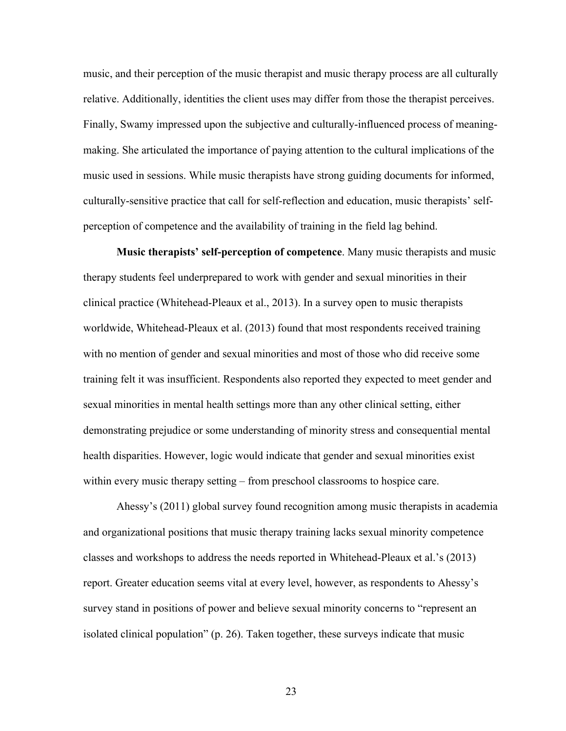music, and their perception of the music therapist and music therapy process are all culturally relative. Additionally, identities the client uses may differ from those the therapist perceives. Finally, Swamy impressed upon the subjective and culturally-influenced process of meaningmaking. She articulated the importance of paying attention to the cultural implications of the music used in sessions. While music therapists have strong guiding documents for informed, culturally-sensitive practice that call for self-reflection and education, music therapists' selfperception of competence and the availability of training in the field lag behind.

**Music therapists' self-perception of competence**. Many music therapists and music therapy students feel underprepared to work with gender and sexual minorities in their clinical practice (Whitehead-Pleaux et al., 2013). In a survey open to music therapists worldwide, Whitehead-Pleaux et al. (2013) found that most respondents received training with no mention of gender and sexual minorities and most of those who did receive some training felt it was insufficient. Respondents also reported they expected to meet gender and sexual minorities in mental health settings more than any other clinical setting, either demonstrating prejudice or some understanding of minority stress and consequential mental health disparities. However, logic would indicate that gender and sexual minorities exist within every music therapy setting – from preschool classrooms to hospice care.

Ahessy's (2011) global survey found recognition among music therapists in academia and organizational positions that music therapy training lacks sexual minority competence classes and workshops to address the needs reported in Whitehead-Pleaux et al.'s (2013) report. Greater education seems vital at every level, however, as respondents to Ahessy's survey stand in positions of power and believe sexual minority concerns to "represent an isolated clinical population" (p. 26). Taken together, these surveys indicate that music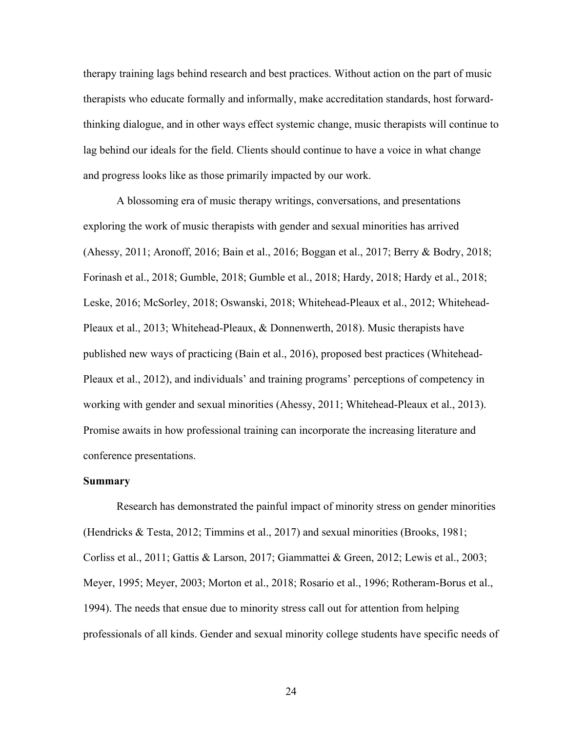therapy training lags behind research and best practices. Without action on the part of music therapists who educate formally and informally, make accreditation standards, host forwardthinking dialogue, and in other ways effect systemic change, music therapists will continue to lag behind our ideals for the field. Clients should continue to have a voice in what change and progress looks like as those primarily impacted by our work.

A blossoming era of music therapy writings, conversations, and presentations exploring the work of music therapists with gender and sexual minorities has arrived (Ahessy, 2011; Aronoff, 2016; Bain et al., 2016; Boggan et al., 2017; Berry & Bodry, 2018; Forinash et al., 2018; Gumble, 2018; Gumble et al., 2018; Hardy, 2018; Hardy et al., 2018; Leske, 2016; McSorley, 2018; Oswanski, 2018; Whitehead-Pleaux et al., 2012; Whitehead-Pleaux et al., 2013; Whitehead-Pleaux, & Donnenwerth, 2018). Music therapists have published new ways of practicing (Bain et al., 2016), proposed best practices (Whitehead-Pleaux et al., 2012), and individuals' and training programs' perceptions of competency in working with gender and sexual minorities (Ahessy, 2011; Whitehead-Pleaux et al., 2013). Promise awaits in how professional training can incorporate the increasing literature and conference presentations.

#### **Summary**

Research has demonstrated the painful impact of minority stress on gender minorities (Hendricks & Testa, 2012; Timmins et al., 2017) and sexual minorities (Brooks, 1981; Corliss et al., 2011; Gattis & Larson, 2017; Giammattei & Green, 2012; Lewis et al., 2003; Meyer, 1995; Meyer, 2003; Morton et al., 2018; Rosario et al., 1996; Rotheram-Borus et al., 1994). The needs that ensue due to minority stress call out for attention from helping professionals of all kinds. Gender and sexual minority college students have specific needs of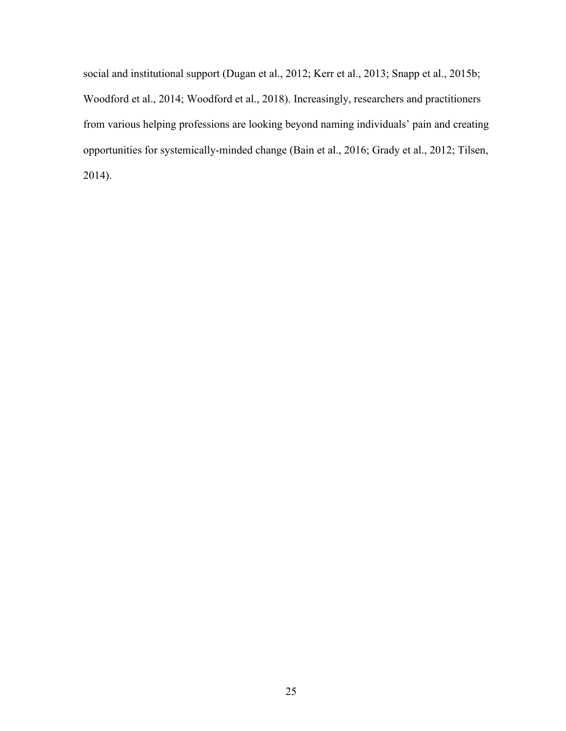social and institutional support (Dugan et al., 2012; Kerr et al., 2013; Snapp et al., 2015b; Woodford et al., 2014; Woodford et al., 2018). Increasingly, researchers and practitioners from various helping professions are looking beyond naming individuals' pain and creating opportunities for systemically-minded change (Bain et al., 2016; Grady et al., 2012; Tilsen, 2014).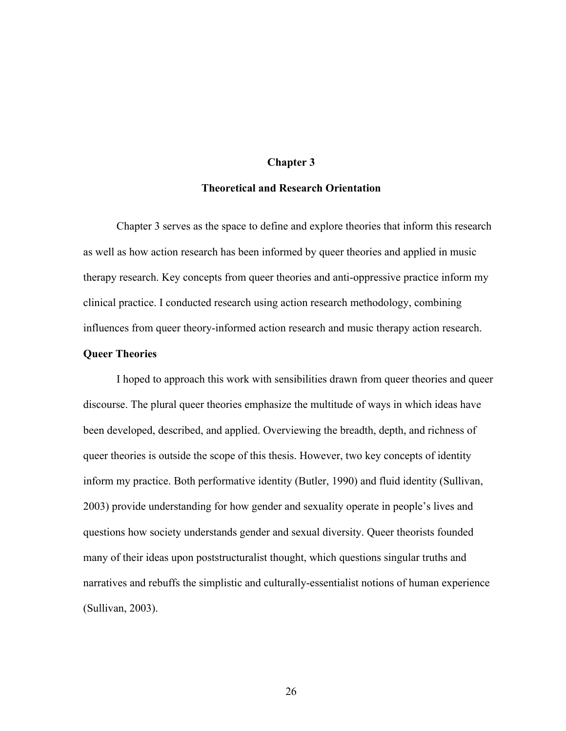## **Chapter 3**

## **Theoretical and Research Orientation**

Chapter 3 serves as the space to define and explore theories that inform this research as well as how action research has been informed by queer theories and applied in music therapy research. Key concepts from queer theories and anti-oppressive practice inform my clinical practice. I conducted research using action research methodology, combining influences from queer theory-informed action research and music therapy action research.

## **Queer Theories**

I hoped to approach this work with sensibilities drawn from queer theories and queer discourse. The plural queer theories emphasize the multitude of ways in which ideas have been developed, described, and applied. Overviewing the breadth, depth, and richness of queer theories is outside the scope of this thesis. However, two key concepts of identity inform my practice. Both performative identity (Butler, 1990) and fluid identity (Sullivan, 2003) provide understanding for how gender and sexuality operate in people's lives and questions how society understands gender and sexual diversity. Queer theorists founded many of their ideas upon poststructuralist thought, which questions singular truths and narratives and rebuffs the simplistic and culturally-essentialist notions of human experience (Sullivan, 2003).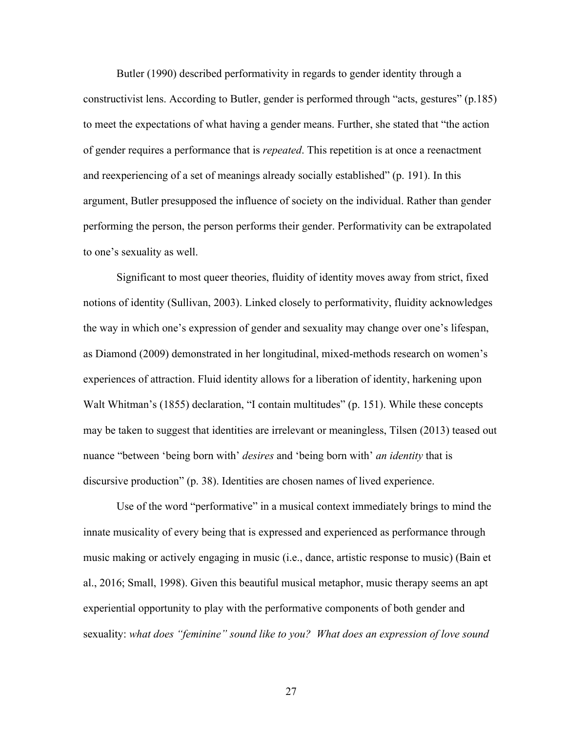Butler (1990) described performativity in regards to gender identity through a constructivist lens. According to Butler, gender is performed through "acts, gestures" (p.185) to meet the expectations of what having a gender means. Further, she stated that "the action of gender requires a performance that is *repeated*. This repetition is at once a reenactment and reexperiencing of a set of meanings already socially established" (p. 191). In this argument, Butler presupposed the influence of society on the individual. Rather than gender performing the person, the person performs their gender. Performativity can be extrapolated to one's sexuality as well.

Significant to most queer theories, fluidity of identity moves away from strict, fixed notions of identity (Sullivan, 2003). Linked closely to performativity, fluidity acknowledges the way in which one's expression of gender and sexuality may change over one's lifespan, as Diamond (2009) demonstrated in her longitudinal, mixed-methods research on women's experiences of attraction. Fluid identity allows for a liberation of identity, harkening upon Walt Whitman's (1855) declaration, "I contain multitudes" (p. 151). While these concepts may be taken to suggest that identities are irrelevant or meaningless, Tilsen (2013) teased out nuance "between 'being born with' *desires* and 'being born with' *an identity* that is discursive production" (p. 38). Identities are chosen names of lived experience.

Use of the word "performative" in a musical context immediately brings to mind the innate musicality of every being that is expressed and experienced as performance through music making or actively engaging in music (i.e., dance, artistic response to music) (Bain et al., 2016; Small, 1998). Given this beautiful musical metaphor, music therapy seems an apt experiential opportunity to play with the performative components of both gender and sexuality: *what does "feminine" sound like to you? What does an expression of love sound*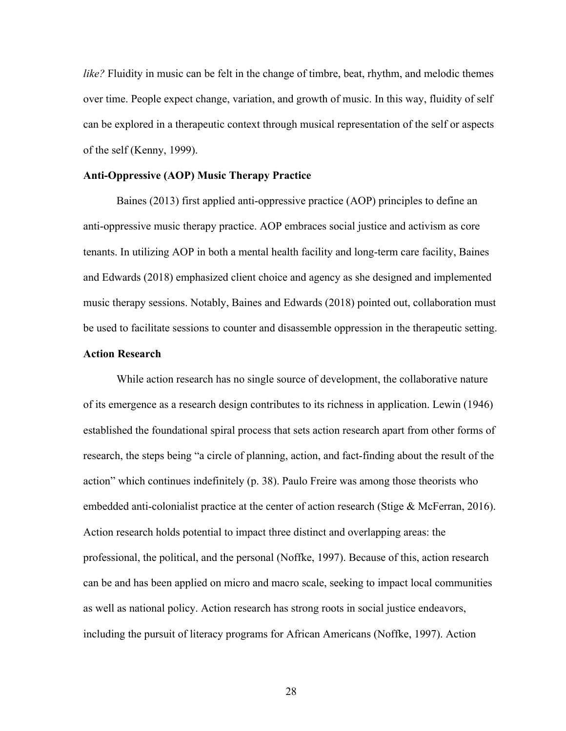*like?* Fluidity in music can be felt in the change of timbre, beat, rhythm, and melodic themes over time. People expect change, variation, and growth of music. In this way, fluidity of self can be explored in a therapeutic context through musical representation of the self or aspects of the self (Kenny, 1999).

### **Anti-Oppressive (AOP) Music Therapy Practice**

Baines (2013) first applied anti-oppressive practice (AOP) principles to define an anti-oppressive music therapy practice. AOP embraces social justice and activism as core tenants. In utilizing AOP in both a mental health facility and long-term care facility, Baines and Edwards (2018) emphasized client choice and agency as she designed and implemented music therapy sessions. Notably, Baines and Edwards (2018) pointed out, collaboration must be used to facilitate sessions to counter and disassemble oppression in the therapeutic setting.

# **Action Research**

While action research has no single source of development, the collaborative nature of its emergence as a research design contributes to its richness in application. Lewin (1946) established the foundational spiral process that sets action research apart from other forms of research, the steps being "a circle of planning, action, and fact-finding about the result of the action" which continues indefinitely (p. 38). Paulo Freire was among those theorists who embedded anti-colonialist practice at the center of action research (Stige & McFerran, 2016). Action research holds potential to impact three distinct and overlapping areas: the professional, the political, and the personal (Noffke, 1997). Because of this, action research can be and has been applied on micro and macro scale, seeking to impact local communities as well as national policy. Action research has strong roots in social justice endeavors, including the pursuit of literacy programs for African Americans (Noffke, 1997). Action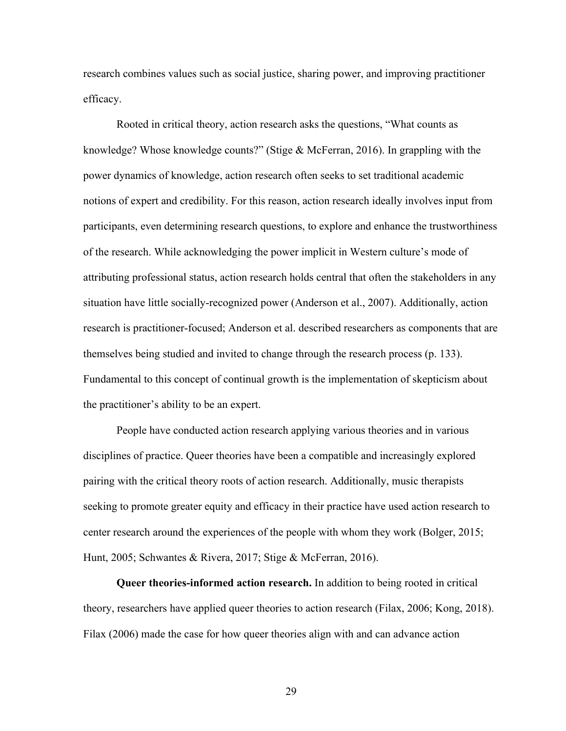research combines values such as social justice, sharing power, and improving practitioner efficacy.

Rooted in critical theory, action research asks the questions, "What counts as knowledge? Whose knowledge counts?" (Stige & McFerran, 2016). In grappling with the power dynamics of knowledge, action research often seeks to set traditional academic notions of expert and credibility. For this reason, action research ideally involves input from participants, even determining research questions, to explore and enhance the trustworthiness of the research. While acknowledging the power implicit in Western culture's mode of attributing professional status, action research holds central that often the stakeholders in any situation have little socially-recognized power (Anderson et al., 2007). Additionally, action research is practitioner-focused; Anderson et al. described researchers as components that are themselves being studied and invited to change through the research process (p. 133). Fundamental to this concept of continual growth is the implementation of skepticism about the practitioner's ability to be an expert.

People have conducted action research applying various theories and in various disciplines of practice. Queer theories have been a compatible and increasingly explored pairing with the critical theory roots of action research. Additionally, music therapists seeking to promote greater equity and efficacy in their practice have used action research to center research around the experiences of the people with whom they work (Bolger, 2015; Hunt, 2005; Schwantes & Rivera, 2017; Stige & McFerran, 2016).

**Queer theories-informed action research.** In addition to being rooted in critical theory, researchers have applied queer theories to action research (Filax, 2006; Kong, 2018). Filax (2006) made the case for how queer theories align with and can advance action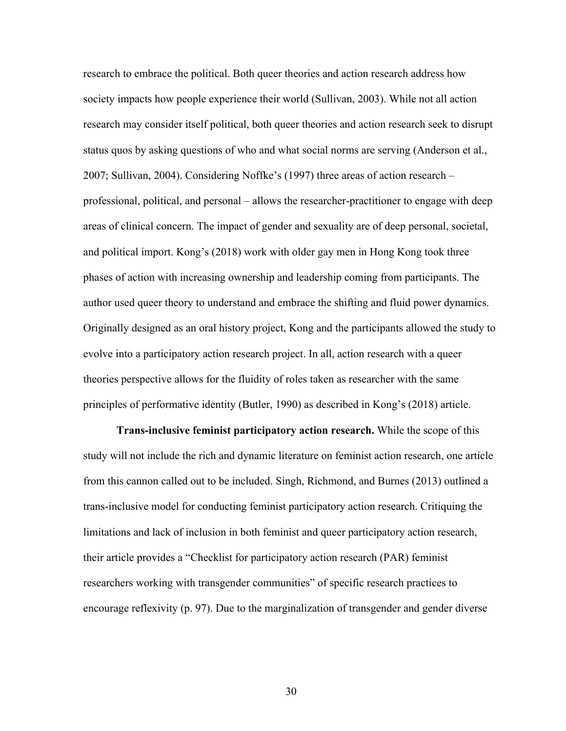research to embrace the political. Both queer theories and action research address how society impacts how people experience their world (Sullivan, 2003). While not all action research may consider itself political, both queer theories and action research seek to disrupt status quos by asking questions of who and what social norms are serving (Anderson et al., 2007; Sullivan, 2004). Considering Noffke's (1997) three areas of action research – professional, political, and personal – allows the researcher-practitioner to engage with deep areas of clinical concern. The impact of gender and sexuality are of deep personal, societal, and political import. Kong's (2018) work with older gay men in Hong Kong took three phases of action with increasing ownership and leadership coming from participants. The author used queer theory to understand and embrace the shifting and fluid power dynamics. Originally designed as an oral history project, Kong and the participants allowed the study to evolve into a participatory action research project. In all, action research with a queer theories perspective allows for the fluidity of roles taken as researcher with the same principles of performative identity (Butler, 1990) as described in Kong's (2018) article.

**Trans-inclusive feminist participatory action research.** While the scope of this study will not include the rich and dynamic literature on feminist action research, one article from this cannon called out to be included. Singh, Richmond, and Burnes (2013) outlined a trans-inclusive model for conducting feminist participatory action research. Critiquing the limitations and lack of inclusion in both feminist and queer participatory action research, their article provides a "Checklist for participatory action research (PAR) feminist researchers working with transgender communities" of specific research practices to encourage reflexivity (p. 97). Due to the marginalization of transgender and gender diverse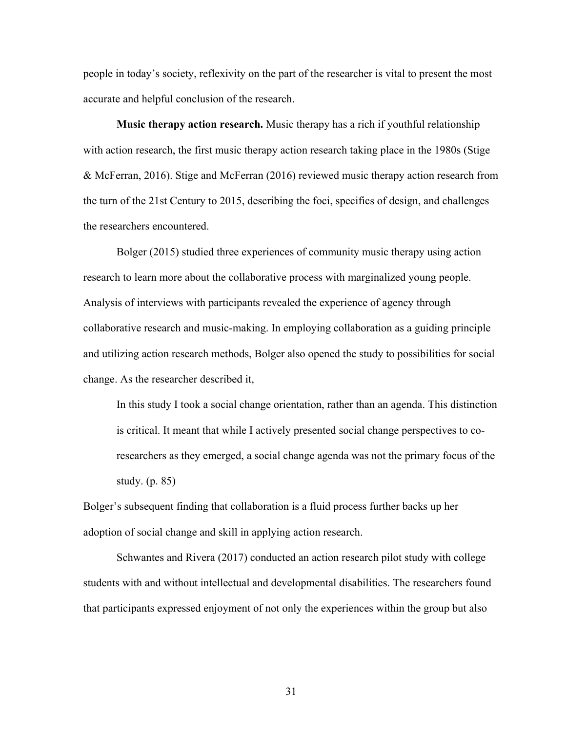people in today's society, reflexivity on the part of the researcher is vital to present the most accurate and helpful conclusion of the research.

**Music therapy action research.** Music therapy has a rich if youthful relationship with action research, the first music therapy action research taking place in the 1980s (Stige & McFerran, 2016). Stige and McFerran (2016) reviewed music therapy action research from the turn of the 21st Century to 2015, describing the foci, specifics of design, and challenges the researchers encountered.

Bolger (2015) studied three experiences of community music therapy using action research to learn more about the collaborative process with marginalized young people. Analysis of interviews with participants revealed the experience of agency through collaborative research and music-making. In employing collaboration as a guiding principle and utilizing action research methods, Bolger also opened the study to possibilities for social change. As the researcher described it,

In this study I took a social change orientation, rather than an agenda. This distinction is critical. It meant that while I actively presented social change perspectives to coresearchers as they emerged, a social change agenda was not the primary focus of the study. (p. 85)

Bolger's subsequent finding that collaboration is a fluid process further backs up her adoption of social change and skill in applying action research.

Schwantes and Rivera (2017) conducted an action research pilot study with college students with and without intellectual and developmental disabilities. The researchers found that participants expressed enjoyment of not only the experiences within the group but also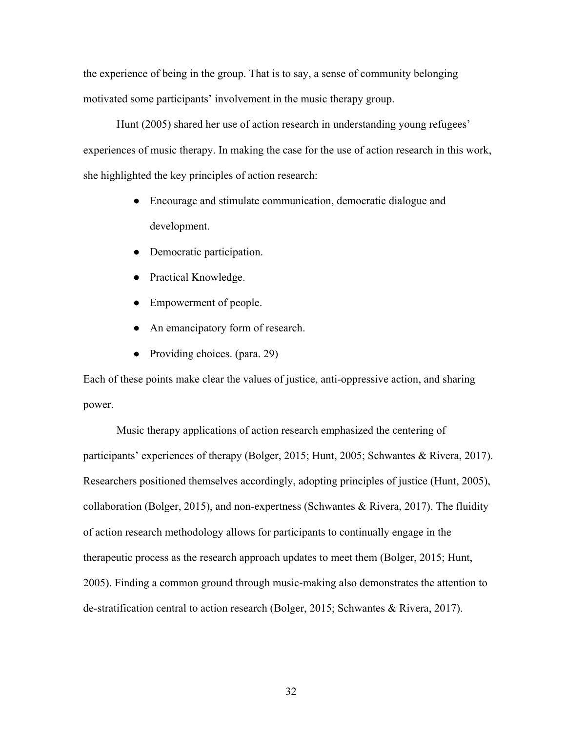the experience of being in the group. That is to say, a sense of community belonging motivated some participants' involvement in the music therapy group.

Hunt (2005) shared her use of action research in understanding young refugees' experiences of music therapy. In making the case for the use of action research in this work, she highlighted the key principles of action research:

- Encourage and stimulate communication, democratic dialogue and development.
- Democratic participation.
- Practical Knowledge.
- Empowerment of people.
- An emancipatory form of research.
- Providing choices. (para. 29)

Each of these points make clear the values of justice, anti-oppressive action, and sharing power.

Music therapy applications of action research emphasized the centering of participants' experiences of therapy (Bolger, 2015; Hunt, 2005; Schwantes & Rivera, 2017). Researchers positioned themselves accordingly, adopting principles of justice (Hunt, 2005), collaboration (Bolger, 2015), and non-expertness (Schwantes & Rivera, 2017). The fluidity of action research methodology allows for participants to continually engage in the therapeutic process as the research approach updates to meet them (Bolger, 2015; Hunt, 2005). Finding a common ground through music-making also demonstrates the attention to de-stratification central to action research (Bolger, 2015; Schwantes & Rivera, 2017).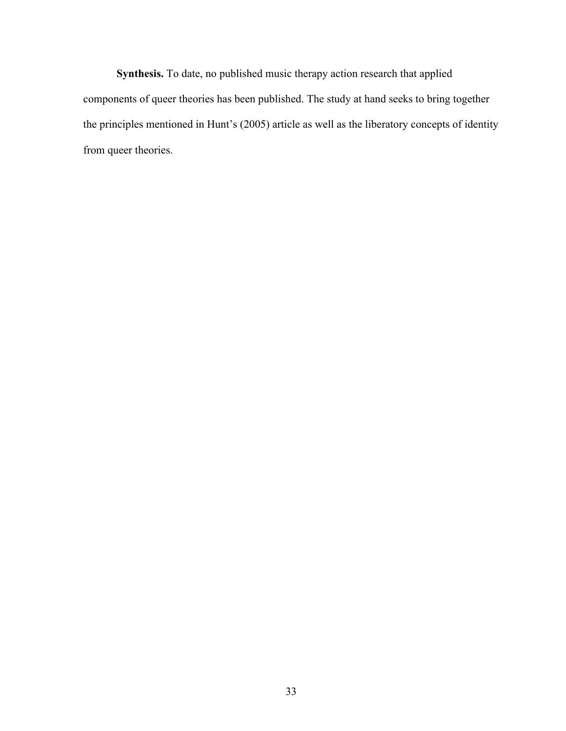**Synthesis.** To date, no published music therapy action research that applied components of queer theories has been published. The study at hand seeks to bring together the principles mentioned in Hunt's (2005) article as well as the liberatory concepts of identity from queer theories.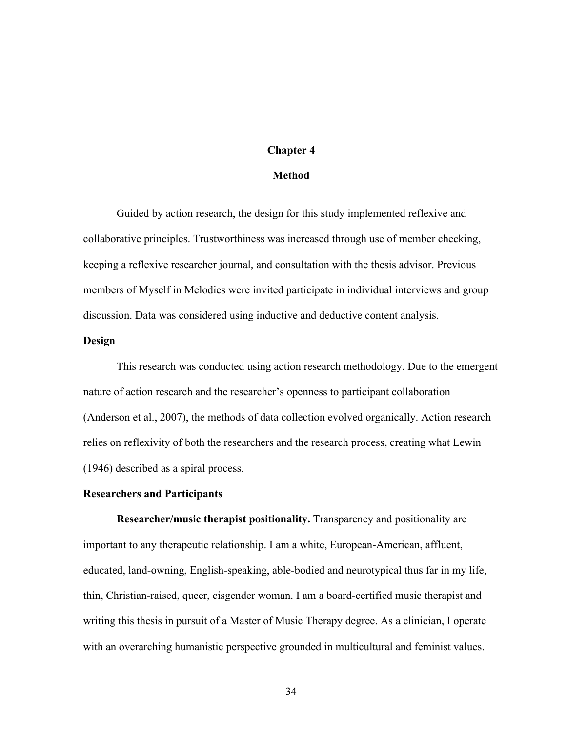# **Chapter 4**

#### **Method**

Guided by action research, the design for this study implemented reflexive and collaborative principles. Trustworthiness was increased through use of member checking, keeping a reflexive researcher journal, and consultation with the thesis advisor. Previous members of Myself in Melodies were invited participate in individual interviews and group discussion. Data was considered using inductive and deductive content analysis.

# **Design**

This research was conducted using action research methodology. Due to the emergent nature of action research and the researcher's openness to participant collaboration (Anderson et al., 2007), the methods of data collection evolved organically. Action research relies on reflexivity of both the researchers and the research process, creating what Lewin (1946) described as a spiral process.

### **Researchers and Participants**

**Researcher/music therapist positionality.** Transparency and positionality are important to any therapeutic relationship. I am a white, European-American, affluent, educated, land-owning, English-speaking, able-bodied and neurotypical thus far in my life, thin, Christian-raised, queer, cisgender woman. I am a board-certified music therapist and writing this thesis in pursuit of a Master of Music Therapy degree. As a clinician, I operate with an overarching humanistic perspective grounded in multicultural and feminist values.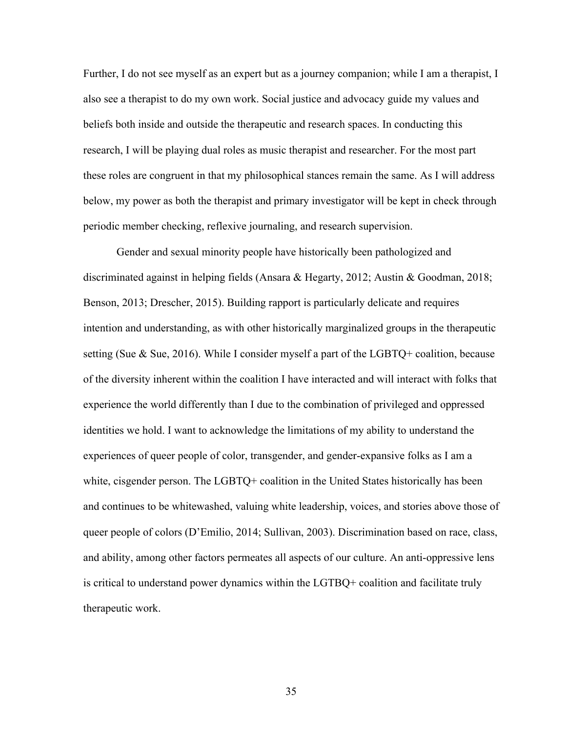Further, I do not see myself as an expert but as a journey companion; while I am a therapist, I also see a therapist to do my own work. Social justice and advocacy guide my values and beliefs both inside and outside the therapeutic and research spaces. In conducting this research, I will be playing dual roles as music therapist and researcher. For the most part these roles are congruent in that my philosophical stances remain the same. As I will address below, my power as both the therapist and primary investigator will be kept in check through periodic member checking, reflexive journaling, and research supervision.

Gender and sexual minority people have historically been pathologized and discriminated against in helping fields (Ansara & Hegarty, 2012; Austin & Goodman, 2018; Benson, 2013; Drescher, 2015). Building rapport is particularly delicate and requires intention and understanding, as with other historically marginalized groups in the therapeutic setting (Sue & Sue, 2016). While I consider myself a part of the LGBTQ+ coalition, because of the diversity inherent within the coalition I have interacted and will interact with folks that experience the world differently than I due to the combination of privileged and oppressed identities we hold. I want to acknowledge the limitations of my ability to understand the experiences of queer people of color, transgender, and gender-expansive folks as I am a white, cisgender person. The LGBTQ+ coalition in the United States historically has been and continues to be whitewashed, valuing white leadership, voices, and stories above those of queer people of colors (D'Emilio, 2014; Sullivan, 2003). Discrimination based on race, class, and ability, among other factors permeates all aspects of our culture. An anti-oppressive lens is critical to understand power dynamics within the LGTBQ+ coalition and facilitate truly therapeutic work.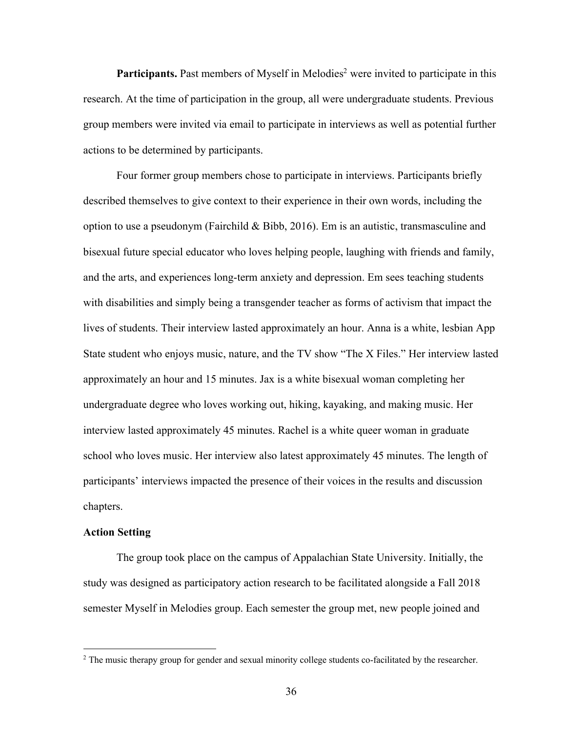**Participants.** Past members of Myself in Melodies<sup>2</sup> were invited to participate in this research. At the time of participation in the group, all were undergraduate students. Previous group members were invited via email to participate in interviews as well as potential further actions to be determined by participants.

Four former group members chose to participate in interviews. Participants briefly described themselves to give context to their experience in their own words, including the option to use a pseudonym (Fairchild & Bibb, 2016). Em is an autistic, transmasculine and bisexual future special educator who loves helping people, laughing with friends and family, and the arts, and experiences long-term anxiety and depression. Em sees teaching students with disabilities and simply being a transgender teacher as forms of activism that impact the lives of students. Their interview lasted approximately an hour. Anna is a white, lesbian App State student who enjoys music, nature, and the TV show "The X Files." Her interview lasted approximately an hour and 15 minutes. Jax is a white bisexual woman completing her undergraduate degree who loves working out, hiking, kayaking, and making music. Her interview lasted approximately 45 minutes. Rachel is a white queer woman in graduate school who loves music. Her interview also latest approximately 45 minutes. The length of participants' interviews impacted the presence of their voices in the results and discussion chapters.

# **Action Setting**

The group took place on the campus of Appalachian State University. Initially, the study was designed as participatory action research to be facilitated alongside a Fall 2018 semester Myself in Melodies group. Each semester the group met, new people joined and

<sup>&</sup>lt;sup>2</sup> The music therapy group for gender and sexual minority college students co-facilitated by the researcher.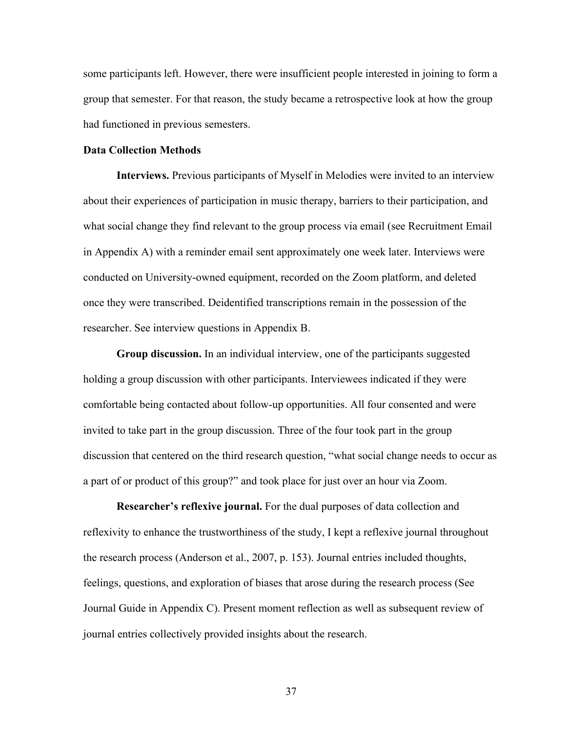some participants left. However, there were insufficient people interested in joining to form a group that semester. For that reason, the study became a retrospective look at how the group had functioned in previous semesters.

#### **Data Collection Methods**

**Interviews.** Previous participants of Myself in Melodies were invited to an interview about their experiences of participation in music therapy, barriers to their participation, and what social change they find relevant to the group process via email (see Recruitment Email in Appendix A) with a reminder email sent approximately one week later. Interviews were conducted on University-owned equipment, recorded on the Zoom platform, and deleted once they were transcribed. Deidentified transcriptions remain in the possession of the researcher. See interview questions in Appendix B.

**Group discussion.** In an individual interview, one of the participants suggested holding a group discussion with other participants. Interviewees indicated if they were comfortable being contacted about follow-up opportunities. All four consented and were invited to take part in the group discussion. Three of the four took part in the group discussion that centered on the third research question, "what social change needs to occur as a part of or product of this group?" and took place for just over an hour via Zoom.

**Researcher's reflexive journal.** For the dual purposes of data collection and reflexivity to enhance the trustworthiness of the study, I kept a reflexive journal throughout the research process (Anderson et al., 2007, p. 153). Journal entries included thoughts, feelings, questions, and exploration of biases that arose during the research process (See Journal Guide in Appendix C). Present moment reflection as well as subsequent review of journal entries collectively provided insights about the research.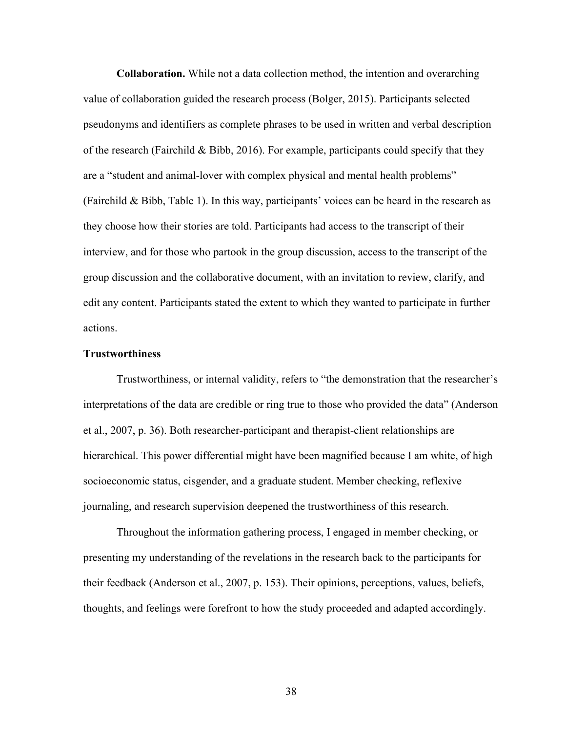**Collaboration.** While not a data collection method, the intention and overarching value of collaboration guided the research process (Bolger, 2015). Participants selected pseudonyms and identifiers as complete phrases to be used in written and verbal description of the research (Fairchild & Bibb, 2016). For example, participants could specify that they are a "student and animal-lover with complex physical and mental health problems" (Fairchild & Bibb, Table 1). In this way, participants' voices can be heard in the research as they choose how their stories are told. Participants had access to the transcript of their interview, and for those who partook in the group discussion, access to the transcript of the group discussion and the collaborative document, with an invitation to review, clarify, and edit any content. Participants stated the extent to which they wanted to participate in further actions.

# **Trustworthiness**

Trustworthiness, or internal validity, refers to "the demonstration that the researcher's interpretations of the data are credible or ring true to those who provided the data" (Anderson et al., 2007, p. 36). Both researcher-participant and therapist-client relationships are hierarchical. This power differential might have been magnified because I am white, of high socioeconomic status, cisgender, and a graduate student. Member checking, reflexive journaling, and research supervision deepened the trustworthiness of this research.

Throughout the information gathering process, I engaged in member checking, or presenting my understanding of the revelations in the research back to the participants for their feedback (Anderson et al., 2007, p. 153). Their opinions, perceptions, values, beliefs, thoughts, and feelings were forefront to how the study proceeded and adapted accordingly.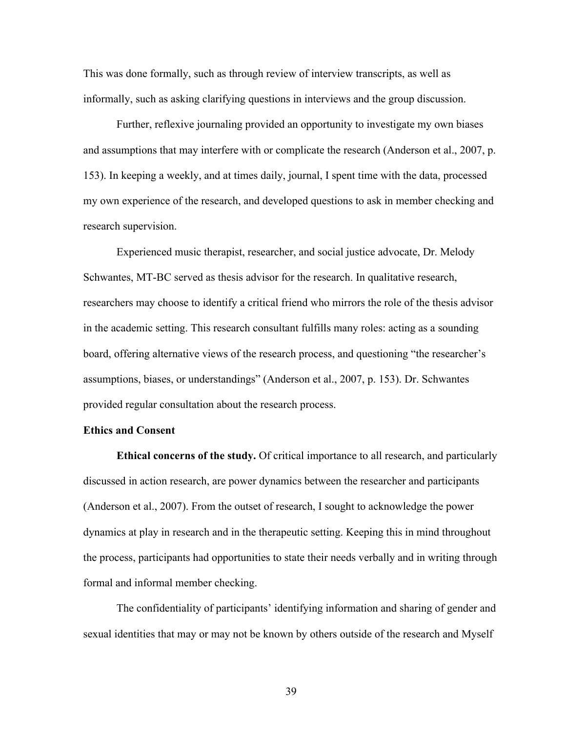This was done formally, such as through review of interview transcripts, as well as informally, such as asking clarifying questions in interviews and the group discussion.

Further, reflexive journaling provided an opportunity to investigate my own biases and assumptions that may interfere with or complicate the research (Anderson et al., 2007, p. 153). In keeping a weekly, and at times daily, journal, I spent time with the data, processed my own experience of the research, and developed questions to ask in member checking and research supervision.

Experienced music therapist, researcher, and social justice advocate, Dr. Melody Schwantes, MT-BC served as thesis advisor for the research. In qualitative research, researchers may choose to identify a critical friend who mirrors the role of the thesis advisor in the academic setting. This research consultant fulfills many roles: acting as a sounding board, offering alternative views of the research process, and questioning "the researcher's assumptions, biases, or understandings" (Anderson et al., 2007, p. 153). Dr. Schwantes provided regular consultation about the research process.

### **Ethics and Consent**

**Ethical concerns of the study.** Of critical importance to all research, and particularly discussed in action research, are power dynamics between the researcher and participants (Anderson et al., 2007). From the outset of research, I sought to acknowledge the power dynamics at play in research and in the therapeutic setting. Keeping this in mind throughout the process, participants had opportunities to state their needs verbally and in writing through formal and informal member checking.

The confidentiality of participants' identifying information and sharing of gender and sexual identities that may or may not be known by others outside of the research and Myself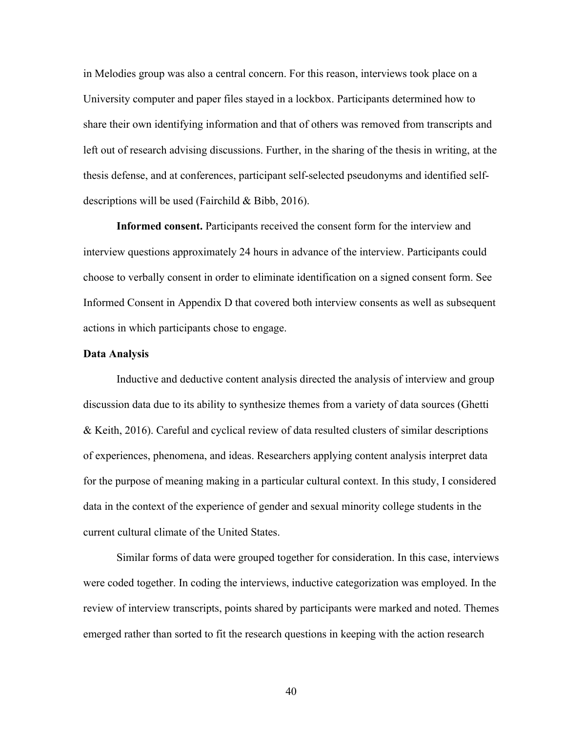in Melodies group was also a central concern. For this reason, interviews took place on a University computer and paper files stayed in a lockbox. Participants determined how to share their own identifying information and that of others was removed from transcripts and left out of research advising discussions. Further, in the sharing of the thesis in writing, at the thesis defense, and at conferences, participant self-selected pseudonyms and identified selfdescriptions will be used (Fairchild & Bibb, 2016).

**Informed consent.** Participants received the consent form for the interview and interview questions approximately 24 hours in advance of the interview. Participants could choose to verbally consent in order to eliminate identification on a signed consent form. See Informed Consent in Appendix D that covered both interview consents as well as subsequent actions in which participants chose to engage.

#### **Data Analysis**

Inductive and deductive content analysis directed the analysis of interview and group discussion data due to its ability to synthesize themes from a variety of data sources (Ghetti & Keith, 2016). Careful and cyclical review of data resulted clusters of similar descriptions of experiences, phenomena, and ideas. Researchers applying content analysis interpret data for the purpose of meaning making in a particular cultural context. In this study, I considered data in the context of the experience of gender and sexual minority college students in the current cultural climate of the United States.

Similar forms of data were grouped together for consideration. In this case, interviews were coded together. In coding the interviews, inductive categorization was employed. In the review of interview transcripts, points shared by participants were marked and noted. Themes emerged rather than sorted to fit the research questions in keeping with the action research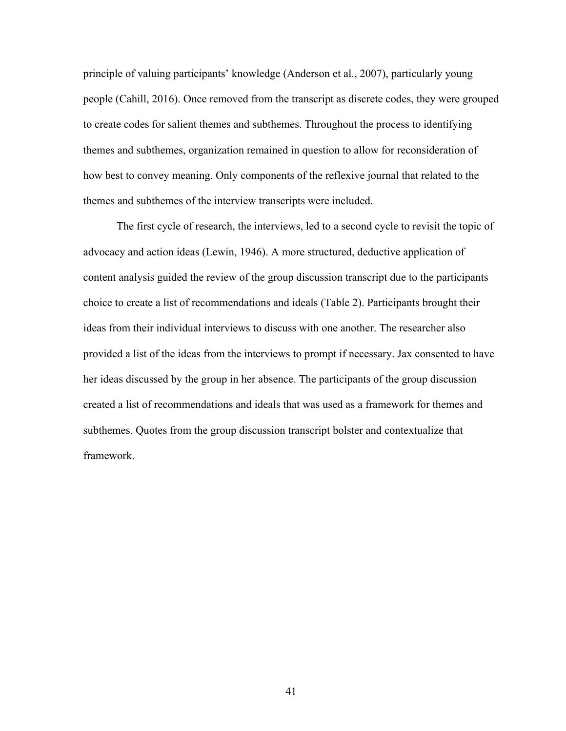principle of valuing participants' knowledge (Anderson et al., 2007), particularly young people (Cahill, 2016). Once removed from the transcript as discrete codes, they were grouped to create codes for salient themes and subthemes. Throughout the process to identifying themes and subthemes, organization remained in question to allow for reconsideration of how best to convey meaning. Only components of the reflexive journal that related to the themes and subthemes of the interview transcripts were included.

The first cycle of research, the interviews, led to a second cycle to revisit the topic of advocacy and action ideas (Lewin, 1946). A more structured, deductive application of content analysis guided the review of the group discussion transcript due to the participants choice to create a list of recommendations and ideals (Table 2). Participants brought their ideas from their individual interviews to discuss with one another. The researcher also provided a list of the ideas from the interviews to prompt if necessary. Jax consented to have her ideas discussed by the group in her absence. The participants of the group discussion created a list of recommendations and ideals that was used as a framework for themes and subthemes. Quotes from the group discussion transcript bolster and contextualize that framework.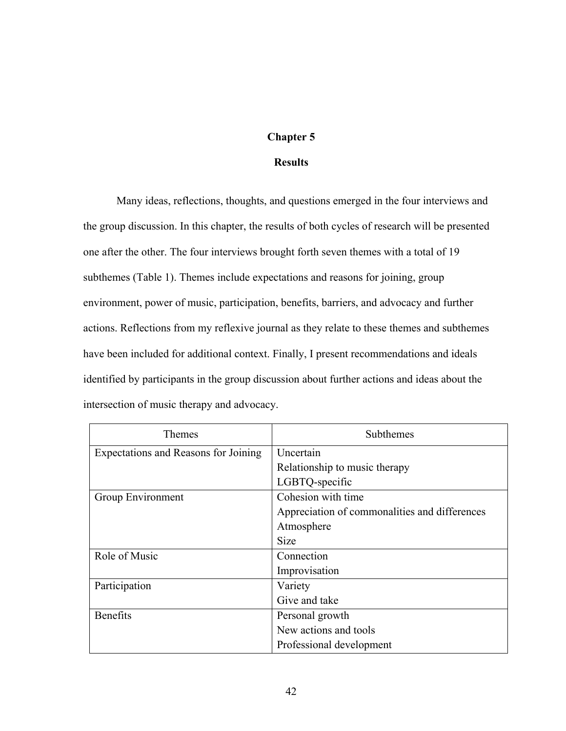# **Chapter 5**

# **Results**

Many ideas, reflections, thoughts, and questions emerged in the four interviews and the group discussion. In this chapter, the results of both cycles of research will be presented one after the other. The four interviews brought forth seven themes with a total of 19 subthemes (Table 1). Themes include expectations and reasons for joining, group environment, power of music, participation, benefits, barriers, and advocacy and further actions. Reflections from my reflexive journal as they relate to these themes and subthemes have been included for additional context. Finally, I present recommendations and ideals identified by participants in the group discussion about further actions and ideas about the intersection of music therapy and advocacy.

| Themes                               | Subthemes                                     |
|--------------------------------------|-----------------------------------------------|
| Expectations and Reasons for Joining | Uncertain                                     |
|                                      | Relationship to music therapy                 |
|                                      | LGBTQ-specific                                |
| Group Environment                    | Cohesion with time                            |
|                                      | Appreciation of commonalities and differences |
|                                      | Atmosphere                                    |
|                                      | Size                                          |
| Role of Music                        | Connection                                    |
|                                      | Improvisation                                 |
| Participation                        | Variety                                       |
|                                      | Give and take                                 |
| <b>Benefits</b>                      | Personal growth                               |
|                                      | New actions and tools                         |
|                                      | Professional development                      |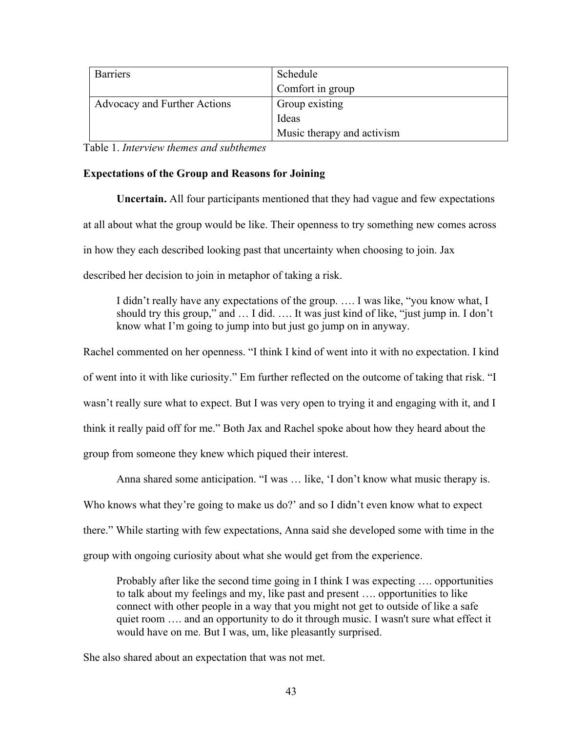| <b>Barriers</b>              | Schedule                   |
|------------------------------|----------------------------|
|                              | Comfort in group           |
| Advocacy and Further Actions | Group existing             |
|                              | Ideas                      |
|                              | Music therapy and activism |

Table 1. *Interview themes and subthemes*

# **Expectations of the Group and Reasons for Joining**

**Uncertain.** All four participants mentioned that they had vague and few expectations at all about what the group would be like. Their openness to try something new comes across in how they each described looking past that uncertainty when choosing to join. Jax described her decision to join in metaphor of taking a risk.

I didn't really have any expectations of the group. …. I was like, "you know what, I should try this group," and … I did. …. It was just kind of like, "just jump in. I don't know what I'm going to jump into but just go jump on in anyway.

Rachel commented on her openness. "I think I kind of went into it with no expectation. I kind of went into it with like curiosity." Em further reflected on the outcome of taking that risk. "I wasn't really sure what to expect. But I was very open to trying it and engaging with it, and I think it really paid off for me." Both Jax and Rachel spoke about how they heard about the group from someone they knew which piqued their interest.

Anna shared some anticipation. "I was … like, 'I don't know what music therapy is. Who knows what they're going to make us do?' and so I didn't even know what to expect there." While starting with few expectations, Anna said she developed some with time in the group with ongoing curiosity about what she would get from the experience.

Probably after like the second time going in I think I was expecting …. opportunities to talk about my feelings and my, like past and present …. opportunities to like connect with other people in a way that you might not get to outside of like a safe quiet room …. and an opportunity to do it through music. I wasn't sure what effect it would have on me. But I was, um, like pleasantly surprised.

She also shared about an expectation that was not met.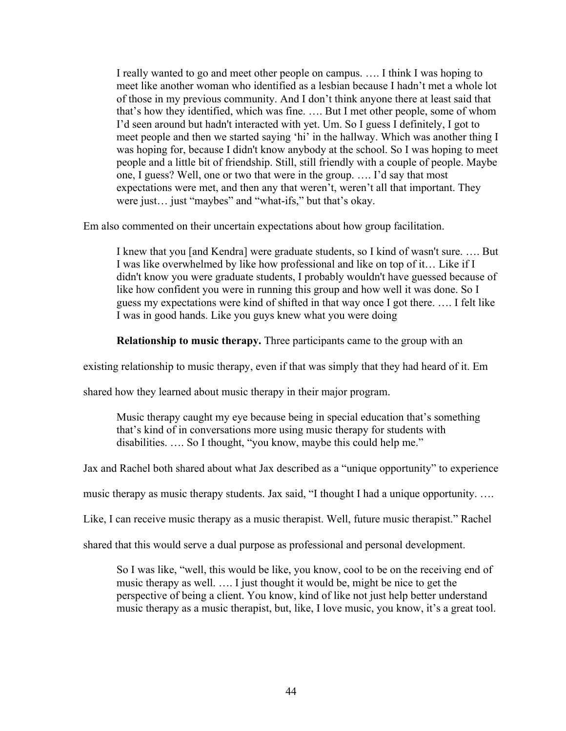I really wanted to go and meet other people on campus. …. I think I was hoping to meet like another woman who identified as a lesbian because I hadn't met a whole lot of those in my previous community. And I don't think anyone there at least said that that's how they identified, which was fine. …. But I met other people, some of whom I'd seen around but hadn't interacted with yet. Um. So I guess I definitely, I got to meet people and then we started saying 'hi' in the hallway. Which was another thing I was hoping for, because I didn't know anybody at the school. So I was hoping to meet people and a little bit of friendship. Still, still friendly with a couple of people. Maybe one, I guess? Well, one or two that were in the group. …. I'd say that most expectations were met, and then any that weren't, weren't all that important. They were just… just "maybes" and "what-ifs," but that's okay.

Em also commented on their uncertain expectations about how group facilitation.

I knew that you [and Kendra] were graduate students, so I kind of wasn't sure. …. But I was like overwhelmed by like how professional and like on top of it… Like if I didn't know you were graduate students, I probably wouldn't have guessed because of like how confident you were in running this group and how well it was done. So I guess my expectations were kind of shifted in that way once I got there. …. I felt like I was in good hands. Like you guys knew what you were doing

**Relationship to music therapy.** Three participants came to the group with an

existing relationship to music therapy, even if that was simply that they had heard of it. Em

shared how they learned about music therapy in their major program.

Music therapy caught my eye because being in special education that's something that's kind of in conversations more using music therapy for students with disabilities. …. So I thought, "you know, maybe this could help me."

Jax and Rachel both shared about what Jax described as a "unique opportunity" to experience

music therapy as music therapy students. Jax said, "I thought I had a unique opportunity. ….

Like, I can receive music therapy as a music therapist. Well, future music therapist." Rachel

shared that this would serve a dual purpose as professional and personal development.

So I was like, "well, this would be like, you know, cool to be on the receiving end of music therapy as well. …. I just thought it would be, might be nice to get the perspective of being a client. You know, kind of like not just help better understand music therapy as a music therapist, but, like, I love music, you know, it's a great tool.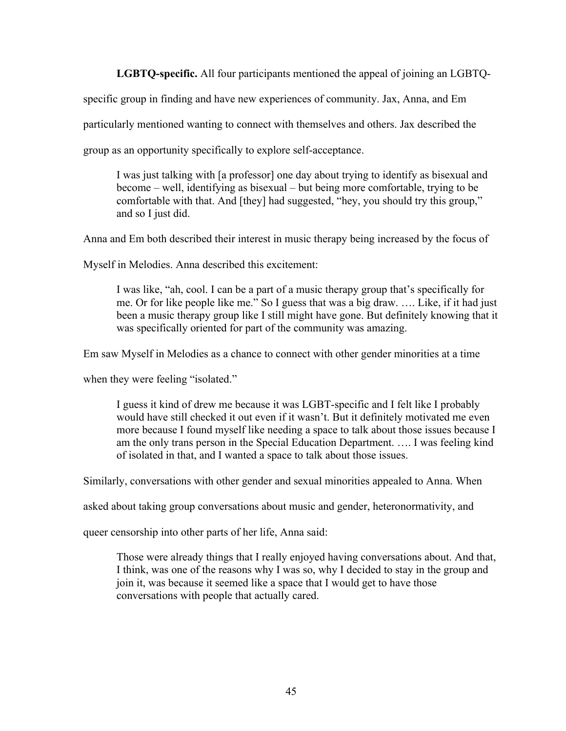**LGBTQ-specific.** All four participants mentioned the appeal of joining an LGBTQ-

specific group in finding and have new experiences of community. Jax, Anna, and Em

particularly mentioned wanting to connect with themselves and others. Jax described the

group as an opportunity specifically to explore self-acceptance.

I was just talking with [a professor] one day about trying to identify as bisexual and become – well, identifying as bisexual – but being more comfortable, trying to be comfortable with that. And [they] had suggested, "hey, you should try this group," and so I just did.

Anna and Em both described their interest in music therapy being increased by the focus of

Myself in Melodies. Anna described this excitement:

I was like, "ah, cool. I can be a part of a music therapy group that's specifically for me. Or for like people like me." So I guess that was a big draw. …. Like, if it had just been a music therapy group like I still might have gone. But definitely knowing that it was specifically oriented for part of the community was amazing.

Em saw Myself in Melodies as a chance to connect with other gender minorities at a time

when they were feeling "isolated."

I guess it kind of drew me because it was LGBT-specific and I felt like I probably would have still checked it out even if it wasn't. But it definitely motivated me even more because I found myself like needing a space to talk about those issues because I am the only trans person in the Special Education Department. …. I was feeling kind of isolated in that, and I wanted a space to talk about those issues.

Similarly, conversations with other gender and sexual minorities appealed to Anna. When

asked about taking group conversations about music and gender, heteronormativity, and

queer censorship into other parts of her life, Anna said:

Those were already things that I really enjoyed having conversations about. And that, I think, was one of the reasons why I was so, why I decided to stay in the group and join it, was because it seemed like a space that I would get to have those conversations with people that actually cared.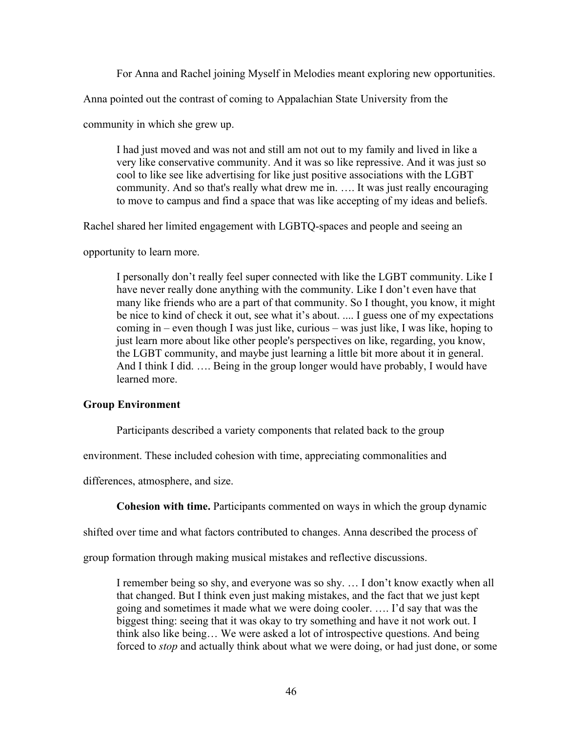For Anna and Rachel joining Myself in Melodies meant exploring new opportunities.

Anna pointed out the contrast of coming to Appalachian State University from the

community in which she grew up.

I had just moved and was not and still am not out to my family and lived in like a very like conservative community. And it was so like repressive. And it was just so cool to like see like advertising for like just positive associations with the LGBT community. And so that's really what drew me in. …. It was just really encouraging to move to campus and find a space that was like accepting of my ideas and beliefs.

Rachel shared her limited engagement with LGBTQ-spaces and people and seeing an

opportunity to learn more.

I personally don't really feel super connected with like the LGBT community. Like I have never really done anything with the community. Like I don't even have that many like friends who are a part of that community. So I thought, you know, it might be nice to kind of check it out, see what it's about. .... I guess one of my expectations coming in – even though I was just like, curious – was just like, I was like, hoping to just learn more about like other people's perspectives on like, regarding, you know, the LGBT community, and maybe just learning a little bit more about it in general. And I think I did. …. Being in the group longer would have probably, I would have learned more.

#### **Group Environment**

Participants described a variety components that related back to the group

environment. These included cohesion with time, appreciating commonalities and

differences, atmosphere, and size.

**Cohesion with time.** Participants commented on ways in which the group dynamic

shifted over time and what factors contributed to changes. Anna described the process of

group formation through making musical mistakes and reflective discussions.

I remember being so shy, and everyone was so shy. … I don't know exactly when all that changed. But I think even just making mistakes, and the fact that we just kept going and sometimes it made what we were doing cooler. …. I'd say that was the biggest thing: seeing that it was okay to try something and have it not work out. I think also like being… We were asked a lot of introspective questions. And being forced to *stop* and actually think about what we were doing, or had just done, or some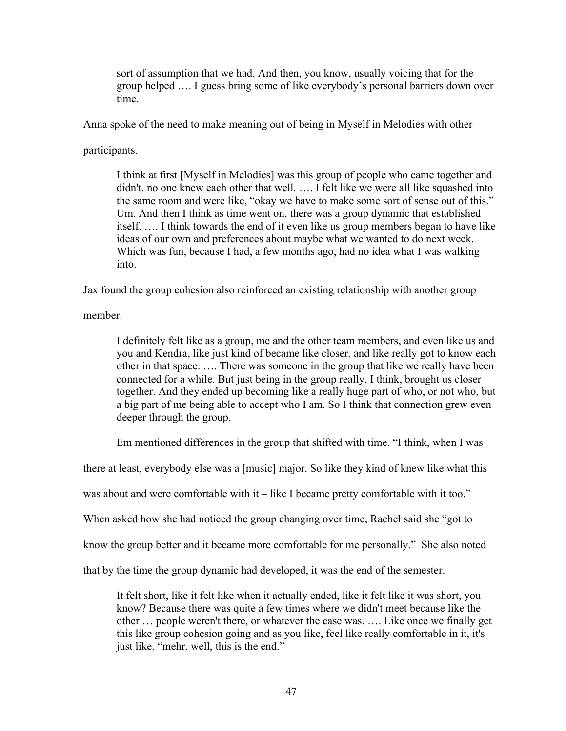sort of assumption that we had. And then, you know, usually voicing that for the group helped …. I guess bring some of like everybody's personal barriers down over time.

Anna spoke of the need to make meaning out of being in Myself in Melodies with other

participants.

I think at first [Myself in Melodies] was this group of people who came together and didn't, no one knew each other that well. …. I felt like we were all like squashed into the same room and were like, "okay we have to make some sort of sense out of this." Um. And then I think as time went on, there was a group dynamic that established itself. …. I think towards the end of it even like us group members began to have like ideas of our own and preferences about maybe what we wanted to do next week. Which was fun, because I had, a few months ago, had no idea what I was walking into.

Jax found the group cohesion also reinforced an existing relationship with another group

member.

I definitely felt like as a group, me and the other team members, and even like us and you and Kendra, like just kind of became like closer, and like really got to know each other in that space. …. There was someone in the group that like we really have been connected for a while. But just being in the group really, I think, brought us closer together. And they ended up becoming like a really huge part of who, or not who, but a big part of me being able to accept who I am. So I think that connection grew even deeper through the group.

Em mentioned differences in the group that shifted with time. "I think, when I was

there at least, everybody else was a [music] major. So like they kind of knew like what this

was about and were comfortable with it – like I became pretty comfortable with it too."

When asked how she had noticed the group changing over time, Rachel said she "got to

know the group better and it became more comfortable for me personally." She also noted

that by the time the group dynamic had developed, it was the end of the semester.

It felt short, like it felt like when it actually ended, like it felt like it was short, you know? Because there was quite a few times where we didn't meet because like the other … people weren't there, or whatever the case was. …. Like once we finally get this like group cohesion going and as you like, feel like really comfortable in it, it's just like, "mehr, well, this is the end."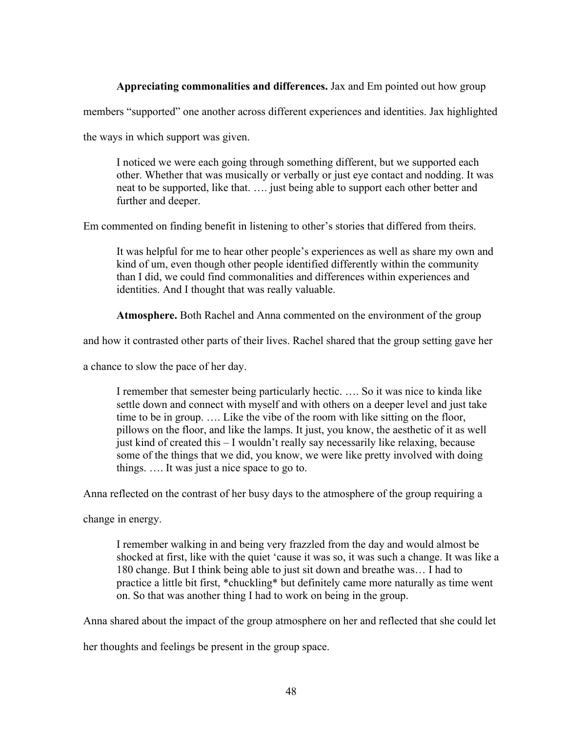# **Appreciating commonalities and differences.** Jax and Em pointed out how group

members "supported" one another across different experiences and identities. Jax highlighted

the ways in which support was given.

I noticed we were each going through something different, but we supported each other. Whether that was musically or verbally or just eye contact and nodding. It was neat to be supported, like that. …. just being able to support each other better and further and deeper.

Em commented on finding benefit in listening to other's stories that differed from theirs.

It was helpful for me to hear other people's experiences as well as share my own and kind of um, even though other people identified differently within the community than I did, we could find commonalities and differences within experiences and identities. And I thought that was really valuable.

**Atmosphere.** Both Rachel and Anna commented on the environment of the group

and how it contrasted other parts of their lives. Rachel shared that the group setting gave her

a chance to slow the pace of her day.

I remember that semester being particularly hectic. …. So it was nice to kinda like settle down and connect with myself and with others on a deeper level and just take time to be in group. …. Like the vibe of the room with like sitting on the floor, pillows on the floor, and like the lamps. It just, you know, the aesthetic of it as well just kind of created this – I wouldn't really say necessarily like relaxing, because some of the things that we did, you know, we were like pretty involved with doing things. …. It was just a nice space to go to.

Anna reflected on the contrast of her busy days to the atmosphere of the group requiring a

change in energy.

I remember walking in and being very frazzled from the day and would almost be shocked at first, like with the quiet 'cause it was so, it was such a change. It was like a 180 change. But I think being able to just sit down and breathe was… I had to practice a little bit first, \*chuckling\* but definitely came more naturally as time went on. So that was another thing I had to work on being in the group.

Anna shared about the impact of the group atmosphere on her and reflected that she could let

her thoughts and feelings be present in the group space.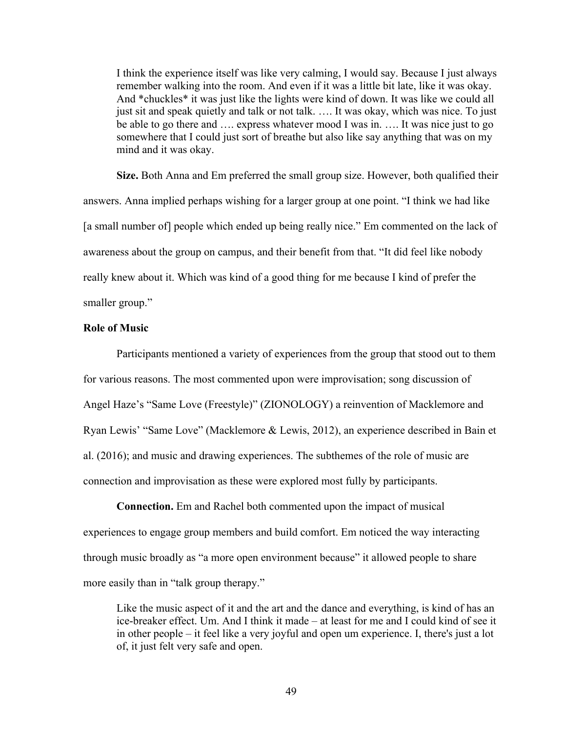I think the experience itself was like very calming, I would say. Because I just always remember walking into the room. And even if it was a little bit late, like it was okay. And \*chuckles\* it was just like the lights were kind of down. It was like we could all just sit and speak quietly and talk or not talk. .... It was okay, which was nice. To just be able to go there and …. express whatever mood I was in. …. It was nice just to go somewhere that I could just sort of breathe but also like say anything that was on my mind and it was okay.

**Size.** Both Anna and Em preferred the small group size. However, both qualified their answers. Anna implied perhaps wishing for a larger group at one point. "I think we had like [a small number of] people which ended up being really nice." Em commented on the lack of awareness about the group on campus, and their benefit from that. "It did feel like nobody really knew about it. Which was kind of a good thing for me because I kind of prefer the smaller group."

### **Role of Music**

Participants mentioned a variety of experiences from the group that stood out to them for various reasons. The most commented upon were improvisation; song discussion of Angel Haze's "Same Love (Freestyle)" (ZIONOLOGY) a reinvention of Macklemore and Ryan Lewis' "Same Love" (Macklemore & Lewis, 2012), an experience described in Bain et al. (2016); and music and drawing experiences. The subthemes of the role of music are connection and improvisation as these were explored most fully by participants.

**Connection.** Em and Rachel both commented upon the impact of musical experiences to engage group members and build comfort. Em noticed the way interacting through music broadly as "a more open environment because" it allowed people to share more easily than in "talk group therapy."

Like the music aspect of it and the art and the dance and everything, is kind of has an ice-breaker effect. Um. And I think it made – at least for me and I could kind of see it in other people – it feel like a very joyful and open um experience. I, there's just a lot of, it just felt very safe and open.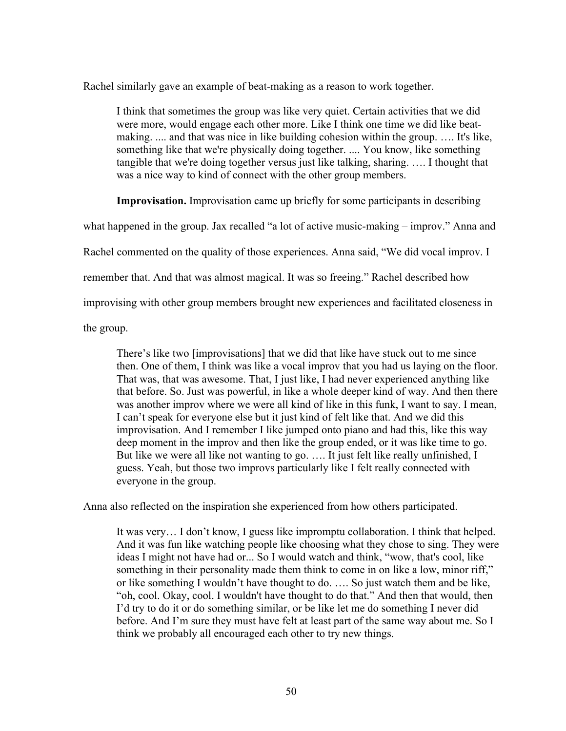Rachel similarly gave an example of beat-making as a reason to work together.

I think that sometimes the group was like very quiet. Certain activities that we did were more, would engage each other more. Like I think one time we did like beatmaking. .... and that was nice in like building cohesion within the group. …. It's like, something like that we're physically doing together. .... You know, like something tangible that we're doing together versus just like talking, sharing. …. I thought that was a nice way to kind of connect with the other group members.

**Improvisation.** Improvisation came up briefly for some participants in describing

what happened in the group. Jax recalled "a lot of active music-making – improv." Anna and

Rachel commented on the quality of those experiences. Anna said, "We did vocal improv. I

remember that. And that was almost magical. It was so freeing." Rachel described how

improvising with other group members brought new experiences and facilitated closeness in

the group.

There's like two [improvisations] that we did that like have stuck out to me since then. One of them, I think was like a vocal improv that you had us laying on the floor. That was, that was awesome. That, I just like, I had never experienced anything like that before. So. Just was powerful, in like a whole deeper kind of way. And then there was another improv where we were all kind of like in this funk, I want to say. I mean, I can't speak for everyone else but it just kind of felt like that. And we did this improvisation. And I remember I like jumped onto piano and had this, like this way deep moment in the improv and then like the group ended, or it was like time to go. But like we were all like not wanting to go. …. It just felt like really unfinished, I guess. Yeah, but those two improvs particularly like I felt really connected with everyone in the group.

Anna also reflected on the inspiration she experienced from how others participated.

It was very… I don't know, I guess like impromptu collaboration. I think that helped. And it was fun like watching people like choosing what they chose to sing. They were ideas I might not have had or... So I would watch and think, "wow, that's cool, like something in their personality made them think to come in on like a low, minor riff," or like something I wouldn't have thought to do. …. So just watch them and be like, "oh, cool. Okay, cool. I wouldn't have thought to do that." And then that would, then I'd try to do it or do something similar, or be like let me do something I never did before. And I'm sure they must have felt at least part of the same way about me. So I think we probably all encouraged each other to try new things.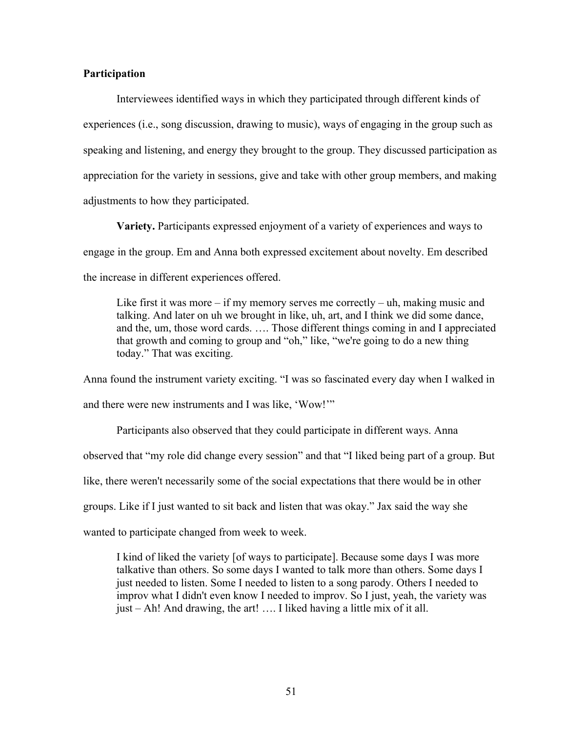# **Participation**

Interviewees identified ways in which they participated through different kinds of experiences (i.e., song discussion, drawing to music), ways of engaging in the group such as speaking and listening, and energy they brought to the group. They discussed participation as appreciation for the variety in sessions, give and take with other group members, and making adjustments to how they participated.

**Variety.** Participants expressed enjoyment of a variety of experiences and ways to engage in the group. Em and Anna both expressed excitement about novelty. Em described the increase in different experiences offered.

Like first it was more  $-i$  f my memory serves me correctly  $-i$ , making music and talking. And later on uh we brought in like, uh, art, and I think we did some dance, and the, um, those word cards. …. Those different things coming in and I appreciated that growth and coming to group and "oh," like, "we're going to do a new thing today." That was exciting.

Anna found the instrument variety exciting. "I was so fascinated every day when I walked in and there were new instruments and I was like, 'Wow!'"

Participants also observed that they could participate in different ways. Anna observed that "my role did change every session" and that "I liked being part of a group. But like, there weren't necessarily some of the social expectations that there would be in other groups. Like if I just wanted to sit back and listen that was okay." Jax said the way she wanted to participate changed from week to week.

I kind of liked the variety [of ways to participate]. Because some days I was more talkative than others. So some days I wanted to talk more than others. Some days I just needed to listen. Some I needed to listen to a song parody. Others I needed to improv what I didn't even know I needed to improv. So I just, yeah, the variety was just – Ah! And drawing, the art! …. I liked having a little mix of it all.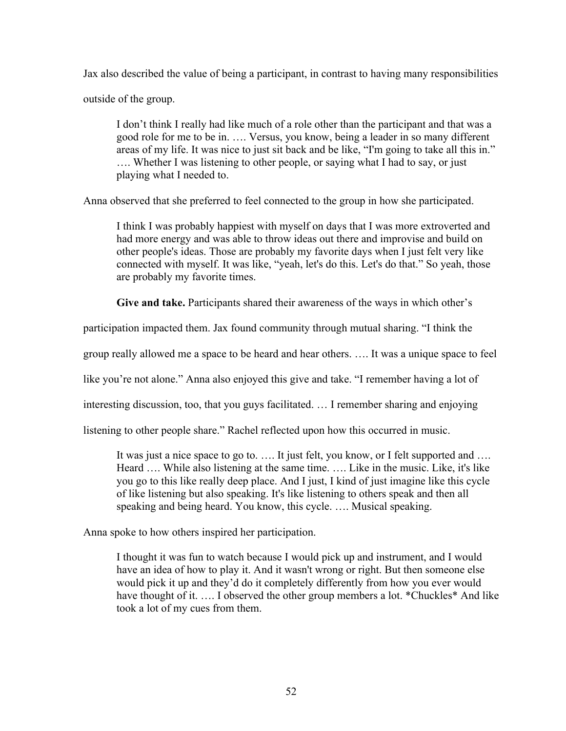Jax also described the value of being a participant, in contrast to having many responsibilities

outside of the group.

I don't think I really had like much of a role other than the participant and that was a good role for me to be in. …. Versus, you know, being a leader in so many different areas of my life. It was nice to just sit back and be like, "I'm going to take all this in." …. Whether I was listening to other people, or saying what I had to say, or just playing what I needed to.

Anna observed that she preferred to feel connected to the group in how she participated.

I think I was probably happiest with myself on days that I was more extroverted and had more energy and was able to throw ideas out there and improvise and build on other people's ideas. Those are probably my favorite days when I just felt very like connected with myself. It was like, "yeah, let's do this. Let's do that." So yeah, those are probably my favorite times.

**Give and take.** Participants shared their awareness of the ways in which other's

participation impacted them. Jax found community through mutual sharing. "I think the

group really allowed me a space to be heard and hear others. …. It was a unique space to feel

like you're not alone." Anna also enjoyed this give and take. "I remember having a lot of

interesting discussion, too, that you guys facilitated. … I remember sharing and enjoying

listening to other people share." Rachel reflected upon how this occurred in music.

It was just a nice space to go to. …. It just felt, you know, or I felt supported and …. Heard …. While also listening at the same time. …. Like in the music. Like, it's like you go to this like really deep place. And I just, I kind of just imagine like this cycle of like listening but also speaking. It's like listening to others speak and then all speaking and being heard. You know, this cycle. …. Musical speaking.

Anna spoke to how others inspired her participation.

I thought it was fun to watch because I would pick up and instrument, and I would have an idea of how to play it. And it wasn't wrong or right. But then someone else would pick it up and they'd do it completely differently from how you ever would have thought of it. .... I observed the other group members a lot. \*Chuckles\* And like took a lot of my cues from them.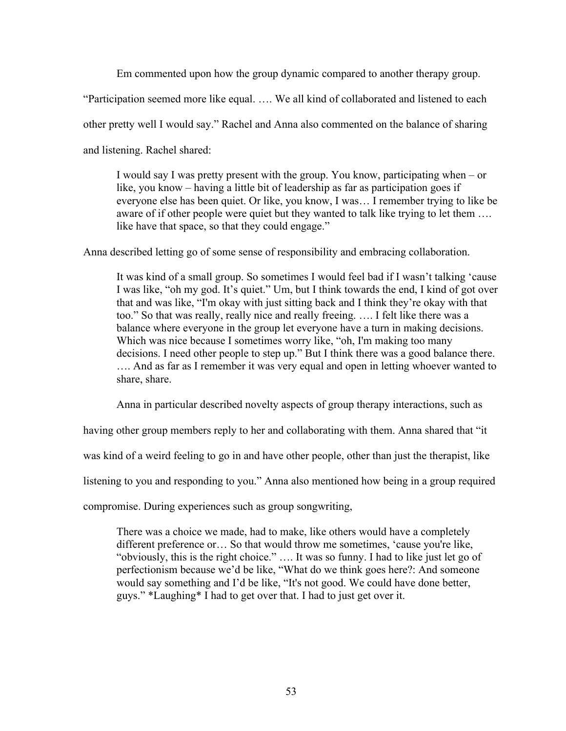Em commented upon how the group dynamic compared to another therapy group.

"Participation seemed more like equal. …. We all kind of collaborated and listened to each

other pretty well I would say." Rachel and Anna also commented on the balance of sharing

and listening. Rachel shared:

I would say I was pretty present with the group. You know, participating when – or like, you know – having a little bit of leadership as far as participation goes if everyone else has been quiet. Or like, you know, I was… I remember trying to like be aware of if other people were quiet but they wanted to talk like trying to let them .... like have that space, so that they could engage."

Anna described letting go of some sense of responsibility and embracing collaboration.

It was kind of a small group. So sometimes I would feel bad if I wasn't talking 'cause I was like, "oh my god. It's quiet." Um, but I think towards the end, I kind of got over that and was like, "I'm okay with just sitting back and I think they're okay with that too." So that was really, really nice and really freeing. …. I felt like there was a balance where everyone in the group let everyone have a turn in making decisions. Which was nice because I sometimes worry like, "oh, I'm making too many decisions. I need other people to step up." But I think there was a good balance there. …. And as far as I remember it was very equal and open in letting whoever wanted to share, share.

Anna in particular described novelty aspects of group therapy interactions, such as

having other group members reply to her and collaborating with them. Anna shared that "it

was kind of a weird feeling to go in and have other people, other than just the therapist, like

listening to you and responding to you." Anna also mentioned how being in a group required

compromise. During experiences such as group songwriting,

There was a choice we made, had to make, like others would have a completely different preference or… So that would throw me sometimes, 'cause you're like, "obviously, this is the right choice." …. It was so funny. I had to like just let go of perfectionism because we'd be like, "What do we think goes here?: And someone would say something and I'd be like, "It's not good. We could have done better, guys." \*Laughing\* I had to get over that. I had to just get over it.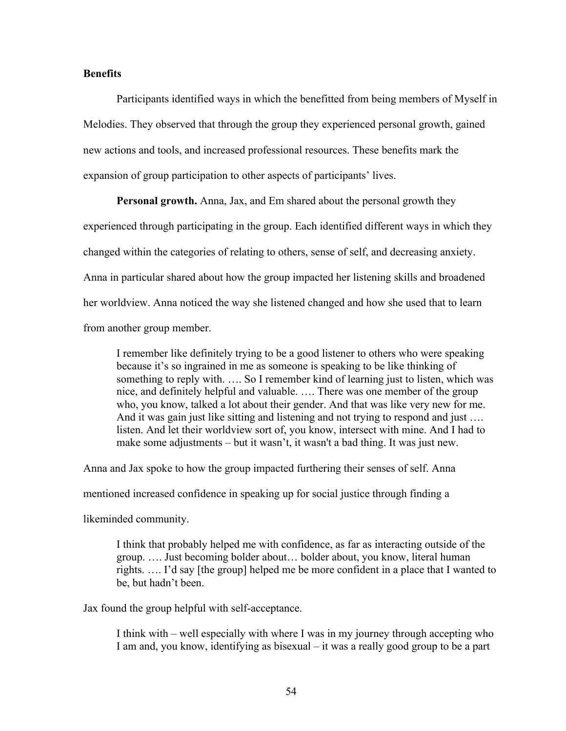# **Benefits**

Participants identified ways in which the benefitted from being members of Myself in Melodies. They observed that through the group they experienced personal growth, gained new actions and tools, and increased professional resources. These benefits mark the expansion of group participation to other aspects of participants' lives.

**Personal growth.** Anna, Jax, and Em shared about the personal growth they experienced through participating in the group. Each identified different ways in which they changed within the categories of relating to others, sense of self, and decreasing anxiety. Anna in particular shared about how the group impacted her listening skills and broadened her worldview. Anna noticed the way she listened changed and how she used that to learn from another group member.

I remember like definitely trying to be a good listener to others who were speaking because it's so ingrained in me as someone is speaking to be like thinking of something to reply with. …. So I remember kind of learning just to listen, which was nice, and definitely helpful and valuable. …. There was one member of the group who, you know, talked a lot about their gender. And that was like very new for me. And it was gain just like sitting and listening and not trying to respond and just .... listen. And let their worldview sort of, you know, intersect with mine. And I had to make some adjustments – but it wasn't, it wasn't a bad thing. It was just new.

Anna and Jax spoke to how the group impacted furthering their senses of self. Anna

mentioned increased confidence in speaking up for social justice through finding a

likeminded community.

I think that probably helped me with confidence, as far as interacting outside of the group. …. Just becoming bolder about… bolder about, you know, literal human rights. …. I'd say [the group] helped me be more confident in a place that I wanted to be, but hadn't been.

Jax found the group helpful with self-acceptance.

I think with – well especially with where I was in my journey through accepting who I am and, you know, identifying as bisexual – it was a really good group to be a part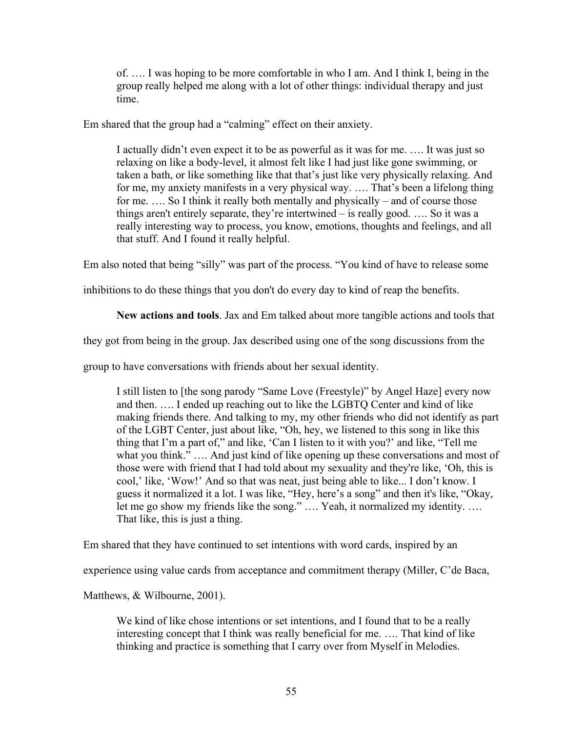of. …. I was hoping to be more comfortable in who I am. And I think I, being in the group really helped me along with a lot of other things: individual therapy and just time.

Em shared that the group had a "calming" effect on their anxiety.

I actually didn't even expect it to be as powerful as it was for me. …. It was just so relaxing on like a body-level, it almost felt like I had just like gone swimming, or taken a bath, or like something like that that's just like very physically relaxing. And for me, my anxiety manifests in a very physical way. …. That's been a lifelong thing for me. …. So I think it really both mentally and physically – and of course those things aren't entirely separate, they're intertwined – is really good. …. So it was a really interesting way to process, you know, emotions, thoughts and feelings, and all that stuff. And I found it really helpful.

Em also noted that being "silly" was part of the process. "You kind of have to release some

inhibitions to do these things that you don't do every day to kind of reap the benefits.

**New actions and tools**. Jax and Em talked about more tangible actions and tools that

they got from being in the group. Jax described using one of the song discussions from the

group to have conversations with friends about her sexual identity.

I still listen to [the song parody "Same Love (Freestyle)" by Angel Haze] every now and then. …. I ended up reaching out to like the LGBTQ Center and kind of like making friends there. And talking to my, my other friends who did not identify as part of the LGBT Center, just about like, "Oh, hey, we listened to this song in like this thing that I'm a part of," and like, 'Can I listen to it with you?' and like, "Tell me what you think." .... And just kind of like opening up these conversations and most of those were with friend that I had told about my sexuality and they're like, 'Oh, this is cool,' like, 'Wow!' And so that was neat, just being able to like... I don't know. I guess it normalized it a lot. I was like, "Hey, here's a song" and then it's like, "Okay, let me go show my friends like the song." …. Yeah, it normalized my identity. …. That like, this is just a thing.

Em shared that they have continued to set intentions with word cards, inspired by an

experience using value cards from acceptance and commitment therapy (Miller, C'de Baca,

Matthews, & Wilbourne, 2001).

We kind of like chose intentions or set intentions, and I found that to be a really interesting concept that I think was really beneficial for me. …. That kind of like thinking and practice is something that I carry over from Myself in Melodies.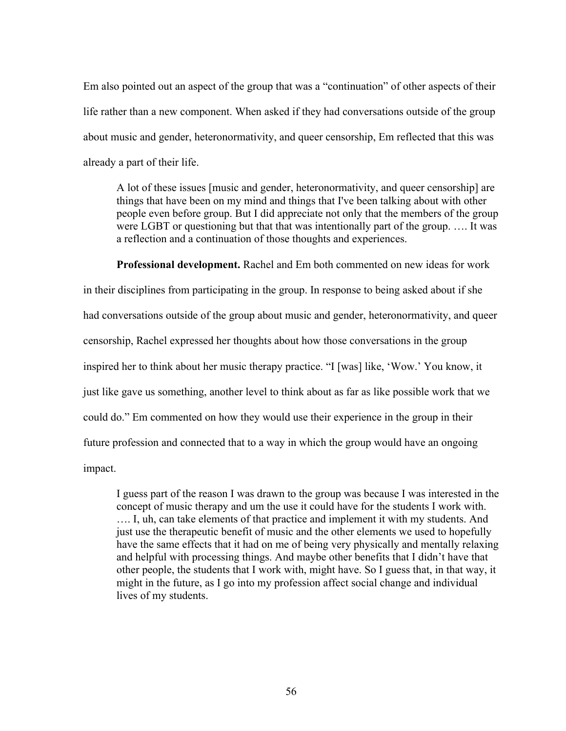Em also pointed out an aspect of the group that was a "continuation" of other aspects of their life rather than a new component. When asked if they had conversations outside of the group about music and gender, heteronormativity, and queer censorship, Em reflected that this was already a part of their life.

A lot of these issues [music and gender, heteronormativity, and queer censorship] are things that have been on my mind and things that I've been talking about with other people even before group. But I did appreciate not only that the members of the group were LGBT or questioning but that that was intentionally part of the group. …. It was a reflection and a continuation of those thoughts and experiences.

**Professional development.** Rachel and Em both commented on new ideas for work in their disciplines from participating in the group. In response to being asked about if she had conversations outside of the group about music and gender, heteronormativity, and queer censorship, Rachel expressed her thoughts about how those conversations in the group inspired her to think about her music therapy practice. "I [was] like, 'Wow.' You know, it just like gave us something, another level to think about as far as like possible work that we could do." Em commented on how they would use their experience in the group in their future profession and connected that to a way in which the group would have an ongoing impact.

I guess part of the reason I was drawn to the group was because I was interested in the concept of music therapy and um the use it could have for the students I work with. …. I, uh, can take elements of that practice and implement it with my students. And just use the therapeutic benefit of music and the other elements we used to hopefully have the same effects that it had on me of being very physically and mentally relaxing and helpful with processing things. And maybe other benefits that I didn't have that other people, the students that I work with, might have. So I guess that, in that way, it might in the future, as I go into my profession affect social change and individual lives of my students.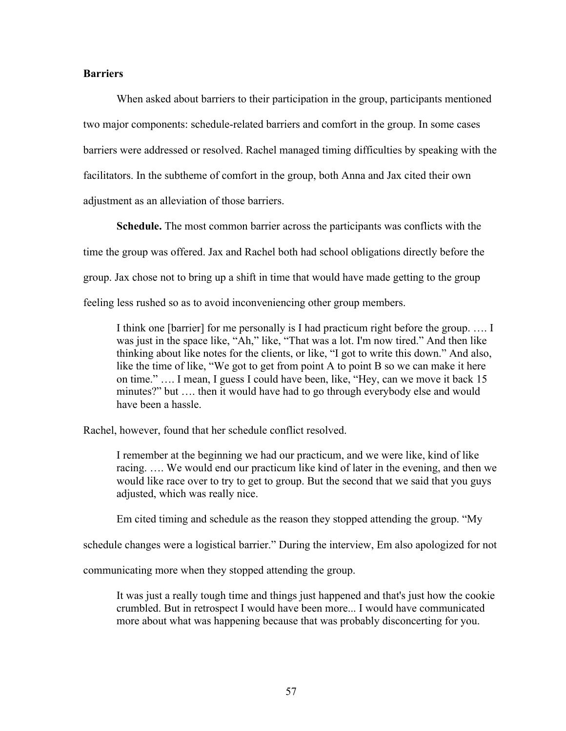# **Barriers**

When asked about barriers to their participation in the group, participants mentioned two major components: schedule-related barriers and comfort in the group. In some cases barriers were addressed or resolved. Rachel managed timing difficulties by speaking with the facilitators. In the subtheme of comfort in the group, both Anna and Jax cited their own adjustment as an alleviation of those barriers.

**Schedule.** The most common barrier across the participants was conflicts with the time the group was offered. Jax and Rachel both had school obligations directly before the group. Jax chose not to bring up a shift in time that would have made getting to the group feeling less rushed so as to avoid inconveniencing other group members.

I think one [barrier] for me personally is I had practicum right before the group. …. I was just in the space like, "Ah," like, "That was a lot. I'm now tired." And then like thinking about like notes for the clients, or like, "I got to write this down." And also, like the time of like, "We got to get from point A to point B so we can make it here on time." …. I mean, I guess I could have been, like, "Hey, can we move it back 15 minutes?" but …. then it would have had to go through everybody else and would have been a hassle.

Rachel, however, found that her schedule conflict resolved.

I remember at the beginning we had our practicum, and we were like, kind of like racing. …. We would end our practicum like kind of later in the evening, and then we would like race over to try to get to group. But the second that we said that you guys adjusted, which was really nice.

Em cited timing and schedule as the reason they stopped attending the group. "My

schedule changes were a logistical barrier." During the interview, Em also apologized for not

communicating more when they stopped attending the group.

It was just a really tough time and things just happened and that's just how the cookie crumbled. But in retrospect I would have been more... I would have communicated more about what was happening because that was probably disconcerting for you.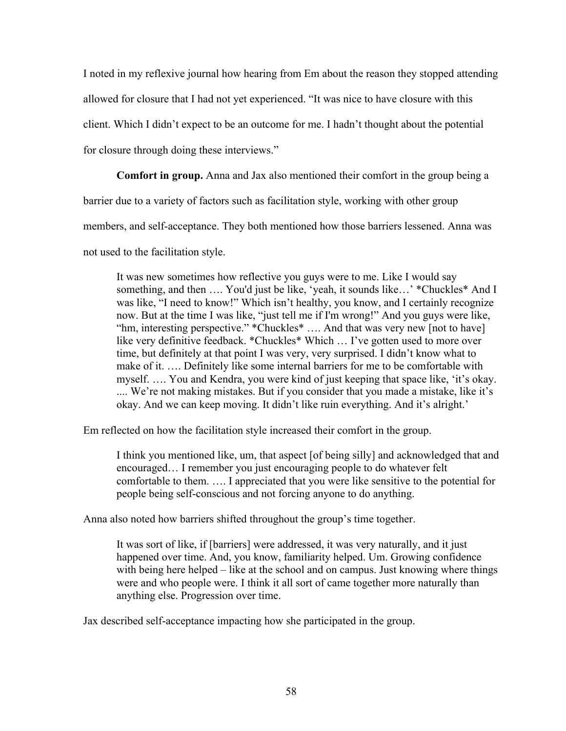I noted in my reflexive journal how hearing from Em about the reason they stopped attending allowed for closure that I had not yet experienced. "It was nice to have closure with this

client. Which I didn't expect to be an outcome for me. I hadn't thought about the potential

for closure through doing these interviews."

**Comfort in group.** Anna and Jax also mentioned their comfort in the group being a

barrier due to a variety of factors such as facilitation style, working with other group

members, and self-acceptance. They both mentioned how those barriers lessened. Anna was

not used to the facilitation style.

It was new sometimes how reflective you guys were to me. Like I would say something, and then …. You'd just be like, 'yeah, it sounds like…' \*Chuckles\* And I was like, "I need to know!" Which isn't healthy, you know, and I certainly recognize now. But at the time I was like, "just tell me if I'm wrong!" And you guys were like, "hm, interesting perspective." \*Chuckles\* …. And that was very new [not to have] like very definitive feedback. \*Chuckles\* Which … I've gotten used to more over time, but definitely at that point I was very, very surprised. I didn't know what to make of it. …. Definitely like some internal barriers for me to be comfortable with myself. …. You and Kendra, you were kind of just keeping that space like, 'it's okay. .... We're not making mistakes. But if you consider that you made a mistake, like it's okay. And we can keep moving. It didn't like ruin everything. And it's alright.'

Em reflected on how the facilitation style increased their comfort in the group.

I think you mentioned like, um, that aspect [of being silly] and acknowledged that and encouraged… I remember you just encouraging people to do whatever felt comfortable to them. …. I appreciated that you were like sensitive to the potential for people being self-conscious and not forcing anyone to do anything.

Anna also noted how barriers shifted throughout the group's time together.

It was sort of like, if [barriers] were addressed, it was very naturally, and it just happened over time. And, you know, familiarity helped. Um. Growing confidence with being here helped – like at the school and on campus. Just knowing where things were and who people were. I think it all sort of came together more naturally than anything else. Progression over time.

Jax described self-acceptance impacting how she participated in the group.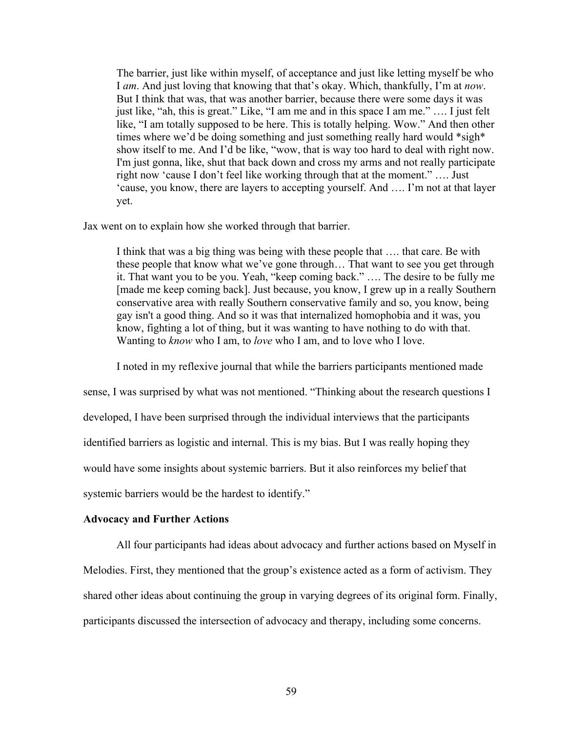The barrier, just like within myself, of acceptance and just like letting myself be who I *am*. And just loving that knowing that that's okay. Which, thankfully, I'm at *now*. But I think that was, that was another barrier, because there were some days it was just like, "ah, this is great." Like, "I am me and in this space I am me." …. I just felt like, "I am totally supposed to be here. This is totally helping. Wow." And then other times where we'd be doing something and just something really hard would \*sigh\* show itself to me. And I'd be like, "wow, that is way too hard to deal with right now. I'm just gonna, like, shut that back down and cross my arms and not really participate right now 'cause I don't feel like working through that at the moment." …. Just 'cause, you know, there are layers to accepting yourself. And …. I'm not at that layer yet.

Jax went on to explain how she worked through that barrier.

I think that was a big thing was being with these people that …. that care. Be with these people that know what we've gone through… That want to see you get through it. That want you to be you. Yeah, "keep coming back." …. The desire to be fully me [made me keep coming back]. Just because, you know, I grew up in a really Southern conservative area with really Southern conservative family and so, you know, being gay isn't a good thing. And so it was that internalized homophobia and it was, you know, fighting a lot of thing, but it was wanting to have nothing to do with that. Wanting to *know* who I am, to *love* who I am, and to love who I love.

I noted in my reflexive journal that while the barriers participants mentioned made

sense, I was surprised by what was not mentioned. "Thinking about the research questions I developed, I have been surprised through the individual interviews that the participants identified barriers as logistic and internal. This is my bias. But I was really hoping they would have some insights about systemic barriers. But it also reinforces my belief that systemic barriers would be the hardest to identify."

### **Advocacy and Further Actions**

All four participants had ideas about advocacy and further actions based on Myself in Melodies. First, they mentioned that the group's existence acted as a form of activism. They shared other ideas about continuing the group in varying degrees of its original form. Finally, participants discussed the intersection of advocacy and therapy, including some concerns.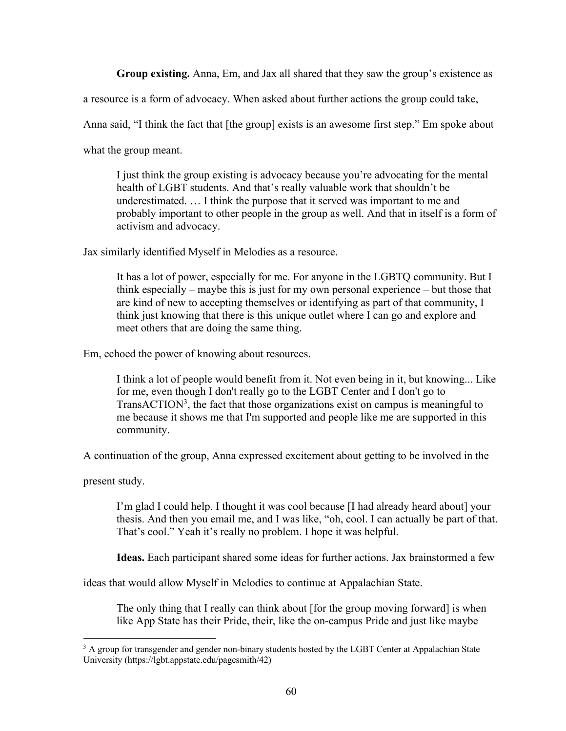**Group existing.** Anna, Em, and Jax all shared that they saw the group's existence as

a resource is a form of advocacy. When asked about further actions the group could take,

Anna said, "I think the fact that [the group] exists is an awesome first step." Em spoke about

what the group meant.

I just think the group existing is advocacy because you're advocating for the mental health of LGBT students. And that's really valuable work that shouldn't be underestimated. … I think the purpose that it served was important to me and probably important to other people in the group as well. And that in itself is a form of activism and advocacy.

Jax similarly identified Myself in Melodies as a resource.

It has a lot of power, especially for me. For anyone in the LGBTQ community. But I think especially – maybe this is just for my own personal experience – but those that are kind of new to accepting themselves or identifying as part of that community, I think just knowing that there is this unique outlet where I can go and explore and meet others that are doing the same thing.

Em, echoed the power of knowing about resources.

I think a lot of people would benefit from it. Not even being in it, but knowing... Like for me, even though I don't really go to the LGBT Center and I don't go to Trans $\text{ACTION}^3$ , the fact that those organizations exist on campus is meaningful to me because it shows me that I'm supported and people like me are supported in this community.

A continuation of the group, Anna expressed excitement about getting to be involved in the

present study.

I'm glad I could help. I thought it was cool because [I had already heard about] your thesis. And then you email me, and I was like, "oh, cool. I can actually be part of that. That's cool." Yeah it's really no problem. I hope it was helpful.

**Ideas.** Each participant shared some ideas for further actions. Jax brainstormed a few

ideas that would allow Myself in Melodies to continue at Appalachian State.

The only thing that I really can think about [for the group moving forward] is when like App State has their Pride, their, like the on-campus Pride and just like maybe

<sup>&</sup>lt;sup>3</sup> A group for transgender and gender non-binary students hosted by the LGBT Center at Appalachian State University (https://lgbt.appstate.edu/pagesmith/42)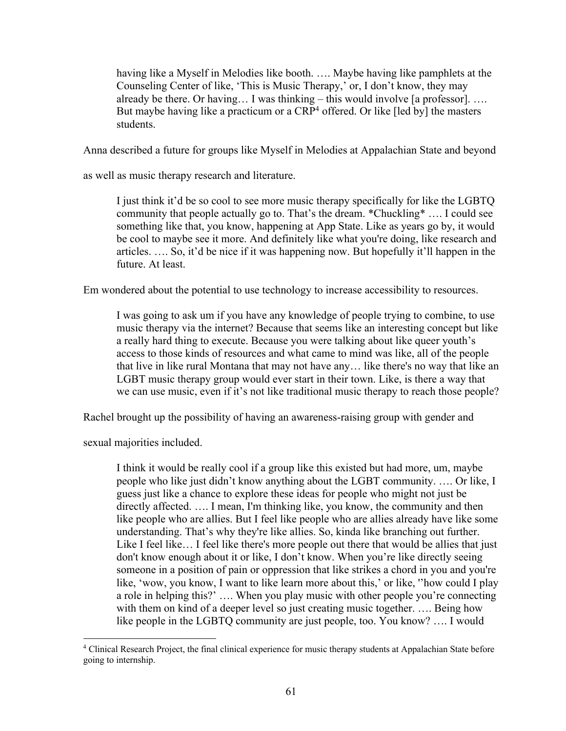having like a Myself in Melodies like booth. …. Maybe having like pamphlets at the Counseling Center of like, 'This is Music Therapy,' or, I don't know, they may already be there. Or having... I was thinking  $-$  this would involve [a professor]. .... But maybe having like a practicum or a  $CRP<sup>4</sup>$  offered. Or like [led by] the masters students.

Anna described a future for groups like Myself in Melodies at Appalachian State and beyond

as well as music therapy research and literature.

I just think it'd be so cool to see more music therapy specifically for like the LGBTQ community that people actually go to. That's the dream. \*Chuckling\* …. I could see something like that, you know, happening at App State. Like as years go by, it would be cool to maybe see it more. And definitely like what you're doing, like research and articles. …. So, it'd be nice if it was happening now. But hopefully it'll happen in the future. At least.

Em wondered about the potential to use technology to increase accessibility to resources.

I was going to ask um if you have any knowledge of people trying to combine, to use music therapy via the internet? Because that seems like an interesting concept but like a really hard thing to execute. Because you were talking about like queer youth's access to those kinds of resources and what came to mind was like, all of the people that live in like rural Montana that may not have any… like there's no way that like an LGBT music therapy group would ever start in their town. Like, is there a way that we can use music, even if it's not like traditional music therapy to reach those people?

Rachel brought up the possibility of having an awareness-raising group with gender and

sexual majorities included.

I think it would be really cool if a group like this existed but had more, um, maybe people who like just didn't know anything about the LGBT community. …. Or like, I guess just like a chance to explore these ideas for people who might not just be directly affected. …. I mean, I'm thinking like, you know, the community and then like people who are allies. But I feel like people who are allies already have like some understanding. That's why they're like allies. So, kinda like branching out further. Like I feel like... I feel like there's more people out there that would be allies that just don't know enough about it or like, I don't know. When you're like directly seeing someone in a position of pain or oppression that like strikes a chord in you and you're like, 'wow, you know, I want to like learn more about this,' or like, ''how could I play a role in helping this?' …. When you play music with other people you're connecting with them on kind of a deeper level so just creating music together. .... Being how like people in the LGBTQ community are just people, too. You know? …. I would

 <sup>4</sup> Clinical Research Project, the final clinical experience for music therapy students at Appalachian State before going to internship.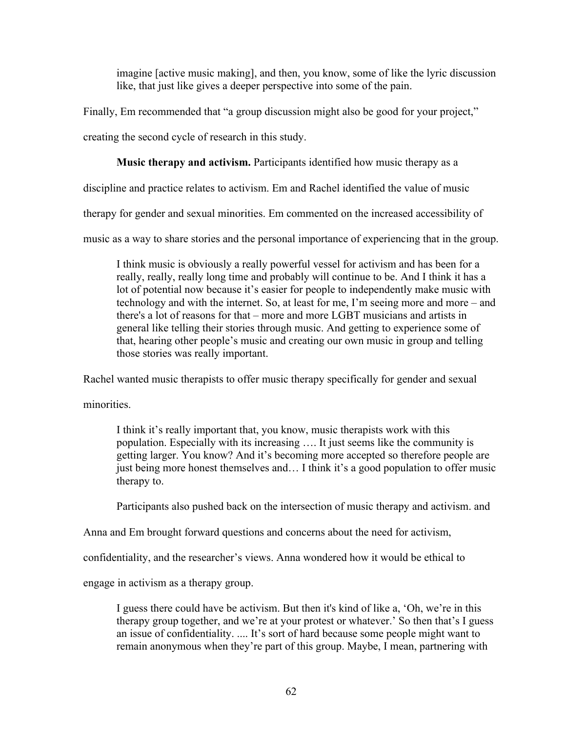imagine [active music making], and then, you know, some of like the lyric discussion like, that just like gives a deeper perspective into some of the pain.

Finally, Em recommended that "a group discussion might also be good for your project,"

creating the second cycle of research in this study.

# **Music therapy and activism.** Participants identified how music therapy as a

discipline and practice relates to activism. Em and Rachel identified the value of music

therapy for gender and sexual minorities. Em commented on the increased accessibility of

music as a way to share stories and the personal importance of experiencing that in the group.

I think music is obviously a really powerful vessel for activism and has been for a really, really, really long time and probably will continue to be. And I think it has a lot of potential now because it's easier for people to independently make music with technology and with the internet. So, at least for me, I'm seeing more and more – and there's a lot of reasons for that – more and more LGBT musicians and artists in general like telling their stories through music. And getting to experience some of that, hearing other people's music and creating our own music in group and telling those stories was really important.

Rachel wanted music therapists to offer music therapy specifically for gender and sexual

minorities.

I think it's really important that, you know, music therapists work with this population. Especially with its increasing …. It just seems like the community is getting larger. You know? And it's becoming more accepted so therefore people are just being more honest themselves and… I think it's a good population to offer music therapy to.

Participants also pushed back on the intersection of music therapy and activism. and

Anna and Em brought forward questions and concerns about the need for activism,

confidentiality, and the researcher's views. Anna wondered how it would be ethical to

engage in activism as a therapy group.

I guess there could have be activism. But then it's kind of like a, 'Oh, we're in this therapy group together, and we're at your protest or whatever.' So then that's I guess an issue of confidentiality. .... It's sort of hard because some people might want to remain anonymous when they're part of this group. Maybe, I mean, partnering with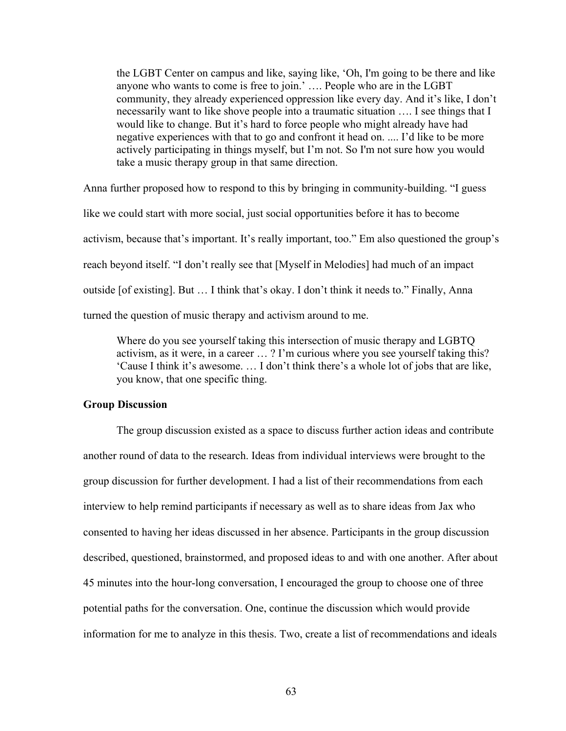the LGBT Center on campus and like, saying like, 'Oh, I'm going to be there and like anyone who wants to come is free to join.' …. People who are in the LGBT community, they already experienced oppression like every day. And it's like, I don't necessarily want to like shove people into a traumatic situation …. I see things that I would like to change. But it's hard to force people who might already have had negative experiences with that to go and confront it head on. .... I'd like to be more actively participating in things myself, but I'm not. So I'm not sure how you would take a music therapy group in that same direction.

Anna further proposed how to respond to this by bringing in community-building. "I guess like we could start with more social, just social opportunities before it has to become activism, because that's important. It's really important, too." Em also questioned the group's reach beyond itself. "I don't really see that [Myself in Melodies] had much of an impact outside [of existing]. But … I think that's okay. I don't think it needs to." Finally, Anna turned the question of music therapy and activism around to me.

Where do you see yourself taking this intersection of music therapy and LGBTQ activism, as it were, in a career … ? I'm curious where you see yourself taking this? 'Cause I think it's awesome. … I don't think there's a whole lot of jobs that are like, you know, that one specific thing.

### **Group Discussion**

The group discussion existed as a space to discuss further action ideas and contribute another round of data to the research. Ideas from individual interviews were brought to the group discussion for further development. I had a list of their recommendations from each interview to help remind participants if necessary as well as to share ideas from Jax who consented to having her ideas discussed in her absence. Participants in the group discussion described, questioned, brainstormed, and proposed ideas to and with one another. After about 45 minutes into the hour-long conversation, I encouraged the group to choose one of three potential paths for the conversation. One, continue the discussion which would provide information for me to analyze in this thesis. Two, create a list of recommendations and ideals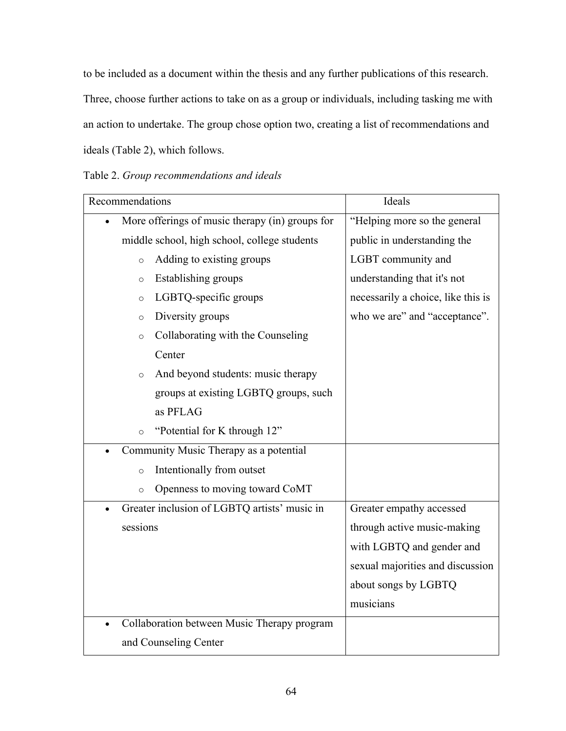to be included as a document within the thesis and any further publications of this research. Three, choose further actions to take on as a group or individuals, including tasking me with an action to undertake. The group chose option two, creating a list of recommendations and ideals (Table 2), which follows.

Table 2. *Group recommendations and ideals*

| Recommendations                                              | Ideals                             |
|--------------------------------------------------------------|------------------------------------|
| More offerings of music therapy (in) groups for<br>$\bullet$ | "Helping more so the general       |
| middle school, high school, college students                 | public in understanding the        |
| Adding to existing groups<br>$\circ$                         | LGBT community and                 |
| Establishing groups<br>$\circ$                               | understanding that it's not        |
| LGBTQ-specific groups<br>$\circ$                             | necessarily a choice, like this is |
| Diversity groups<br>$\circ$                                  | who we are" and "acceptance".      |
| Collaborating with the Counseling<br>$\circ$                 |                                    |
| Center                                                       |                                    |
| And beyond students: music therapy<br>$\circ$                |                                    |
| groups at existing LGBTQ groups, such                        |                                    |
| as PFLAG                                                     |                                    |
| "Potential for K through 12"<br>$\circ$                      |                                    |
| Community Music Therapy as a potential                       |                                    |
| Intentionally from outset<br>$\circ$                         |                                    |
| Openness to moving toward CoMT<br>$\circ$                    |                                    |
| Greater inclusion of LGBTQ artists' music in<br>$\bullet$    | Greater empathy accessed           |
| sessions                                                     | through active music-making        |
|                                                              | with LGBTQ and gender and          |
|                                                              | sexual majorities and discussion   |
|                                                              | about songs by LGBTQ               |
|                                                              | musicians                          |
| Collaboration between Music Therapy program                  |                                    |
| and Counseling Center                                        |                                    |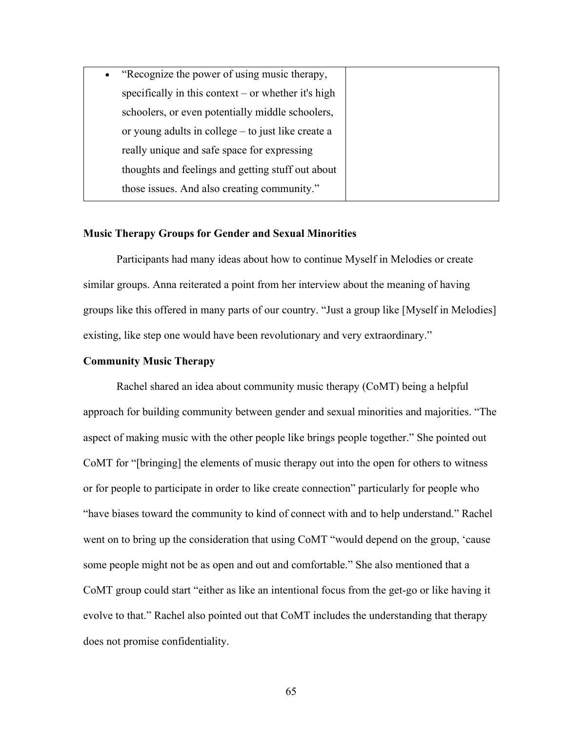| • "Recognize the power of using music therapy,      |
|-----------------------------------------------------|
| specifically in this context – or whether it's high |
| schoolers, or even potentially middle schoolers,    |
| or young adults in college – to just like create a  |
| really unique and safe space for expressing         |
| thoughts and feelings and getting stuff out about   |
| those issues. And also creating community."         |

#### **Music Therapy Groups for Gender and Sexual Minorities**

Participants had many ideas about how to continue Myself in Melodies or create similar groups. Anna reiterated a point from her interview about the meaning of having groups like this offered in many parts of our country. "Just a group like [Myself in Melodies] existing, like step one would have been revolutionary and very extraordinary."

#### **Community Music Therapy**

Rachel shared an idea about community music therapy (CoMT) being a helpful approach for building community between gender and sexual minorities and majorities. "The aspect of making music with the other people like brings people together." She pointed out CoMT for "[bringing] the elements of music therapy out into the open for others to witness or for people to participate in order to like create connection" particularly for people who "have biases toward the community to kind of connect with and to help understand." Rachel went on to bring up the consideration that using CoMT "would depend on the group, 'cause some people might not be as open and out and comfortable." She also mentioned that a CoMT group could start "either as like an intentional focus from the get-go or like having it evolve to that." Rachel also pointed out that CoMT includes the understanding that therapy does not promise confidentiality.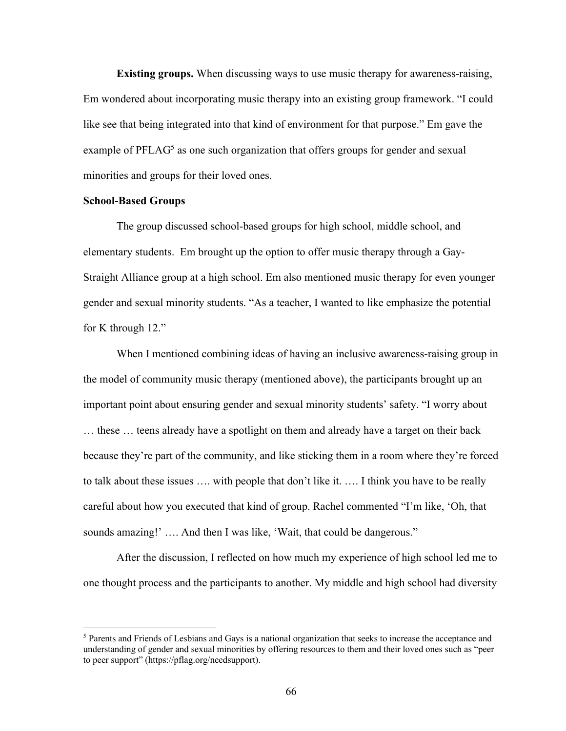**Existing groups.** When discussing ways to use music therapy for awareness-raising, Em wondered about incorporating music therapy into an existing group framework. "I could like see that being integrated into that kind of environment for that purpose." Em gave the example of  $PFLAG<sup>5</sup>$  as one such organization that offers groups for gender and sexual minorities and groups for their loved ones.

## **School-Based Groups**

The group discussed school-based groups for high school, middle school, and elementary students. Em brought up the option to offer music therapy through a Gay-Straight Alliance group at a high school. Em also mentioned music therapy for even younger gender and sexual minority students. "As a teacher, I wanted to like emphasize the potential for K through 12."

When I mentioned combining ideas of having an inclusive awareness-raising group in the model of community music therapy (mentioned above), the participants brought up an important point about ensuring gender and sexual minority students' safety. "I worry about … these … teens already have a spotlight on them and already have a target on their back because they're part of the community, and like sticking them in a room where they're forced to talk about these issues …. with people that don't like it. …. I think you have to be really careful about how you executed that kind of group. Rachel commented "I'm like, 'Oh, that sounds amazing!' …. And then I was like, 'Wait, that could be dangerous."

After the discussion, I reflected on how much my experience of high school led me to one thought process and the participants to another. My middle and high school had diversity

 <sup>5</sup> Parents and Friends of Lesbians and Gays is a national organization that seeks to increase the acceptance and understanding of gender and sexual minorities by offering resources to them and their loved ones such as "peer to peer support" (https://pflag.org/needsupport).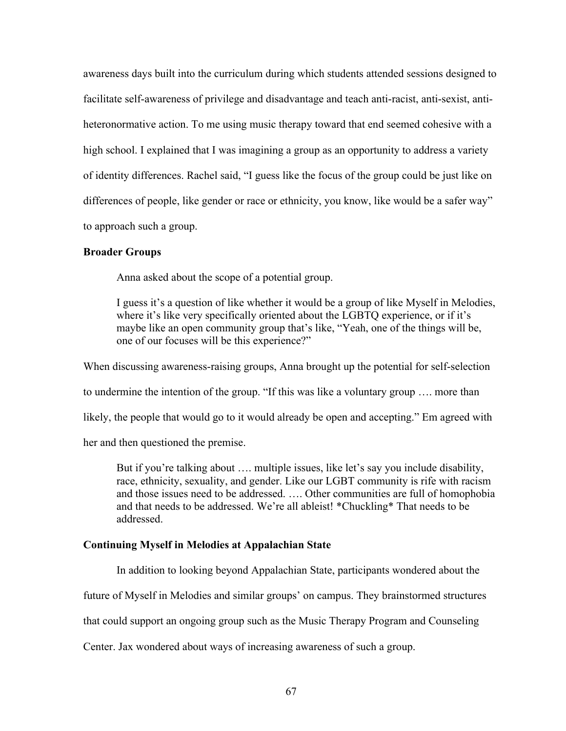awareness days built into the curriculum during which students attended sessions designed to facilitate self-awareness of privilege and disadvantage and teach anti-racist, anti-sexist, antiheteronormative action. To me using music therapy toward that end seemed cohesive with a high school. I explained that I was imagining a group as an opportunity to address a variety of identity differences. Rachel said, "I guess like the focus of the group could be just like on differences of people, like gender or race or ethnicity, you know, like would be a safer way" to approach such a group.

## **Broader Groups**

Anna asked about the scope of a potential group.

I guess it's a question of like whether it would be a group of like Myself in Melodies, where it's like very specifically oriented about the LGBTQ experience, or if it's maybe like an open community group that's like, "Yeah, one of the things will be, one of our focuses will be this experience?"

When discussing awareness-raising groups, Anna brought up the potential for self-selection to undermine the intention of the group. "If this was like a voluntary group …. more than likely, the people that would go to it would already be open and accepting." Em agreed with her and then questioned the premise.

But if you're talking about …. multiple issues, like let's say you include disability, race, ethnicity, sexuality, and gender. Like our LGBT community is rife with racism and those issues need to be addressed. …. Other communities are full of homophobia and that needs to be addressed. We're all ableist! \*Chuckling\* That needs to be addressed.

## **Continuing Myself in Melodies at Appalachian State**

In addition to looking beyond Appalachian State, participants wondered about the

future of Myself in Melodies and similar groups' on campus. They brainstormed structures

that could support an ongoing group such as the Music Therapy Program and Counseling

Center. Jax wondered about ways of increasing awareness of such a group.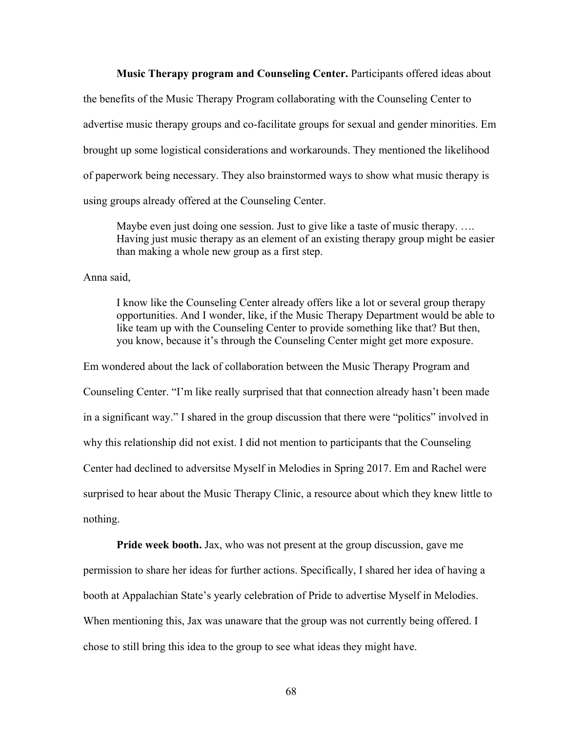#### **Music Therapy program and Counseling Center.** Participants offered ideas about

the benefits of the Music Therapy Program collaborating with the Counseling Center to advertise music therapy groups and co-facilitate groups for sexual and gender minorities. Em brought up some logistical considerations and workarounds. They mentioned the likelihood of paperwork being necessary. They also brainstormed ways to show what music therapy is using groups already offered at the Counseling Center.

Maybe even just doing one session. Just to give like a taste of music therapy. …. Having just music therapy as an element of an existing therapy group might be easier than making a whole new group as a first step.

Anna said,

I know like the Counseling Center already offers like a lot or several group therapy opportunities. And I wonder, like, if the Music Therapy Department would be able to like team up with the Counseling Center to provide something like that? But then, you know, because it's through the Counseling Center might get more exposure.

Em wondered about the lack of collaboration between the Music Therapy Program and Counseling Center. "I'm like really surprised that that connection already hasn't been made in a significant way." I shared in the group discussion that there were "politics" involved in why this relationship did not exist. I did not mention to participants that the Counseling Center had declined to adversitse Myself in Melodies in Spring 2017. Em and Rachel were surprised to hear about the Music Therapy Clinic, a resource about which they knew little to nothing.

**Pride week booth.** Jax, who was not present at the group discussion, gave me permission to share her ideas for further actions. Specifically, I shared her idea of having a booth at Appalachian State's yearly celebration of Pride to advertise Myself in Melodies. When mentioning this, Jax was unaware that the group was not currently being offered. I chose to still bring this idea to the group to see what ideas they might have.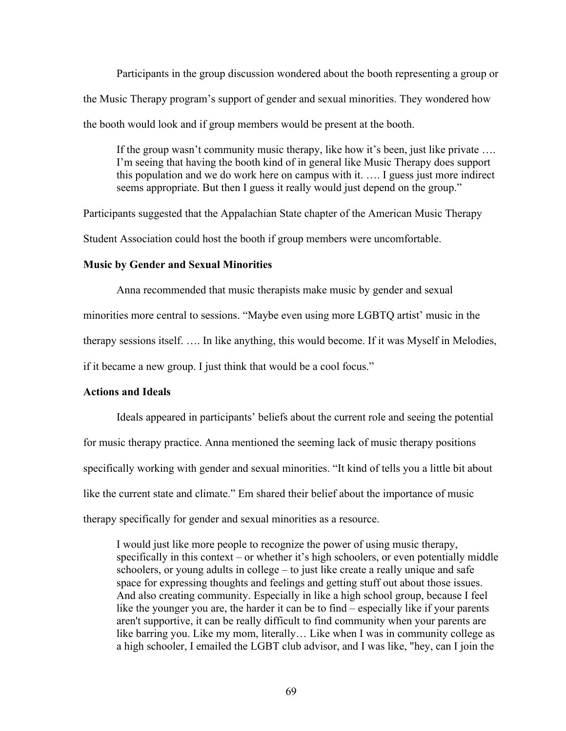Participants in the group discussion wondered about the booth representing a group or the Music Therapy program's support of gender and sexual minorities. They wondered how the booth would look and if group members would be present at the booth.

If the group wasn't community music therapy, like how it's been, just like private …. I'm seeing that having the booth kind of in general like Music Therapy does support this population and we do work here on campus with it. …. I guess just more indirect seems appropriate. But then I guess it really would just depend on the group."

Participants suggested that the Appalachian State chapter of the American Music Therapy Student Association could host the booth if group members were uncomfortable.

# **Music by Gender and Sexual Minorities**

Anna recommended that music therapists make music by gender and sexual minorities more central to sessions. "Maybe even using more LGBTQ artist' music in the therapy sessions itself. …. In like anything, this would become. If it was Myself in Melodies, if it became a new group. I just think that would be a cool focus."

# **Actions and Ideals**

Ideals appeared in participants' beliefs about the current role and seeing the potential for music therapy practice. Anna mentioned the seeming lack of music therapy positions specifically working with gender and sexual minorities. "It kind of tells you a little bit about like the current state and climate." Em shared their belief about the importance of music therapy specifically for gender and sexual minorities as a resource.

I would just like more people to recognize the power of using music therapy, specifically in this context – or whether it's high schoolers, or even potentially middle schoolers, or young adults in college – to just like create a really unique and safe space for expressing thoughts and feelings and getting stuff out about those issues. And also creating community. Especially in like a high school group, because I feel like the younger you are, the harder it can be to find – especially like if your parents aren't supportive, it can be really difficult to find community when your parents are like barring you. Like my mom, literally… Like when I was in community college as a high schooler, I emailed the LGBT club advisor, and I was like, "hey, can I join the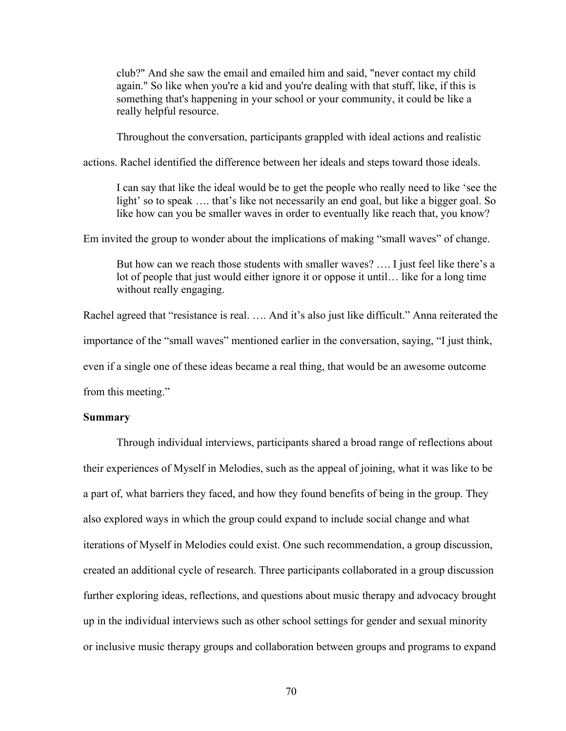club?" And she saw the email and emailed him and said, "never contact my child again." So like when you're a kid and you're dealing with that stuff, like, if this is something that's happening in your school or your community, it could be like a really helpful resource.

Throughout the conversation, participants grappled with ideal actions and realistic

actions. Rachel identified the difference between her ideals and steps toward those ideals.

I can say that like the ideal would be to get the people who really need to like 'see the light' so to speak …. that's like not necessarily an end goal, but like a bigger goal. So like how can you be smaller waves in order to eventually like reach that, you know?

Em invited the group to wonder about the implications of making "small waves" of change.

But how can we reach those students with smaller waves? …. I just feel like there's a lot of people that just would either ignore it or oppose it until… like for a long time without really engaging.

Rachel agreed that "resistance is real. …. And it's also just like difficult." Anna reiterated the importance of the "small waves" mentioned earlier in the conversation, saying, "I just think, even if a single one of these ideas became a real thing, that would be an awesome outcome from this meeting."

#### **Summary**

Through individual interviews, participants shared a broad range of reflections about their experiences of Myself in Melodies, such as the appeal of joining, what it was like to be a part of, what barriers they faced, and how they found benefits of being in the group. They also explored ways in which the group could expand to include social change and what iterations of Myself in Melodies could exist. One such recommendation, a group discussion, created an additional cycle of research. Three participants collaborated in a group discussion further exploring ideas, reflections, and questions about music therapy and advocacy brought up in the individual interviews such as other school settings for gender and sexual minority or inclusive music therapy groups and collaboration between groups and programs to expand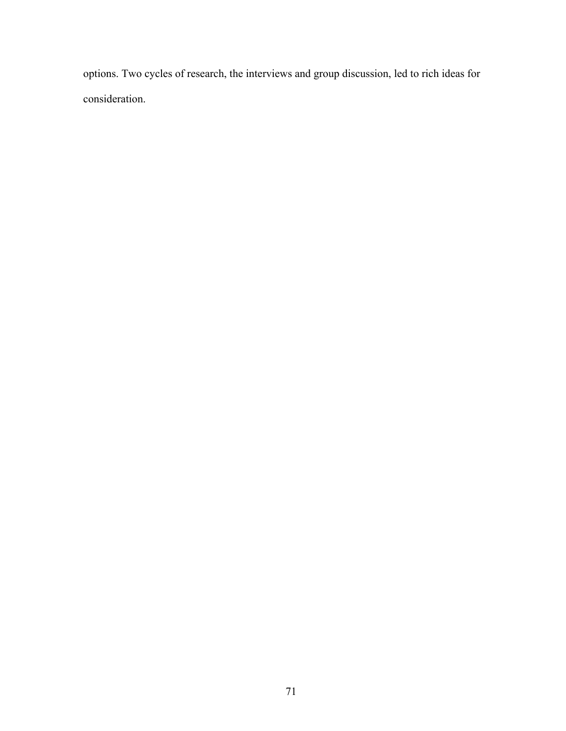options. Two cycles of research, the interviews and group discussion, led to rich ideas for consideration.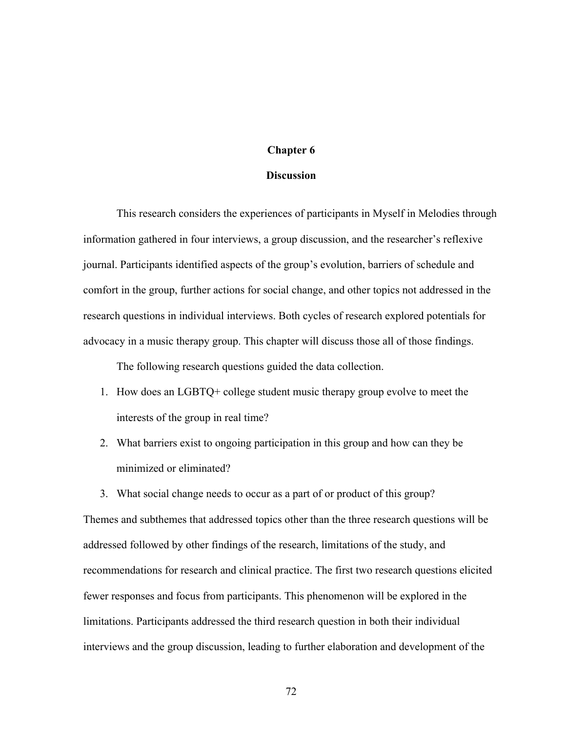## **Chapter 6**

#### **Discussion**

This research considers the experiences of participants in Myself in Melodies through information gathered in four interviews, a group discussion, and the researcher's reflexive journal. Participants identified aspects of the group's evolution, barriers of schedule and comfort in the group, further actions for social change, and other topics not addressed in the research questions in individual interviews. Both cycles of research explored potentials for advocacy in a music therapy group. This chapter will discuss those all of those findings.

The following research questions guided the data collection.

- 1. How does an LGBTQ+ college student music therapy group evolve to meet the interests of the group in real time?
- 2. What barriers exist to ongoing participation in this group and how can they be minimized or eliminated?
- 3. What social change needs to occur as a part of or product of this group?

Themes and subthemes that addressed topics other than the three research questions will be addressed followed by other findings of the research, limitations of the study, and recommendations for research and clinical practice. The first two research questions elicited fewer responses and focus from participants. This phenomenon will be explored in the limitations. Participants addressed the third research question in both their individual interviews and the group discussion, leading to further elaboration and development of the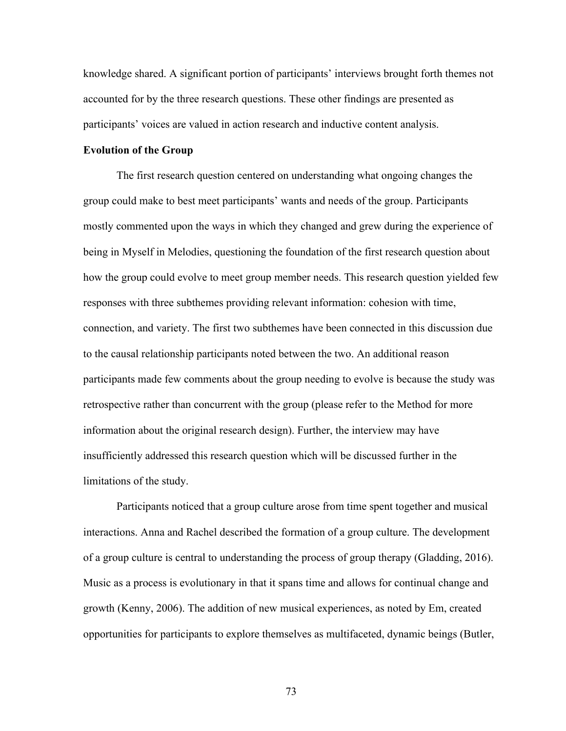knowledge shared. A significant portion of participants' interviews brought forth themes not accounted for by the three research questions. These other findings are presented as participants' voices are valued in action research and inductive content analysis.

#### **Evolution of the Group**

The first research question centered on understanding what ongoing changes the group could make to best meet participants' wants and needs of the group. Participants mostly commented upon the ways in which they changed and grew during the experience of being in Myself in Melodies, questioning the foundation of the first research question about how the group could evolve to meet group member needs. This research question yielded few responses with three subthemes providing relevant information: cohesion with time, connection, and variety. The first two subthemes have been connected in this discussion due to the causal relationship participants noted between the two. An additional reason participants made few comments about the group needing to evolve is because the study was retrospective rather than concurrent with the group (please refer to the Method for more information about the original research design). Further, the interview may have insufficiently addressed this research question which will be discussed further in the limitations of the study.

Participants noticed that a group culture arose from time spent together and musical interactions. Anna and Rachel described the formation of a group culture. The development of a group culture is central to understanding the process of group therapy (Gladding, 2016). Music as a process is evolutionary in that it spans time and allows for continual change and growth (Kenny, 2006). The addition of new musical experiences, as noted by Em, created opportunities for participants to explore themselves as multifaceted, dynamic beings (Butler,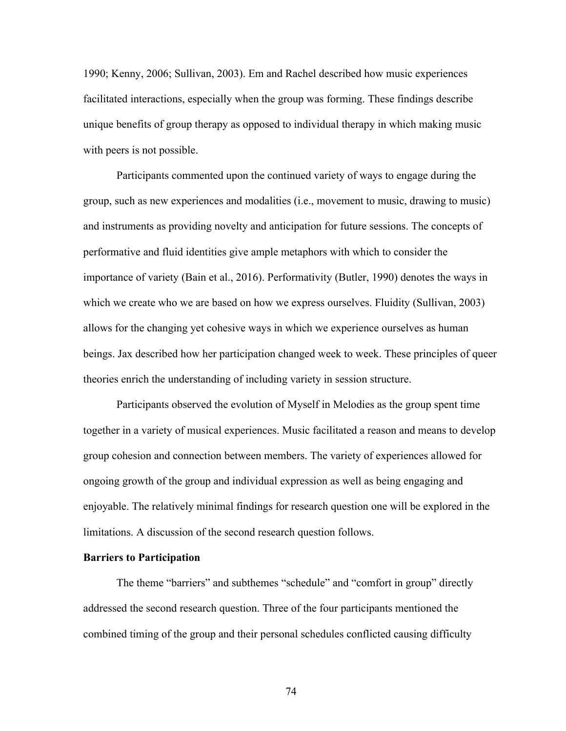1990; Kenny, 2006; Sullivan, 2003). Em and Rachel described how music experiences facilitated interactions, especially when the group was forming. These findings describe unique benefits of group therapy as opposed to individual therapy in which making music with peers is not possible.

Participants commented upon the continued variety of ways to engage during the group, such as new experiences and modalities (i.e., movement to music, drawing to music) and instruments as providing novelty and anticipation for future sessions. The concepts of performative and fluid identities give ample metaphors with which to consider the importance of variety (Bain et al., 2016). Performativity (Butler, 1990) denotes the ways in which we create who we are based on how we express ourselves. Fluidity (Sullivan, 2003) allows for the changing yet cohesive ways in which we experience ourselves as human beings. Jax described how her participation changed week to week. These principles of queer theories enrich the understanding of including variety in session structure.

Participants observed the evolution of Myself in Melodies as the group spent time together in a variety of musical experiences. Music facilitated a reason and means to develop group cohesion and connection between members. The variety of experiences allowed for ongoing growth of the group and individual expression as well as being engaging and enjoyable. The relatively minimal findings for research question one will be explored in the limitations. A discussion of the second research question follows.

## **Barriers to Participation**

The theme "barriers" and subthemes "schedule" and "comfort in group" directly addressed the second research question. Three of the four participants mentioned the combined timing of the group and their personal schedules conflicted causing difficulty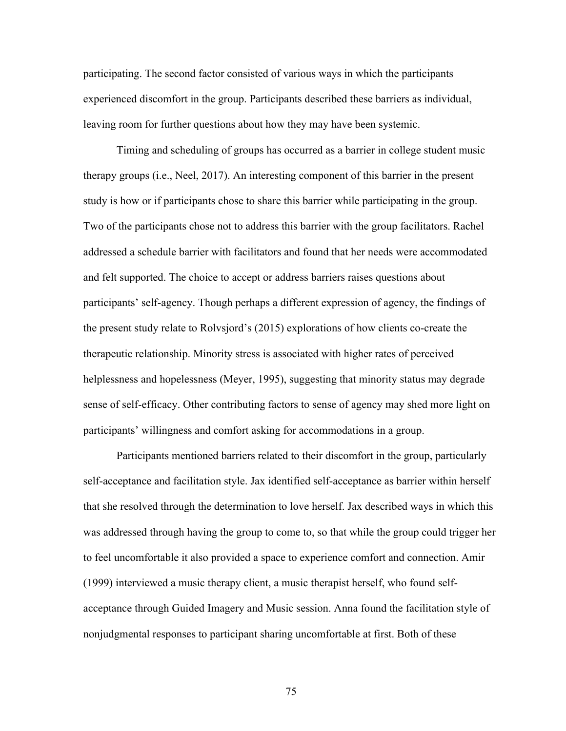participating. The second factor consisted of various ways in which the participants experienced discomfort in the group. Participants described these barriers as individual, leaving room for further questions about how they may have been systemic.

Timing and scheduling of groups has occurred as a barrier in college student music therapy groups (i.e., Neel, 2017). An interesting component of this barrier in the present study is how or if participants chose to share this barrier while participating in the group. Two of the participants chose not to address this barrier with the group facilitators. Rachel addressed a schedule barrier with facilitators and found that her needs were accommodated and felt supported. The choice to accept or address barriers raises questions about participants' self-agency. Though perhaps a different expression of agency, the findings of the present study relate to Rolvsjord's (2015) explorations of how clients co-create the therapeutic relationship. Minority stress is associated with higher rates of perceived helplessness and hopelessness (Meyer, 1995), suggesting that minority status may degrade sense of self-efficacy. Other contributing factors to sense of agency may shed more light on participants' willingness and comfort asking for accommodations in a group.

Participants mentioned barriers related to their discomfort in the group, particularly self-acceptance and facilitation style. Jax identified self-acceptance as barrier within herself that she resolved through the determination to love herself. Jax described ways in which this was addressed through having the group to come to, so that while the group could trigger her to feel uncomfortable it also provided a space to experience comfort and connection. Amir (1999) interviewed a music therapy client, a music therapist herself, who found selfacceptance through Guided Imagery and Music session. Anna found the facilitation style of nonjudgmental responses to participant sharing uncomfortable at first. Both of these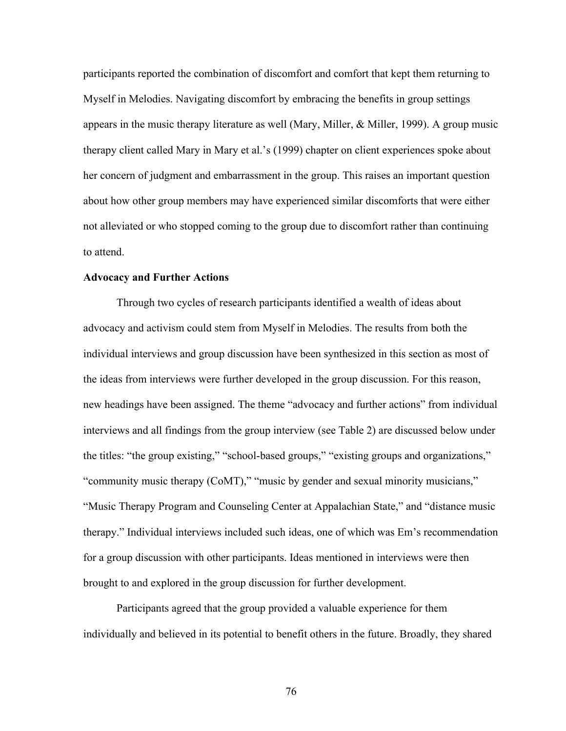participants reported the combination of discomfort and comfort that kept them returning to Myself in Melodies. Navigating discomfort by embracing the benefits in group settings appears in the music therapy literature as well (Mary, Miller, & Miller, 1999). A group music therapy client called Mary in Mary et al.'s (1999) chapter on client experiences spoke about her concern of judgment and embarrassment in the group. This raises an important question about how other group members may have experienced similar discomforts that were either not alleviated or who stopped coming to the group due to discomfort rather than continuing to attend.

#### **Advocacy and Further Actions**

Through two cycles of research participants identified a wealth of ideas about advocacy and activism could stem from Myself in Melodies. The results from both the individual interviews and group discussion have been synthesized in this section as most of the ideas from interviews were further developed in the group discussion. For this reason, new headings have been assigned. The theme "advocacy and further actions" from individual interviews and all findings from the group interview (see Table 2) are discussed below under the titles: "the group existing," "school-based groups," "existing groups and organizations," "community music therapy (CoMT)," "music by gender and sexual minority musicians," "Music Therapy Program and Counseling Center at Appalachian State," and "distance music therapy." Individual interviews included such ideas, one of which was Em's recommendation for a group discussion with other participants. Ideas mentioned in interviews were then brought to and explored in the group discussion for further development.

Participants agreed that the group provided a valuable experience for them individually and believed in its potential to benefit others in the future. Broadly, they shared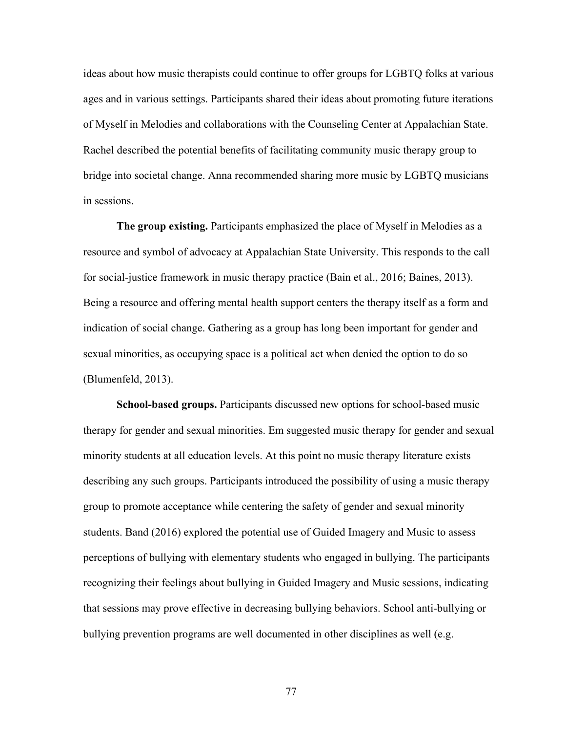ideas about how music therapists could continue to offer groups for LGBTQ folks at various ages and in various settings. Participants shared their ideas about promoting future iterations of Myself in Melodies and collaborations with the Counseling Center at Appalachian State. Rachel described the potential benefits of facilitating community music therapy group to bridge into societal change. Anna recommended sharing more music by LGBTQ musicians in sessions.

**The group existing.** Participants emphasized the place of Myself in Melodies as a resource and symbol of advocacy at Appalachian State University. This responds to the call for social-justice framework in music therapy practice (Bain et al., 2016; Baines, 2013). Being a resource and offering mental health support centers the therapy itself as a form and indication of social change. Gathering as a group has long been important for gender and sexual minorities, as occupying space is a political act when denied the option to do so (Blumenfeld, 2013).

**School-based groups.** Participants discussed new options for school-based music therapy for gender and sexual minorities. Em suggested music therapy for gender and sexual minority students at all education levels. At this point no music therapy literature exists describing any such groups. Participants introduced the possibility of using a music therapy group to promote acceptance while centering the safety of gender and sexual minority students. Band (2016) explored the potential use of Guided Imagery and Music to assess perceptions of bullying with elementary students who engaged in bullying. The participants recognizing their feelings about bullying in Guided Imagery and Music sessions, indicating that sessions may prove effective in decreasing bullying behaviors. School anti-bullying or bullying prevention programs are well documented in other disciplines as well (e.g.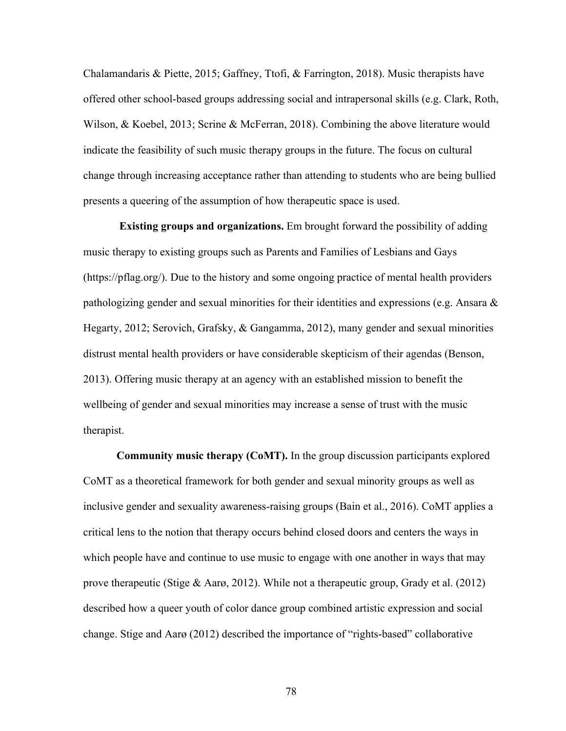Chalamandaris & Piette, 2015; Gaffney, Ttofi, & Farrington, 2018). Music therapists have offered other school-based groups addressing social and intrapersonal skills (e.g. Clark, Roth, Wilson, & Koebel, 2013; Scrine & McFerran, 2018). Combining the above literature would indicate the feasibility of such music therapy groups in the future. The focus on cultural change through increasing acceptance rather than attending to students who are being bullied presents a queering of the assumption of how therapeutic space is used.

**Existing groups and organizations.** Em brought forward the possibility of adding music therapy to existing groups such as Parents and Families of Lesbians and Gays (https://pflag.org/). Due to the history and some ongoing practice of mental health providers pathologizing gender and sexual minorities for their identities and expressions (e.g. Ansara  $\&$ Hegarty, 2012; Serovich, Grafsky, & Gangamma, 2012), many gender and sexual minorities distrust mental health providers or have considerable skepticism of their agendas (Benson, 2013). Offering music therapy at an agency with an established mission to benefit the wellbeing of gender and sexual minorities may increase a sense of trust with the music therapist.

**Community music therapy (CoMT).** In the group discussion participants explored CoMT as a theoretical framework for both gender and sexual minority groups as well as inclusive gender and sexuality awareness-raising groups (Bain et al., 2016). CoMT applies a critical lens to the notion that therapy occurs behind closed doors and centers the ways in which people have and continue to use music to engage with one another in ways that may prove therapeutic (Stige & Aarø, 2012). While not a therapeutic group, Grady et al. (2012) described how a queer youth of color dance group combined artistic expression and social change. Stige and Aarø (2012) described the importance of "rights-based" collaborative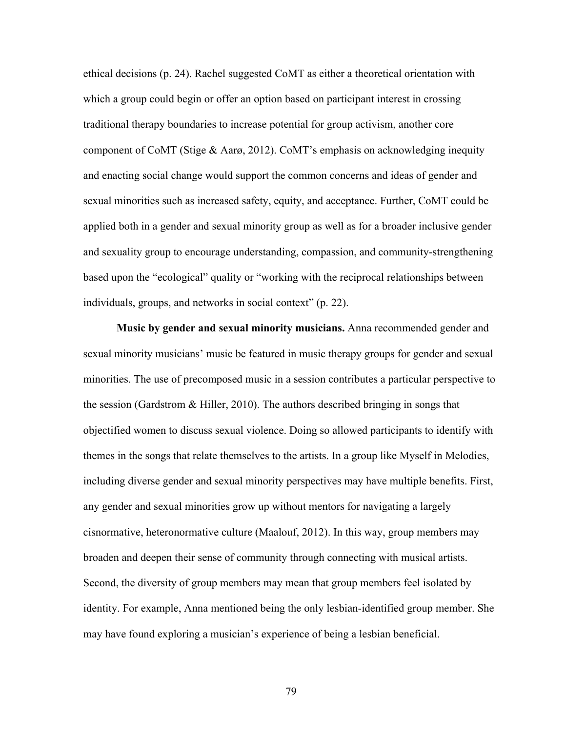ethical decisions (p. 24). Rachel suggested CoMT as either a theoretical orientation with which a group could begin or offer an option based on participant interest in crossing traditional therapy boundaries to increase potential for group activism, another core component of CoMT (Stige & Aarø, 2012). CoMT's emphasis on acknowledging inequity and enacting social change would support the common concerns and ideas of gender and sexual minorities such as increased safety, equity, and acceptance. Further, CoMT could be applied both in a gender and sexual minority group as well as for a broader inclusive gender and sexuality group to encourage understanding, compassion, and community-strengthening based upon the "ecological" quality or "working with the reciprocal relationships between individuals, groups, and networks in social context" (p. 22).

**Music by gender and sexual minority musicians.** Anna recommended gender and sexual minority musicians' music be featured in music therapy groups for gender and sexual minorities. The use of precomposed music in a session contributes a particular perspective to the session (Gardstrom & Hiller, 2010). The authors described bringing in songs that objectified women to discuss sexual violence. Doing so allowed participants to identify with themes in the songs that relate themselves to the artists. In a group like Myself in Melodies, including diverse gender and sexual minority perspectives may have multiple benefits. First, any gender and sexual minorities grow up without mentors for navigating a largely cisnormative, heteronormative culture (Maalouf, 2012). In this way, group members may broaden and deepen their sense of community through connecting with musical artists. Second, the diversity of group members may mean that group members feel isolated by identity. For example, Anna mentioned being the only lesbian-identified group member. She may have found exploring a musician's experience of being a lesbian beneficial.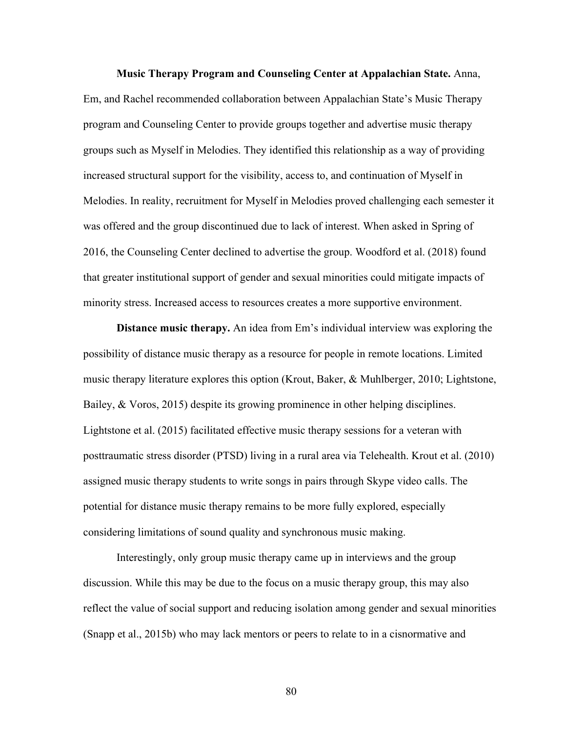**Music Therapy Program and Counseling Center at Appalachian State.** Anna, Em, and Rachel recommended collaboration between Appalachian State's Music Therapy program and Counseling Center to provide groups together and advertise music therapy groups such as Myself in Melodies. They identified this relationship as a way of providing increased structural support for the visibility, access to, and continuation of Myself in Melodies. In reality, recruitment for Myself in Melodies proved challenging each semester it was offered and the group discontinued due to lack of interest. When asked in Spring of 2016, the Counseling Center declined to advertise the group. Woodford et al. (2018) found that greater institutional support of gender and sexual minorities could mitigate impacts of minority stress. Increased access to resources creates a more supportive environment.

**Distance music therapy.** An idea from Em's individual interview was exploring the possibility of distance music therapy as a resource for people in remote locations. Limited music therapy literature explores this option (Krout, Baker, & Muhlberger, 2010; Lightstone, Bailey, & Voros, 2015) despite its growing prominence in other helping disciplines. Lightstone et al. (2015) facilitated effective music therapy sessions for a veteran with posttraumatic stress disorder (PTSD) living in a rural area via Telehealth. Krout et al. (2010) assigned music therapy students to write songs in pairs through Skype video calls. The potential for distance music therapy remains to be more fully explored, especially considering limitations of sound quality and synchronous music making.

Interestingly, only group music therapy came up in interviews and the group discussion. While this may be due to the focus on a music therapy group, this may also reflect the value of social support and reducing isolation among gender and sexual minorities (Snapp et al., 2015b) who may lack mentors or peers to relate to in a cisnormative and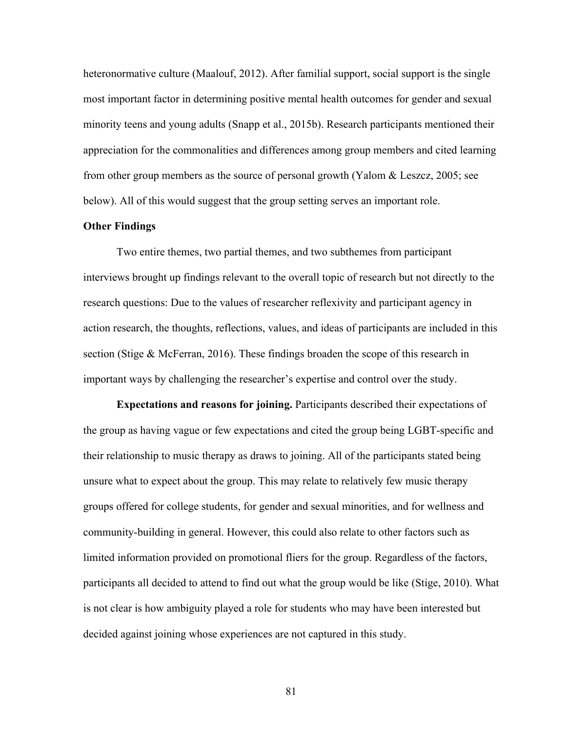heteronormative culture (Maalouf, 2012). After familial support, social support is the single most important factor in determining positive mental health outcomes for gender and sexual minority teens and young adults (Snapp et al., 2015b). Research participants mentioned their appreciation for the commonalities and differences among group members and cited learning from other group members as the source of personal growth (Yalom & Leszcz, 2005; see below). All of this would suggest that the group setting serves an important role.

### **Other Findings**

Two entire themes, two partial themes, and two subthemes from participant interviews brought up findings relevant to the overall topic of research but not directly to the research questions: Due to the values of researcher reflexivity and participant agency in action research, the thoughts, reflections, values, and ideas of participants are included in this section (Stige & McFerran, 2016). These findings broaden the scope of this research in important ways by challenging the researcher's expertise and control over the study.

**Expectations and reasons for joining.** Participants described their expectations of the group as having vague or few expectations and cited the group being LGBT-specific and their relationship to music therapy as draws to joining. All of the participants stated being unsure what to expect about the group. This may relate to relatively few music therapy groups offered for college students, for gender and sexual minorities, and for wellness and community-building in general. However, this could also relate to other factors such as limited information provided on promotional fliers for the group. Regardless of the factors, participants all decided to attend to find out what the group would be like (Stige, 2010). What is not clear is how ambiguity played a role for students who may have been interested but decided against joining whose experiences are not captured in this study.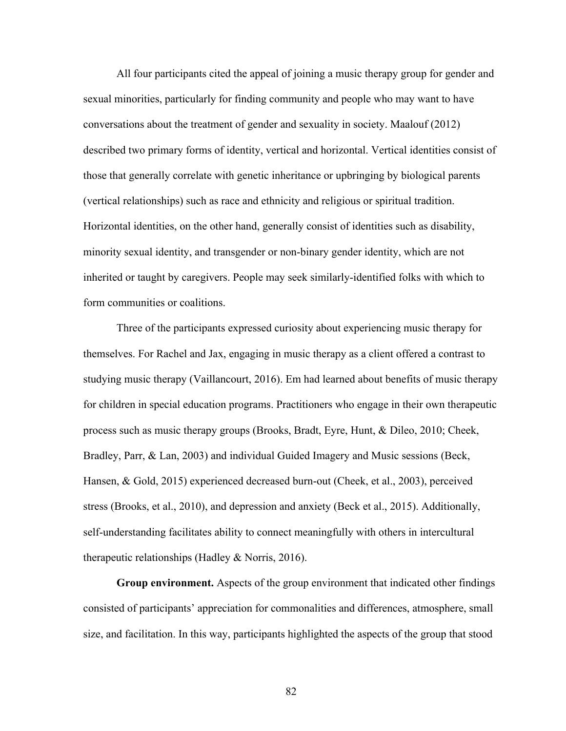All four participants cited the appeal of joining a music therapy group for gender and sexual minorities, particularly for finding community and people who may want to have conversations about the treatment of gender and sexuality in society. Maalouf (2012) described two primary forms of identity, vertical and horizontal. Vertical identities consist of those that generally correlate with genetic inheritance or upbringing by biological parents (vertical relationships) such as race and ethnicity and religious or spiritual tradition. Horizontal identities, on the other hand, generally consist of identities such as disability, minority sexual identity, and transgender or non-binary gender identity, which are not inherited or taught by caregivers. People may seek similarly-identified folks with which to form communities or coalitions.

Three of the participants expressed curiosity about experiencing music therapy for themselves. For Rachel and Jax, engaging in music therapy as a client offered a contrast to studying music therapy (Vaillancourt, 2016). Em had learned about benefits of music therapy for children in special education programs. Practitioners who engage in their own therapeutic process such as music therapy groups (Brooks, Bradt, Eyre, Hunt, & Dileo, 2010; Cheek, Bradley, Parr, & Lan, 2003) and individual Guided Imagery and Music sessions (Beck, Hansen, & Gold, 2015) experienced decreased burn-out (Cheek, et al., 2003), perceived stress (Brooks, et al., 2010), and depression and anxiety (Beck et al., 2015). Additionally, self-understanding facilitates ability to connect meaningfully with others in intercultural therapeutic relationships (Hadley & Norris, 2016).

**Group environment.** Aspects of the group environment that indicated other findings consisted of participants' appreciation for commonalities and differences, atmosphere, small size, and facilitation. In this way, participants highlighted the aspects of the group that stood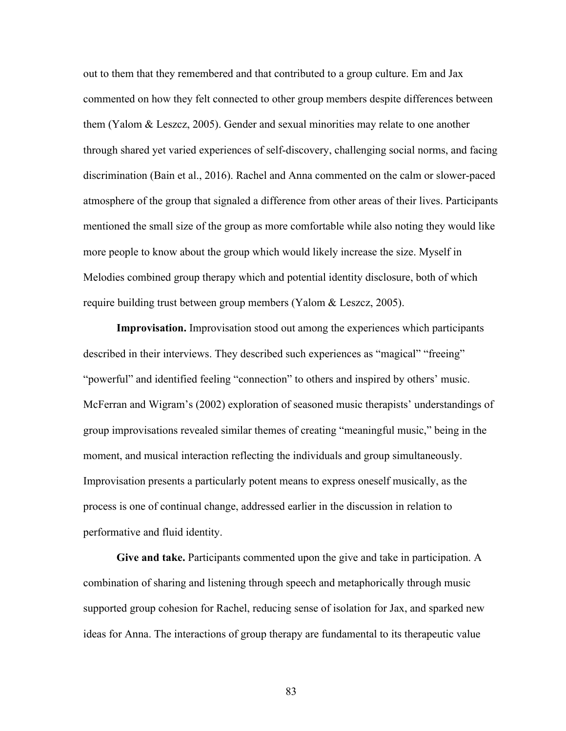out to them that they remembered and that contributed to a group culture. Em and Jax commented on how they felt connected to other group members despite differences between them (Yalom & Leszcz, 2005). Gender and sexual minorities may relate to one another through shared yet varied experiences of self-discovery, challenging social norms, and facing discrimination (Bain et al., 2016). Rachel and Anna commented on the calm or slower-paced atmosphere of the group that signaled a difference from other areas of their lives. Participants mentioned the small size of the group as more comfortable while also noting they would like more people to know about the group which would likely increase the size. Myself in Melodies combined group therapy which and potential identity disclosure, both of which require building trust between group members (Yalom & Leszcz, 2005).

**Improvisation.** Improvisation stood out among the experiences which participants described in their interviews. They described such experiences as "magical" "freeing" "powerful" and identified feeling "connection" to others and inspired by others' music. McFerran and Wigram's (2002) exploration of seasoned music therapists' understandings of group improvisations revealed similar themes of creating "meaningful music," being in the moment, and musical interaction reflecting the individuals and group simultaneously. Improvisation presents a particularly potent means to express oneself musically, as the process is one of continual change, addressed earlier in the discussion in relation to performative and fluid identity.

**Give and take.** Participants commented upon the give and take in participation. A combination of sharing and listening through speech and metaphorically through music supported group cohesion for Rachel, reducing sense of isolation for Jax, and sparked new ideas for Anna. The interactions of group therapy are fundamental to its therapeutic value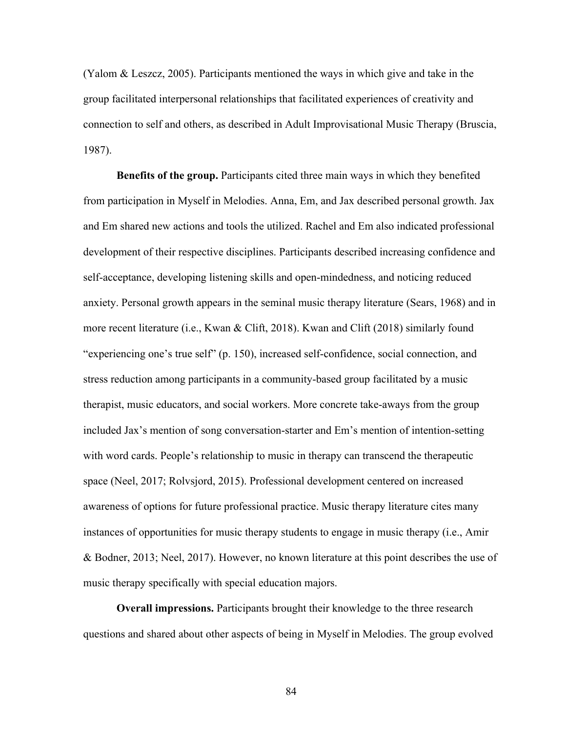(Yalom & Leszcz, 2005). Participants mentioned the ways in which give and take in the group facilitated interpersonal relationships that facilitated experiences of creativity and connection to self and others, as described in Adult Improvisational Music Therapy (Bruscia, 1987).

**Benefits of the group.** Participants cited three main ways in which they benefited from participation in Myself in Melodies. Anna, Em, and Jax described personal growth. Jax and Em shared new actions and tools the utilized. Rachel and Em also indicated professional development of their respective disciplines. Participants described increasing confidence and self-acceptance, developing listening skills and open-mindedness, and noticing reduced anxiety. Personal growth appears in the seminal music therapy literature (Sears, 1968) and in more recent literature (i.e., Kwan & Clift, 2018). Kwan and Clift (2018) similarly found "experiencing one's true self" (p. 150), increased self-confidence, social connection, and stress reduction among participants in a community-based group facilitated by a music therapist, music educators, and social workers. More concrete take-aways from the group included Jax's mention of song conversation-starter and Em's mention of intention-setting with word cards. People's relationship to music in therapy can transcend the therapeutic space (Neel, 2017; Rolvsjord, 2015). Professional development centered on increased awareness of options for future professional practice. Music therapy literature cites many instances of opportunities for music therapy students to engage in music therapy (i.e., Amir & Bodner, 2013; Neel, 2017). However, no known literature at this point describes the use of music therapy specifically with special education majors.

**Overall impressions.** Participants brought their knowledge to the three research questions and shared about other aspects of being in Myself in Melodies. The group evolved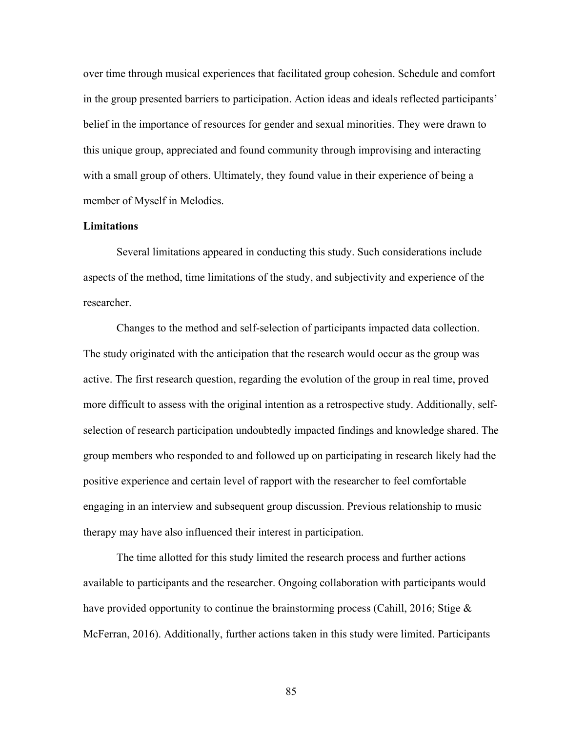over time through musical experiences that facilitated group cohesion. Schedule and comfort in the group presented barriers to participation. Action ideas and ideals reflected participants' belief in the importance of resources for gender and sexual minorities. They were drawn to this unique group, appreciated and found community through improvising and interacting with a small group of others. Ultimately, they found value in their experience of being a member of Myself in Melodies.

## **Limitations**

Several limitations appeared in conducting this study. Such considerations include aspects of the method, time limitations of the study, and subjectivity and experience of the researcher.

Changes to the method and self-selection of participants impacted data collection. The study originated with the anticipation that the research would occur as the group was active. The first research question, regarding the evolution of the group in real time, proved more difficult to assess with the original intention as a retrospective study. Additionally, selfselection of research participation undoubtedly impacted findings and knowledge shared. The group members who responded to and followed up on participating in research likely had the positive experience and certain level of rapport with the researcher to feel comfortable engaging in an interview and subsequent group discussion. Previous relationship to music therapy may have also influenced their interest in participation.

The time allotted for this study limited the research process and further actions available to participants and the researcher. Ongoing collaboration with participants would have provided opportunity to continue the brainstorming process (Cahill, 2016; Stige & McFerran, 2016). Additionally, further actions taken in this study were limited. Participants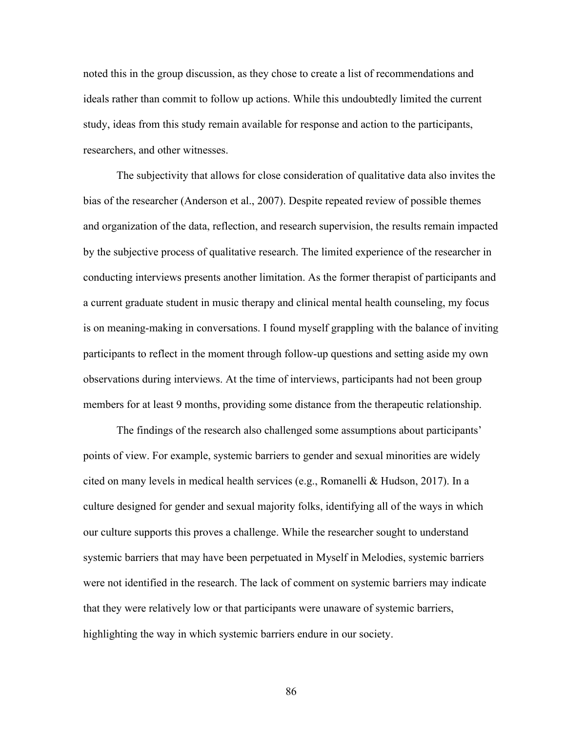noted this in the group discussion, as they chose to create a list of recommendations and ideals rather than commit to follow up actions. While this undoubtedly limited the current study, ideas from this study remain available for response and action to the participants, researchers, and other witnesses.

The subjectivity that allows for close consideration of qualitative data also invites the bias of the researcher (Anderson et al., 2007). Despite repeated review of possible themes and organization of the data, reflection, and research supervision, the results remain impacted by the subjective process of qualitative research. The limited experience of the researcher in conducting interviews presents another limitation. As the former therapist of participants and a current graduate student in music therapy and clinical mental health counseling, my focus is on meaning-making in conversations. I found myself grappling with the balance of inviting participants to reflect in the moment through follow-up questions and setting aside my own observations during interviews. At the time of interviews, participants had not been group members for at least 9 months, providing some distance from the therapeutic relationship.

The findings of the research also challenged some assumptions about participants' points of view. For example, systemic barriers to gender and sexual minorities are widely cited on many levels in medical health services (e.g., Romanelli & Hudson, 2017). In a culture designed for gender and sexual majority folks, identifying all of the ways in which our culture supports this proves a challenge. While the researcher sought to understand systemic barriers that may have been perpetuated in Myself in Melodies, systemic barriers were not identified in the research. The lack of comment on systemic barriers may indicate that they were relatively low or that participants were unaware of systemic barriers, highlighting the way in which systemic barriers endure in our society.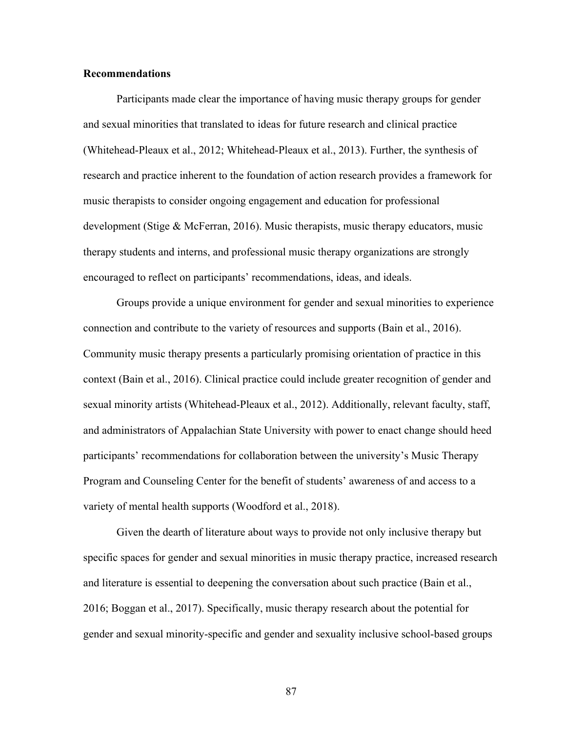## **Recommendations**

Participants made clear the importance of having music therapy groups for gender and sexual minorities that translated to ideas for future research and clinical practice (Whitehead-Pleaux et al., 2012; Whitehead-Pleaux et al., 2013). Further, the synthesis of research and practice inherent to the foundation of action research provides a framework for music therapists to consider ongoing engagement and education for professional development (Stige & McFerran, 2016). Music therapists, music therapy educators, music therapy students and interns, and professional music therapy organizations are strongly encouraged to reflect on participants' recommendations, ideas, and ideals.

Groups provide a unique environment for gender and sexual minorities to experience connection and contribute to the variety of resources and supports (Bain et al., 2016). Community music therapy presents a particularly promising orientation of practice in this context (Bain et al., 2016). Clinical practice could include greater recognition of gender and sexual minority artists (Whitehead-Pleaux et al., 2012). Additionally, relevant faculty, staff, and administrators of Appalachian State University with power to enact change should heed participants' recommendations for collaboration between the university's Music Therapy Program and Counseling Center for the benefit of students' awareness of and access to a variety of mental health supports (Woodford et al., 2018).

Given the dearth of literature about ways to provide not only inclusive therapy but specific spaces for gender and sexual minorities in music therapy practice, increased research and literature is essential to deepening the conversation about such practice (Bain et al., 2016; Boggan et al., 2017). Specifically, music therapy research about the potential for gender and sexual minority-specific and gender and sexuality inclusive school-based groups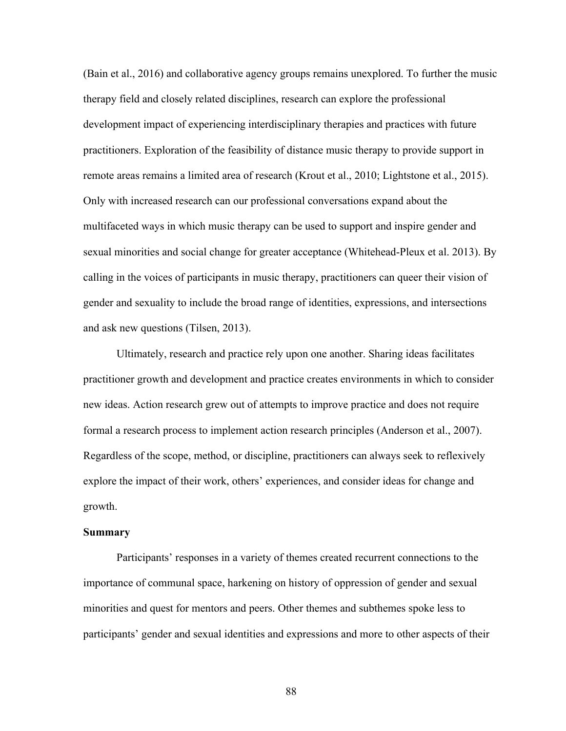(Bain et al., 2016) and collaborative agency groups remains unexplored. To further the music therapy field and closely related disciplines, research can explore the professional development impact of experiencing interdisciplinary therapies and practices with future practitioners. Exploration of the feasibility of distance music therapy to provide support in remote areas remains a limited area of research (Krout et al., 2010; Lightstone et al., 2015). Only with increased research can our professional conversations expand about the multifaceted ways in which music therapy can be used to support and inspire gender and sexual minorities and social change for greater acceptance (Whitehead-Pleux et al. 2013). By calling in the voices of participants in music therapy, practitioners can queer their vision of gender and sexuality to include the broad range of identities, expressions, and intersections and ask new questions (Tilsen, 2013).

Ultimately, research and practice rely upon one another. Sharing ideas facilitates practitioner growth and development and practice creates environments in which to consider new ideas. Action research grew out of attempts to improve practice and does not require formal a research process to implement action research principles (Anderson et al., 2007). Regardless of the scope, method, or discipline, practitioners can always seek to reflexively explore the impact of their work, others' experiences, and consider ideas for change and growth.

#### **Summary**

Participants' responses in a variety of themes created recurrent connections to the importance of communal space, harkening on history of oppression of gender and sexual minorities and quest for mentors and peers. Other themes and subthemes spoke less to participants' gender and sexual identities and expressions and more to other aspects of their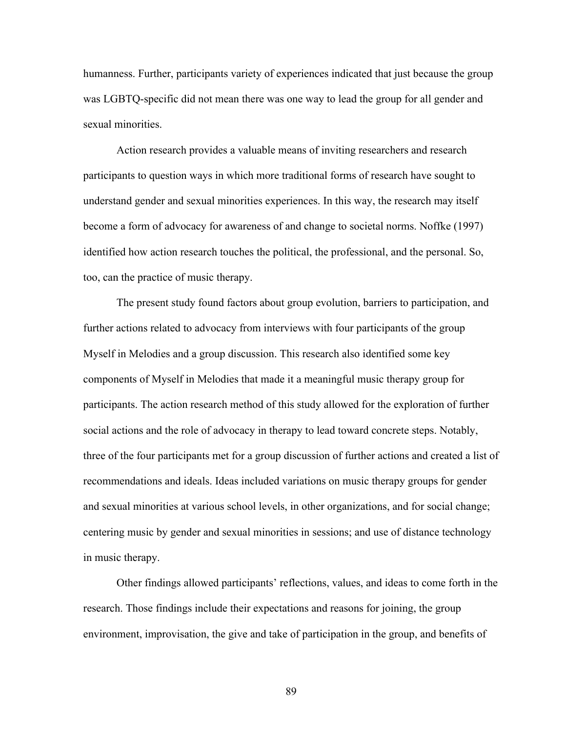humanness. Further, participants variety of experiences indicated that just because the group was LGBTQ-specific did not mean there was one way to lead the group for all gender and sexual minorities.

Action research provides a valuable means of inviting researchers and research participants to question ways in which more traditional forms of research have sought to understand gender and sexual minorities experiences. In this way, the research may itself become a form of advocacy for awareness of and change to societal norms. Noffke (1997) identified how action research touches the political, the professional, and the personal. So, too, can the practice of music therapy.

The present study found factors about group evolution, barriers to participation, and further actions related to advocacy from interviews with four participants of the group Myself in Melodies and a group discussion. This research also identified some key components of Myself in Melodies that made it a meaningful music therapy group for participants. The action research method of this study allowed for the exploration of further social actions and the role of advocacy in therapy to lead toward concrete steps. Notably, three of the four participants met for a group discussion of further actions and created a list of recommendations and ideals. Ideas included variations on music therapy groups for gender and sexual minorities at various school levels, in other organizations, and for social change; centering music by gender and sexual minorities in sessions; and use of distance technology in music therapy.

Other findings allowed participants' reflections, values, and ideas to come forth in the research. Those findings include their expectations and reasons for joining, the group environment, improvisation, the give and take of participation in the group, and benefits of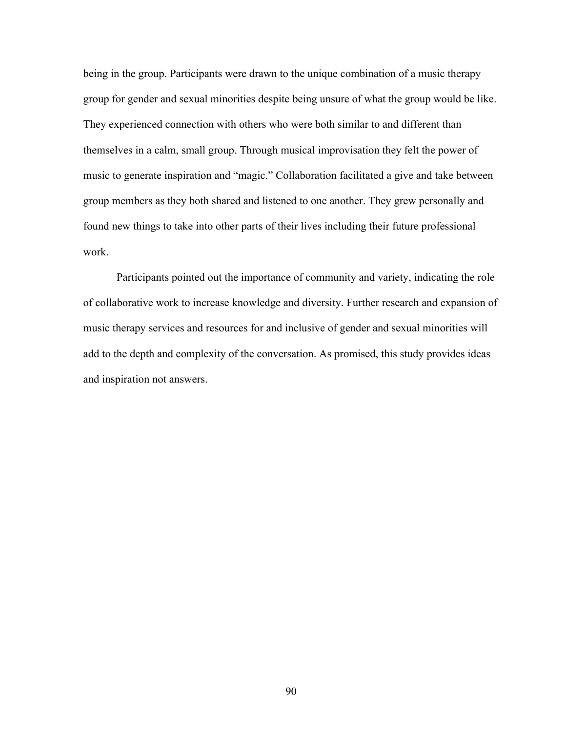being in the group. Participants were drawn to the unique combination of a music therapy group for gender and sexual minorities despite being unsure of what the group would be like. They experienced connection with others who were both similar to and different than themselves in a calm, small group. Through musical improvisation they felt the power of music to generate inspiration and "magic." Collaboration facilitated a give and take between group members as they both shared and listened to one another. They grew personally and found new things to take into other parts of their lives including their future professional work.

Participants pointed out the importance of community and variety, indicating the role of collaborative work to increase knowledge and diversity. Further research and expansion of music therapy services and resources for and inclusive of gender and sexual minorities will add to the depth and complexity of the conversation. As promised, this study provides ideas and inspiration not answers.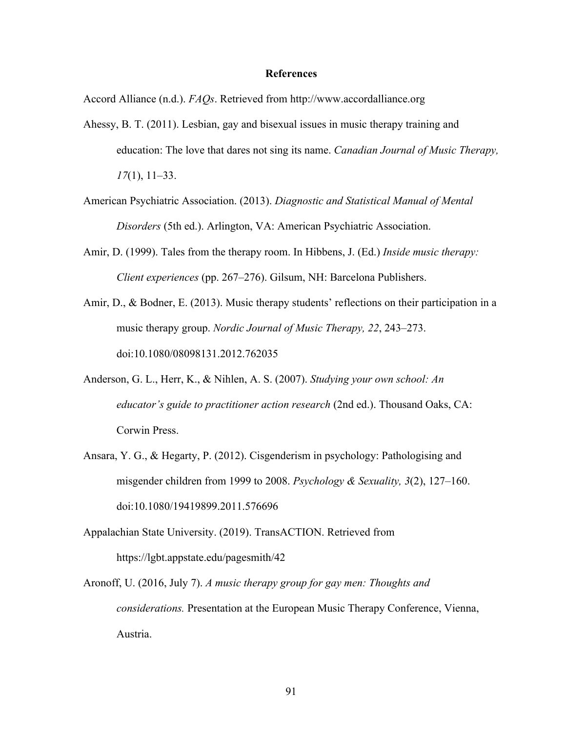#### **References**

Accord Alliance (n.d.). *FAQs*. Retrieved from http://www.accordalliance.org

- Ahessy, B. T. (2011). Lesbian, gay and bisexual issues in music therapy training and education: The love that dares not sing its name. *Canadian Journal of Music Therapy, 17*(1), 11–33.
- American Psychiatric Association. (2013). *Diagnostic and Statistical Manual of Mental Disorders* (5th ed.). Arlington, VA: American Psychiatric Association.
- Amir, D. (1999). Tales from the therapy room. In Hibbens, J. (Ed.) *Inside music therapy: Client experiences* (pp. 267–276). Gilsum, NH: Barcelona Publishers.
- Amir, D., & Bodner, E. (2013). Music therapy students' reflections on their participation in a music therapy group. *Nordic Journal of Music Therapy, 22*, 243–273. doi:10.1080/08098131.2012.762035
- Anderson, G. L., Herr, K., & Nihlen, A. S. (2007). *Studying your own school: An educator's guide to practitioner action research* (2nd ed.). Thousand Oaks, CA: Corwin Press.
- Ansara, Y. G., & Hegarty, P. (2012). Cisgenderism in psychology: Pathologising and misgender children from 1999 to 2008. *Psychology & Sexuality, 3*(2), 127–160. doi:10.1080/19419899.2011.576696
- Appalachian State University. (2019). TransACTION. Retrieved from https://lgbt.appstate.edu/pagesmith/42
- Aronoff, U. (2016, July 7). *A music therapy group for gay men: Thoughts and considerations.* Presentation at the European Music Therapy Conference, Vienna, Austria.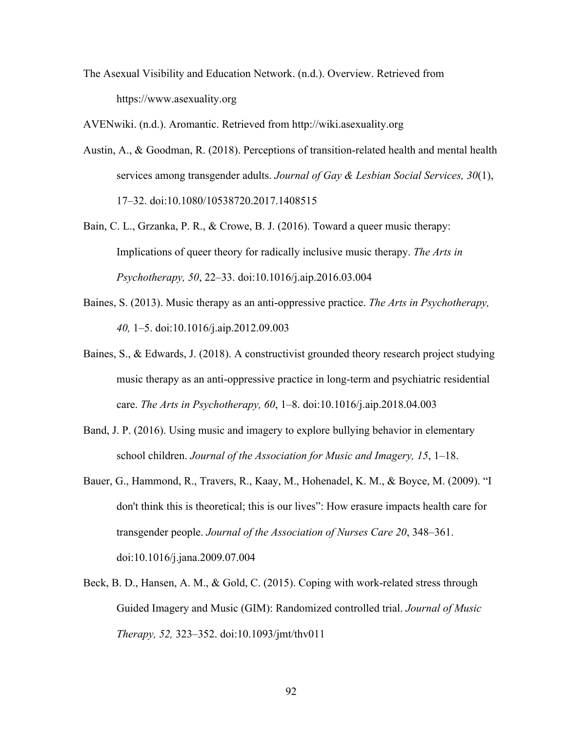The Asexual Visibility and Education Network. (n.d.). Overview. Retrieved from https://www.asexuality.org

AVENwiki. (n.d.). Aromantic. Retrieved from http://wiki.asexuality.org

- Austin, A., & Goodman, R. (2018). Perceptions of transition-related health and mental health services among transgender adults. *Journal of Gay & Lesbian Social Services, 30*(1), 17–32. doi:10.1080/10538720.2017.1408515
- Bain, C. L., Grzanka, P. R., & Crowe, B. J. (2016). Toward a queer music therapy: Implications of queer theory for radically inclusive music therapy. *The Arts in Psychotherapy, 50*, 22–33. doi:10.1016/j.aip.2016.03.004
- Baines, S. (2013). Music therapy as an anti-oppressive practice. *The Arts in Psychotherapy, 40,* 1–5. doi:10.1016/j.aip.2012.09.003
- Baines, S., & Edwards, J. (2018). A constructivist grounded theory research project studying music therapy as an anti-oppressive practice in long-term and psychiatric residential care. *The Arts in Psychotherapy, 60*, 1–8. doi:10.1016/j.aip.2018.04.003
- Band, J. P. (2016). Using music and imagery to explore bullying behavior in elementary school children. *Journal of the Association for Music and Imagery, 15*, 1–18.
- Bauer, G., Hammond, R., Travers, R., Kaay, M., Hohenadel, K. M., & Boyce, M. (2009). "I don't think this is theoretical; this is our lives": How erasure impacts health care for transgender people. *Journal of the Association of Nurses Care 20*, 348–361. doi:10.1016/j.jana.2009.07.004
- Beck, B. D., Hansen, A. M., & Gold, C. (2015). Coping with work-related stress through Guided Imagery and Music (GIM): Randomized controlled trial. *Journal of Music Therapy, 52,* 323–352. doi:10.1093/jmt/thv011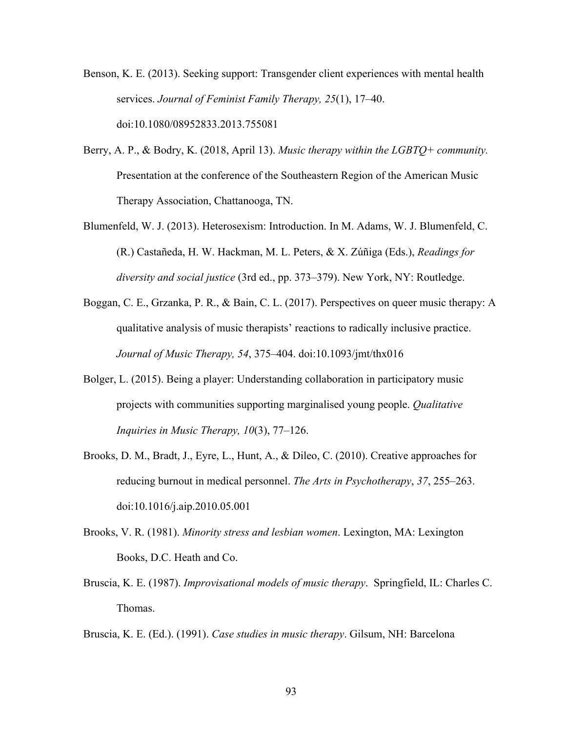Benson, K. E. (2013). Seeking support: Transgender client experiences with mental health services. *Journal of Feminist Family Therapy, 25*(1), 17–40. doi:10.1080/08952833.2013.755081

- Berry, A. P., & Bodry, K. (2018, April 13). *Music therapy within the LGBTQ+ community.* Presentation at the conference of the Southeastern Region of the American Music Therapy Association, Chattanooga, TN.
- Blumenfeld, W. J. (2013). Heterosexism: Introduction. In M. Adams, W. J. Blumenfeld, C. (R.) Castañeda, H. W. Hackman, M. L. Peters, & X. Zúñiga (Eds.), *Readings for diversity and social justice* (3rd ed., pp. 373–379). New York, NY: Routledge.
- Boggan, C. E., Grzanka, P. R., & Bain, C. L. (2017). Perspectives on queer music therapy: A qualitative analysis of music therapists' reactions to radically inclusive practice. *Journal of Music Therapy, 54*, 375–404. doi:10.1093/jmt/thx016
- Bolger, L. (2015). Being a player: Understanding collaboration in participatory music projects with communities supporting marginalised young people. *Qualitative Inquiries in Music Therapy, 10*(3), 77–126.
- Brooks, D. M., Bradt, J., Eyre, L., Hunt, A., & Dileo, C. (2010). Creative approaches for reducing burnout in medical personnel. *The Arts in Psychotherapy*, *37*, 255–263. doi:10.1016/j.aip.2010.05.001
- Brooks, V. R. (1981). *Minority stress and lesbian women*. Lexington, MA: Lexington Books, D.C. Heath and Co.
- Bruscia, K. E. (1987). *Improvisational models of music therapy*. Springfield, IL: Charles C. Thomas.

Bruscia, K. E. (Ed.). (1991). *Case studies in music therapy*. Gilsum, NH: Barcelona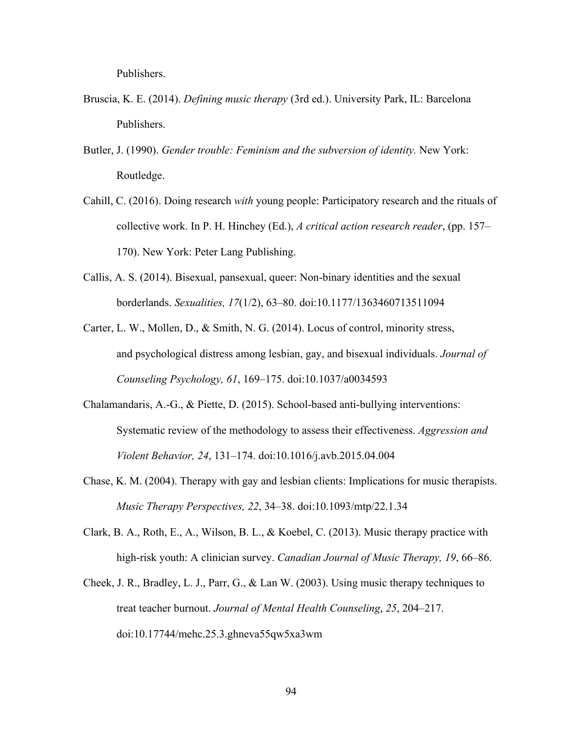Publishers.

- Bruscia, K. E. (2014). *Defining music therapy* (3rd ed.). University Park, IL: Barcelona Publishers.
- Butler, J. (1990). *Gender trouble: Feminism and the subversion of identity.* New York: Routledge.
- Cahill, C. (2016). Doing research *with* young people: Participatory research and the rituals of collective work. In P. H. Hinchey (Ed.), *A critical action research reader*, (pp. 157– 170). New York: Peter Lang Publishing.
- Callis, A. S. (2014). Bisexual, pansexual, queer: Non-binary identities and the sexual borderlands. *Sexualities, 17*(1/2), 63–80. doi:10.1177/1363460713511094
- Carter, L. W., Mollen, D., & Smith, N. G. (2014). Locus of control, minority stress, and psychological distress among lesbian, gay, and bisexual individuals. *Journal of Counseling Psychology, 61*, 169–175. doi:10.1037/a0034593
- Chalamandaris, A.-G., & Piette, D. (2015). School-based anti-bullying interventions: Systematic review of the methodology to assess their effectiveness. *Aggression and Violent Behavior, 24*, 131–174. doi:10.1016/j.avb.2015.04.004
- Chase, K. M. (2004). Therapy with gay and lesbian clients: Implications for music therapists. *Music Therapy Perspectives, 22*, 34–38. doi:10.1093/mtp/22.1.34
- Clark, B. A., Roth, E., A., Wilson, B. L., & Koebel, C. (2013). Music therapy practice with high-risk youth: A clinician survey. *Canadian Journal of Music Therapy, 19*, 66–86.
- Cheek, J. R., Bradley, L. J., Parr, G., & Lan W. (2003). Using music therapy techniques to treat teacher burnout. *Journal of Mental Health Counseling*, *25*, 204–217. doi:10.17744/mehc.25.3.ghneva55qw5xa3wm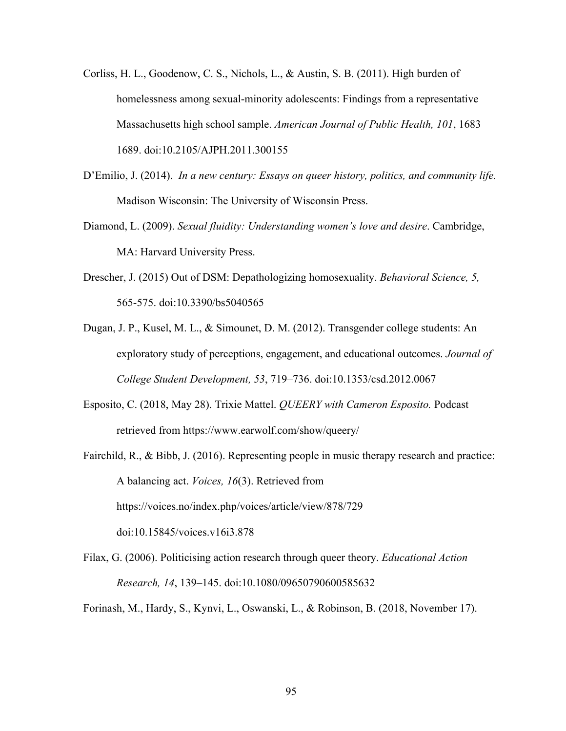- Corliss, H. L., Goodenow, C. S., Nichols, L., & Austin, S. B. (2011). High burden of homelessness among sexual-minority adolescents: Findings from a representative Massachusetts high school sample. *American Journal of Public Health, 101*, 1683– 1689. doi:10.2105/AJPH.2011.300155
- D'Emilio, J. (2014). *In a new century: Essays on queer history, politics, and community life.* Madison Wisconsin: The University of Wisconsin Press.
- Diamond, L. (2009). *Sexual fluidity: Understanding women's love and desire*. Cambridge, MA: Harvard University Press.
- Drescher, J. (2015) Out of DSM: Depathologizing homosexuality. *Behavioral Science, 5,* 565-575. doi:10.3390/bs5040565
- Dugan, J. P., Kusel, M. L., & Simounet, D. M. (2012). Transgender college students: An exploratory study of perceptions, engagement, and educational outcomes. *Journal of College Student Development, 53*, 719–736. doi:10.1353/csd.2012.0067
- Esposito, C. (2018, May 28). Trixie Mattel. *QUEERY with Cameron Esposito.* Podcast retrieved from https://www.earwolf.com/show/queery/
- Fairchild, R., & Bibb, J. (2016). Representing people in music therapy research and practice: A balancing act. *Voices, 16*(3). Retrieved from https://voices.no/index.php/voices/article/view/878/729 doi:10.15845/voices.v16i3.878
- Filax, G. (2006). Politicising action research through queer theory. *Educational Action Research, 14*, 139–145. doi:10.1080/09650790600585632

Forinash, M., Hardy, S., Kynvi, L., Oswanski, L., & Robinson, B. (2018, November 17).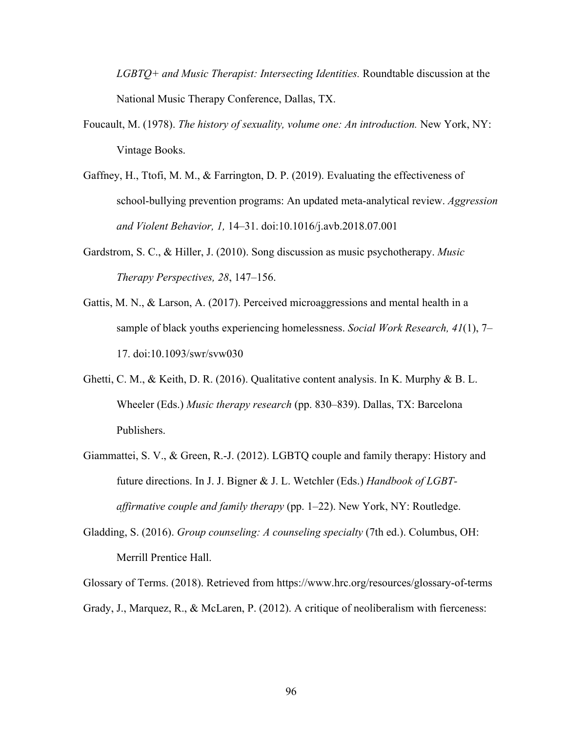*LGBTQ+ and Music Therapist: Intersecting Identities.* Roundtable discussion at the National Music Therapy Conference, Dallas, TX.

- Foucault, M. (1978). *The history of sexuality, volume one: An introduction*. New York, NY: Vintage Books.
- Gaffney, H., Ttofi, M. M., & Farrington, D. P. (2019). Evaluating the effectiveness of school-bullying prevention programs: An updated meta-analytical review. *Aggression and Violent Behavior, 1,* 14–31. doi:10.1016/j.avb.2018.07.001
- Gardstrom, S. C., & Hiller, J. (2010). Song discussion as music psychotherapy. *Music Therapy Perspectives, 28*, 147–156.
- Gattis, M. N., & Larson, A. (2017). Perceived microaggressions and mental health in a sample of black youths experiencing homelessness. *Social Work Research, 41*(1), 7– 17. doi:10.1093/swr/svw030
- Ghetti, C. M., & Keith, D. R. (2016). Qualitative content analysis. In K. Murphy & B. L. Wheeler (Eds.) *Music therapy research* (pp. 830–839). Dallas, TX: Barcelona Publishers.
- Giammattei, S. V., & Green, R.-J. (2012). LGBTQ couple and family therapy: History and future directions. In J. J. Bigner & J. L. Wetchler (Eds.) *Handbook of LGBTaffirmative couple and family therapy* (pp. 1–22). New York, NY: Routledge.
- Gladding, S. (2016). *Group counseling: A counseling specialty* (7th ed.). Columbus, OH: Merrill Prentice Hall.

Glossary of Terms. (2018). Retrieved from https://www.hrc.org/resources/glossary-of-terms Grady, J., Marquez, R., & McLaren, P. (2012). A critique of neoliberalism with fierceness: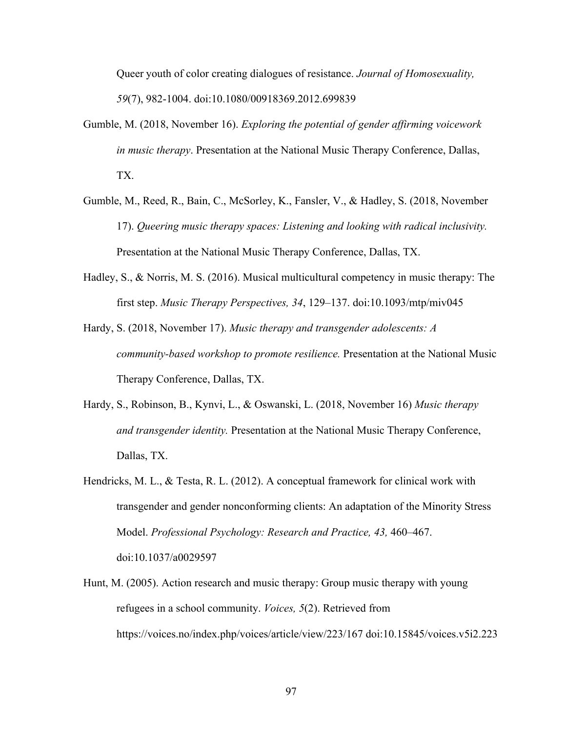Queer youth of color creating dialogues of resistance. *Journal of Homosexuality, 59*(7), 982-1004. doi:10.1080/00918369.2012.699839

- Gumble, M. (2018, November 16). *Exploring the potential of gender affirming voicework in music therapy*. Presentation at the National Music Therapy Conference, Dallas, TX.
- Gumble, M., Reed, R., Bain, C., McSorley, K., Fansler, V., & Hadley, S. (2018, November 17). *Queering music therapy spaces: Listening and looking with radical inclusivity.* Presentation at the National Music Therapy Conference, Dallas, TX.
- Hadley, S., & Norris, M. S. (2016). Musical multicultural competency in music therapy: The first step. *Music Therapy Perspectives, 34*, 129–137. doi:10.1093/mtp/miv045
- Hardy, S. (2018, November 17). *Music therapy and transgender adolescents: A community-based workshop to promote resilience.* Presentation at the National Music Therapy Conference, Dallas, TX.
- Hardy, S., Robinson, B., Kynvi, L., & Oswanski, L. (2018, November 16) *Music therapy and transgender identity.* Presentation at the National Music Therapy Conference, Dallas, TX.
- Hendricks, M. L., & Testa, R. L. (2012). A conceptual framework for clinical work with transgender and gender nonconforming clients: An adaptation of the Minority Stress Model. *Professional Psychology: Research and Practice, 43,* 460–467. doi:10.1037/a0029597
- Hunt, M. (2005). Action research and music therapy: Group music therapy with young refugees in a school community. *Voices, 5*(2). Retrieved from https://voices.no/index.php/voices/article/view/223/167 doi:10.15845/voices.v5i2.223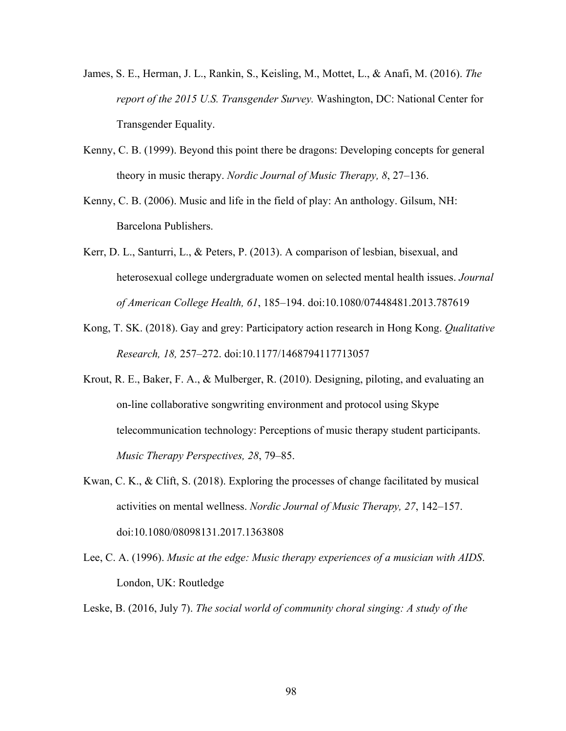- James, S. E., Herman, J. L., Rankin, S., Keisling, M., Mottet, L., & Anafi, M. (2016). *The report of the 2015 U.S. Transgender Survey.* Washington, DC: National Center for Transgender Equality.
- Kenny, C. B. (1999). Beyond this point there be dragons: Developing concepts for general theory in music therapy. *Nordic Journal of Music Therapy, 8*, 27–136.
- Kenny, C. B. (2006). Music and life in the field of play: An anthology. Gilsum, NH: Barcelona Publishers.
- Kerr, D. L., Santurri, L., & Peters, P. (2013). A comparison of lesbian, bisexual, and heterosexual college undergraduate women on selected mental health issues. *Journal of American College Health, 61*, 185–194. doi:10.1080/07448481.2013.787619
- Kong, T. SK. (2018). Gay and grey: Participatory action research in Hong Kong. *Qualitative Research, 18,* 257–272. doi:10.1177/1468794117713057
- Krout, R. E., Baker, F. A., & Mulberger, R. (2010). Designing, piloting, and evaluating an on-line collaborative songwriting environment and protocol using Skype telecommunication technology: Perceptions of music therapy student participants. *Music Therapy Perspectives, 28*, 79–85.
- Kwan, C. K., & Clift, S. (2018). Exploring the processes of change facilitated by musical activities on mental wellness. *Nordic Journal of Music Therapy, 27*, 142–157. doi:10.1080/08098131.2017.1363808
- Lee, C. A. (1996). *Music at the edge: Music therapy experiences of a musician with AIDS*. London, UK: Routledge
- Leske, B. (2016, July 7). *The social world of community choral singing: A study of the*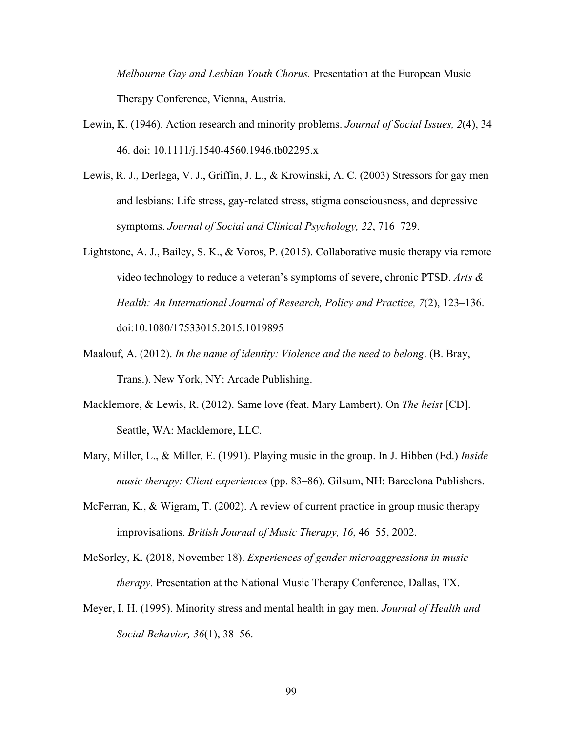*Melbourne Gay and Lesbian Youth Chorus.* Presentation at the European Music Therapy Conference, Vienna, Austria.

- Lewin, K. (1946). Action research and minority problems. *Journal of Social Issues, 2*(4), 34– 46. doi: 10.1111/j.1540-4560.1946.tb02295.x
- Lewis, R. J., Derlega, V. J., Griffin, J. L., & Krowinski, A. C. (2003) Stressors for gay men and lesbians: Life stress, gay-related stress, stigma consciousness, and depressive symptoms. *Journal of Social and Clinical Psychology, 22*, 716–729.
- Lightstone, A. J., Bailey, S. K., & Voros, P. (2015). Collaborative music therapy via remote video technology to reduce a veteran's symptoms of severe, chronic PTSD. *Arts & Health: An International Journal of Research, Policy and Practice, 7*(2), 123–136. doi:10.1080/17533015.2015.1019895
- Maalouf, A. (2012). *In the name of identity: Violence and the need to belong*. (B. Bray, Trans.). New York, NY: Arcade Publishing.
- Macklemore, & Lewis, R. (2012). Same love (feat. Mary Lambert). On *The heist* [CD]. Seattle, WA: Macklemore, LLC.
- Mary, Miller, L., & Miller, E. (1991). Playing music in the group. In J. Hibben (Ed.) *Inside music therapy: Client experiences* (pp. 83–86). Gilsum, NH: Barcelona Publishers.
- McFerran, K., & Wigram, T. (2002). A review of current practice in group music therapy improvisations. *British Journal of Music Therapy, 16*, 46–55, 2002.

McSorley, K. (2018, November 18). *Experiences of gender microaggressions in music therapy.* Presentation at the National Music Therapy Conference, Dallas, TX.

Meyer, I. H. (1995). Minority stress and mental health in gay men. *Journal of Health and Social Behavior, 36*(1), 38–56.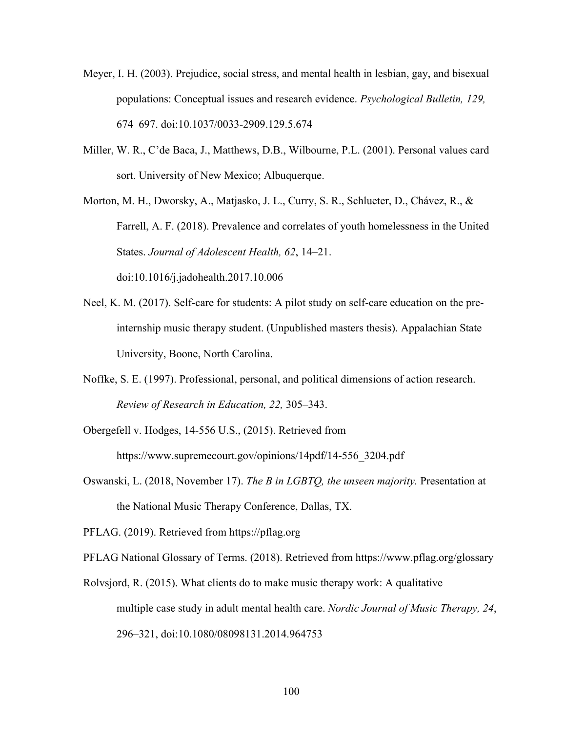- Meyer, I. H. (2003). Prejudice, social stress, and mental health in lesbian, gay, and bisexual populations: Conceptual issues and research evidence. *Psychological Bulletin, 129,* 674–697. doi:10.1037/0033-2909.129.5.674
- Miller, W. R., C'de Baca, J., Matthews, D.B., Wilbourne, P.L. (2001). Personal values card sort. University of New Mexico; Albuquerque.

Morton, M. H., Dworsky, A., Matjasko, J. L., Curry, S. R., Schlueter, D., Chávez, R., & Farrell, A. F. (2018). Prevalence and correlates of youth homelessness in the United States. *Journal of Adolescent Health, 62*, 14–21. doi:10.1016/j.jadohealth.2017.10.006

- Neel, K. M. (2017). Self-care for students: A pilot study on self-care education on the preinternship music therapy student. (Unpublished masters thesis). Appalachian State University, Boone, North Carolina.
- Noffke, S. E. (1997). Professional, personal, and political dimensions of action research. *Review of Research in Education, 22,* 305–343.
- Obergefell v. Hodges, 14-556 U.S., (2015). Retrieved from https://www.supremecourt.gov/opinions/14pdf/14-556\_3204.pdf
- Oswanski, L. (2018, November 17). *The B in LGBTQ, the unseen majority.* Presentation at the National Music Therapy Conference, Dallas, TX.

PFLAG. (2019). Retrieved from https://pflag.org

PFLAG National Glossary of Terms. (2018). Retrieved from https://www.pflag.org/glossary

Rolvsjord, R. (2015). What clients do to make music therapy work: A qualitative multiple case study in adult mental health care. *Nordic Journal of Music Therapy, 24*, 296–321, doi:10.1080/08098131.2014.964753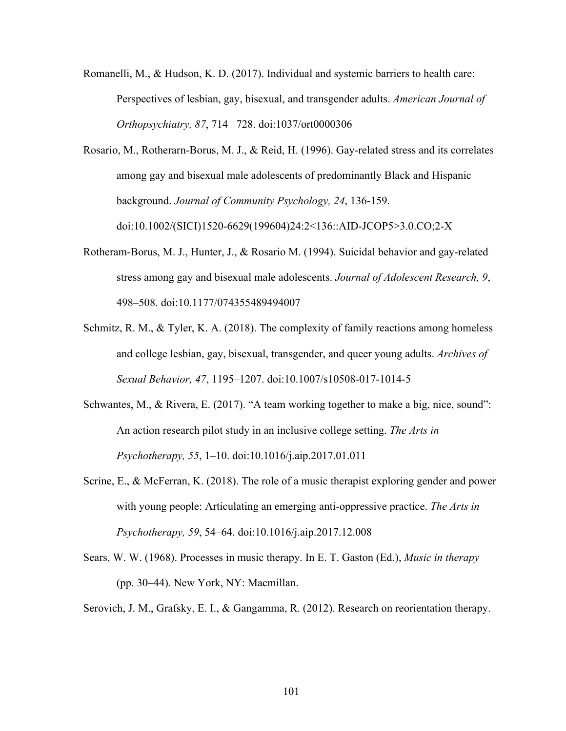- Romanelli, M., & Hudson, K. D. (2017). Individual and systemic barriers to health care: Perspectives of lesbian, gay, bisexual, and transgender adults. *American Journal of Orthopsychiatry, 87*, 714 –728. doi:1037/ort0000306
- Rosario, M., Rotherarn-Borus, M. J., & Reid, H. (1996). Gay-related stress and its correlates among gay and bisexual male adolescents of predominantly Black and Hispanic background. *Journal of Community Psychology, 24*, 136-159. doi:10.1002/(SICI)1520-6629(199604)24:2<136::AID-JCOP5>3.0.CO;2-X
- Rotheram-Borus, M. J., Hunter, J., & Rosario M. (1994). Suicidal behavior and gay-related stress among gay and bisexual male adolescents. *Journal of Adolescent Research, 9*, 498–508. doi:10.1177/074355489494007
- Schmitz, R. M., & Tyler, K. A. (2018). The complexity of family reactions among homeless and college lesbian, gay, bisexual, transgender, and queer young adults. *Archives of Sexual Behavior, 47*, 1195–1207. doi:10.1007/s10508-017-1014-5
- Schwantes, M., & Rivera, E. (2017). "A team working together to make a big, nice, sound": An action research pilot study in an inclusive college setting. *The Arts in Psychotherapy, 55*, 1–10. doi:10.1016/j.aip.2017.01.011
- Scrine, E., & McFerran, K. (2018). The role of a music therapist exploring gender and power with young people: Articulating an emerging anti-oppressive practice. *The Arts in Psychotherapy, 59*, 54–64. doi:10.1016/j.aip.2017.12.008
- Sears, W. W. (1968). Processes in music therapy. In E. T. Gaston (Ed.), *Music in therapy* (pp. 30–44). New York, NY: Macmillan.
- Serovich, J. M., Grafsky, E. I., & Gangamma, R. (2012). Research on reorientation therapy.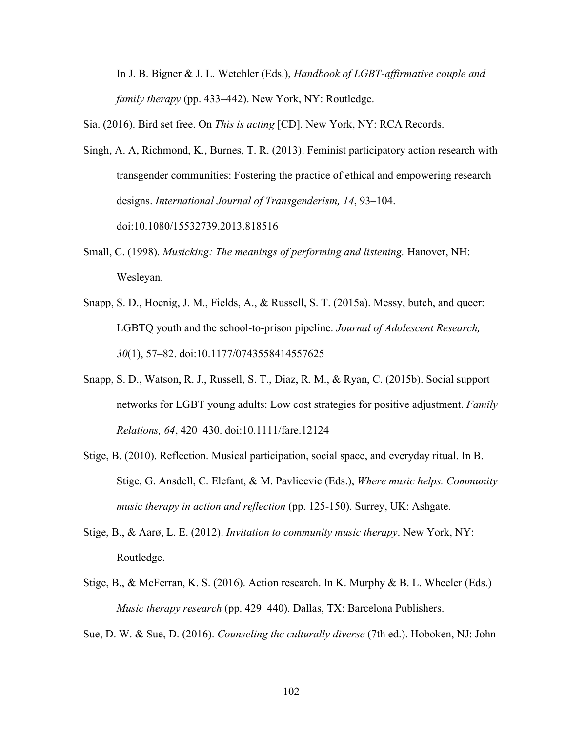In J. B. Bigner & J. L. Wetchler (Eds.), *Handbook of LGBT-affirmative couple and family therapy* (pp. 433–442). New York, NY: Routledge.

Sia. (2016). Bird set free. On *This is acting* [CD]. New York, NY: RCA Records.

- Singh, A. A, Richmond, K., Burnes, T. R. (2013). Feminist participatory action research with transgender communities: Fostering the practice of ethical and empowering research designs. *International Journal of Transgenderism, 14*, 93–104. doi:10.1080/15532739.2013.818516
- Small, C. (1998). *Musicking: The meanings of performing and listening.* Hanover, NH: Wesleyan.
- Snapp, S. D., Hoenig, J. M., Fields, A., & Russell, S. T. (2015a). Messy, butch, and queer: LGBTQ youth and the school-to-prison pipeline. *Journal of Adolescent Research, 30*(1), 57–82. doi:10.1177/0743558414557625
- Snapp, S. D., Watson, R. J., Russell, S. T., Diaz, R. M., & Ryan, C. (2015b). Social support networks for LGBT young adults: Low cost strategies for positive adjustment. *Family Relations, 64*, 420–430. doi:10.1111/fare.12124
- Stige, B. (2010). Reflection. Musical participation, social space, and everyday ritual. In B. Stige, G. Ansdell, C. Elefant, & M. Pavlicevic (Eds.), *Where music helps. Community music therapy in action and reflection* (pp. 125-150). Surrey, UK: Ashgate.
- Stige, B., & Aarø, L. E. (2012). *Invitation to community music therapy*. New York, NY: Routledge.
- Stige, B., & McFerran, K. S. (2016). Action research. In K. Murphy & B. L. Wheeler (Eds.) *Music therapy research* (pp. 429–440). Dallas, TX: Barcelona Publishers.

Sue, D. W. & Sue, D. (2016). *Counseling the culturally diverse* (7th ed.). Hoboken, NJ: John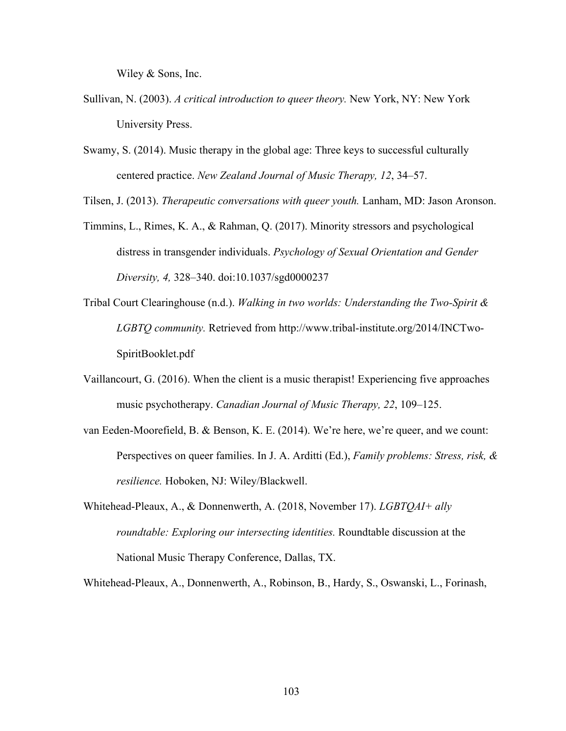Wiley & Sons, Inc.

- Sullivan, N. (2003). *A critical introduction to queer theory.* New York, NY: New York University Press.
- Swamy, S. (2014). Music therapy in the global age: Three keys to successful culturally centered practice. *New Zealand Journal of Music Therapy, 12*, 34–57.

Tilsen, J. (2013). *Therapeutic conversations with queer youth.* Lanham, MD: Jason Aronson.

- Timmins, L., Rimes, K. A., & Rahman, Q. (2017). Minority stressors and psychological distress in transgender individuals. *Psychology of Sexual Orientation and Gender Diversity, 4,* 328–340. doi:10.1037/sgd0000237
- Tribal Court Clearinghouse (n.d.). *Walking in two worlds: Understanding the Two-Spirit & LGBTQ community.* Retrieved from http://www.tribal-institute.org/2014/INCTwo-SpiritBooklet.pdf
- Vaillancourt, G. (2016). When the client is a music therapist! Experiencing five approaches music psychotherapy. *Canadian Journal of Music Therapy, 22*, 109–125.
- van Eeden-Moorefield, B. & Benson, K. E. (2014). We're here, we're queer, and we count: Perspectives on queer families. In J. A. Arditti (Ed.), *Family problems: Stress, risk, & resilience.* Hoboken, NJ: Wiley/Blackwell.
- Whitehead-Pleaux, A., & Donnenwerth, A. (2018, November 17). *LGBTQAI+ ally roundtable: Exploring our intersecting identities.* Roundtable discussion at the National Music Therapy Conference, Dallas, TX.

Whitehead-Pleaux, A., Donnenwerth, A., Robinson, B., Hardy, S., Oswanski, L., Forinash,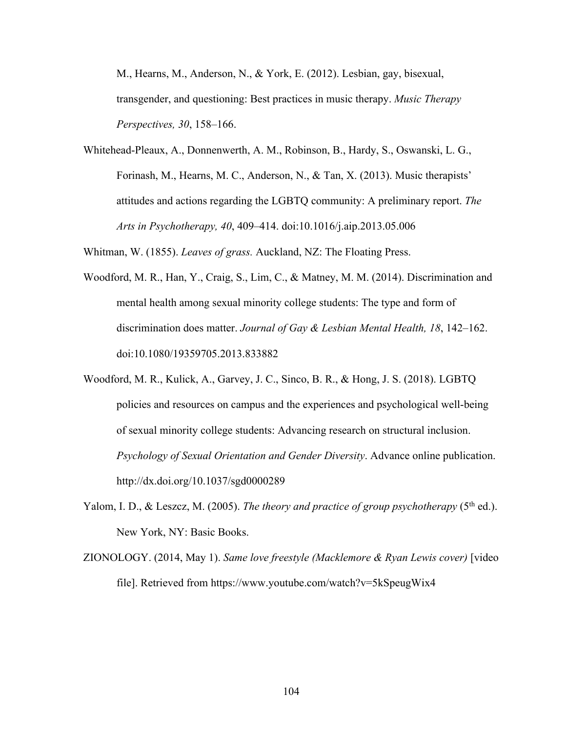M., Hearns, M., Anderson, N., & York, E. (2012). Lesbian, gay, bisexual, transgender, and questioning: Best practices in music therapy. *Music Therapy Perspectives, 30*, 158–166.

Whitehead-Pleaux, A., Donnenwerth, A. M., Robinson, B., Hardy, S., Oswanski, L. G., Forinash, M., Hearns, M. C., Anderson, N., & Tan, X. (2013). Music therapists' attitudes and actions regarding the LGBTQ community: A preliminary report. *The Arts in Psychotherapy, 40*, 409–414. doi:10.1016/j.aip.2013.05.006

Whitman, W. (1855). *Leaves of grass.* Auckland, NZ: The Floating Press.

- Woodford, M. R., Han, Y., Craig, S., Lim, C., & Matney, M. M. (2014). Discrimination and mental health among sexual minority college students: The type and form of discrimination does matter. *Journal of Gay & Lesbian Mental Health, 18*, 142–162. doi:10.1080/19359705.2013.833882
- Woodford, M. R., Kulick, A., Garvey, J. C., Sinco, B. R., & Hong, J. S. (2018). LGBTQ policies and resources on campus and the experiences and psychological well-being of sexual minority college students: Advancing research on structural inclusion. *Psychology of Sexual Orientation and Gender Diversity*. Advance online publication. http://dx.doi.org/10.1037/sgd0000289
- Yalom, I. D., & Leszcz, M. (2005). *The theory and practice of group psychotherapy* (5<sup>th</sup> ed.). New York, NY: Basic Books.
- ZIONOLOGY. (2014, May 1). *Same love freestyle (Macklemore & Ryan Lewis cover)* [video file]. Retrieved from https://www.youtube.com/watch?v=5kSpeugWix4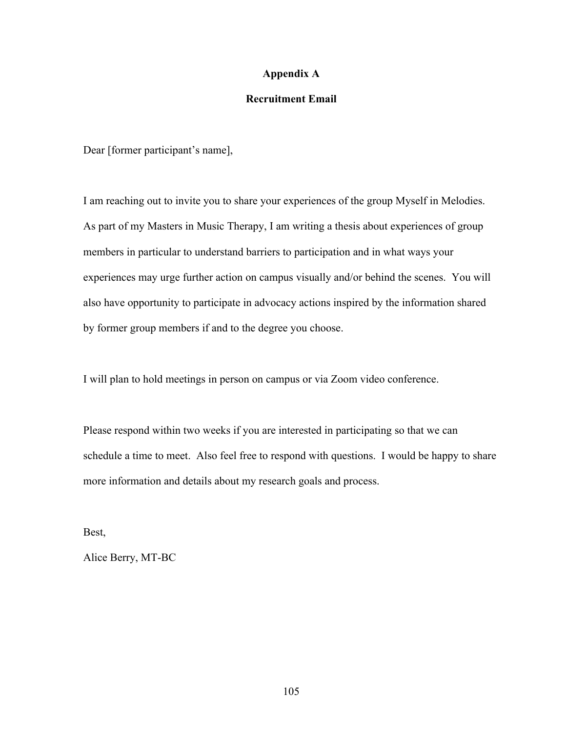### **Appendix A**

### **Recruitment Email**

Dear [former participant's name],

I am reaching out to invite you to share your experiences of the group Myself in Melodies. As part of my Masters in Music Therapy, I am writing a thesis about experiences of group members in particular to understand barriers to participation and in what ways your experiences may urge further action on campus visually and/or behind the scenes. You will also have opportunity to participate in advocacy actions inspired by the information shared by former group members if and to the degree you choose.

I will plan to hold meetings in person on campus or via Zoom video conference.

Please respond within two weeks if you are interested in participating so that we can schedule a time to meet. Also feel free to respond with questions. I would be happy to share more information and details about my research goals and process.

Best,

Alice Berry, MT-BC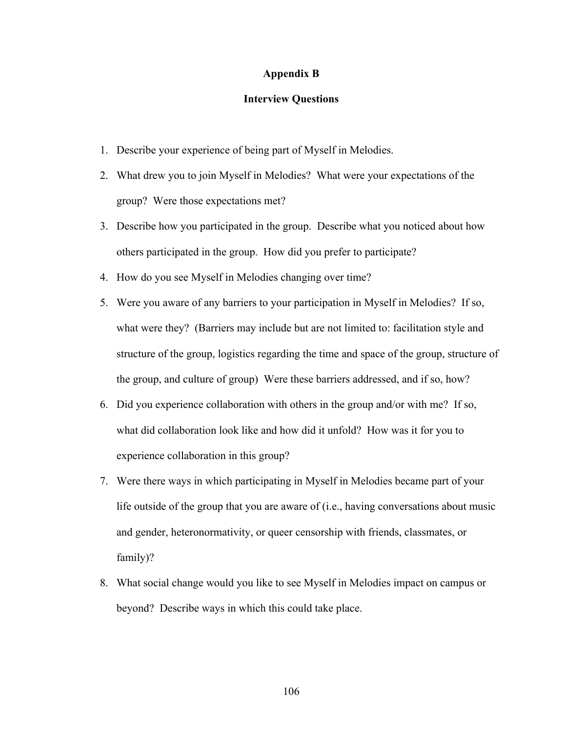### **Appendix B**

### **Interview Questions**

- 1. Describe your experience of being part of Myself in Melodies.
- 2. What drew you to join Myself in Melodies? What were your expectations of the group? Were those expectations met?
- 3. Describe how you participated in the group. Describe what you noticed about how others participated in the group. How did you prefer to participate?
- 4. How do you see Myself in Melodies changing over time?
- 5. Were you aware of any barriers to your participation in Myself in Melodies? If so, what were they? (Barriers may include but are not limited to: facilitation style and structure of the group, logistics regarding the time and space of the group, structure of the group, and culture of group) Were these barriers addressed, and if so, how?
- 6. Did you experience collaboration with others in the group and/or with me? If so, what did collaboration look like and how did it unfold? How was it for you to experience collaboration in this group?
- 7. Were there ways in which participating in Myself in Melodies became part of your life outside of the group that you are aware of (i.e., having conversations about music and gender, heteronormativity, or queer censorship with friends, classmates, or family)?
- 8. What social change would you like to see Myself in Melodies impact on campus or beyond? Describe ways in which this could take place.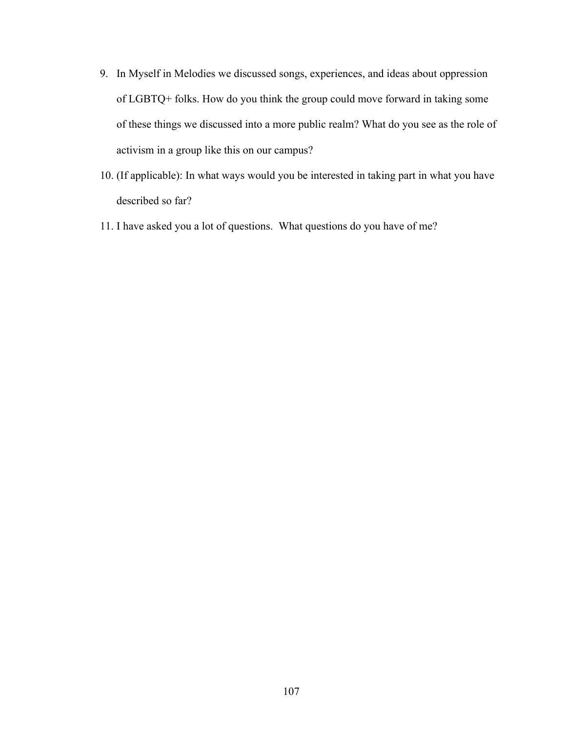- 9. In Myself in Melodies we discussed songs, experiences, and ideas about oppression of LGBTQ+ folks. How do you think the group could move forward in taking some of these things we discussed into a more public realm? What do you see as the role of activism in a group like this on our campus?
- 10. (If applicable): In what ways would you be interested in taking part in what you have described so far?
- 11. I have asked you a lot of questions. What questions do you have of me?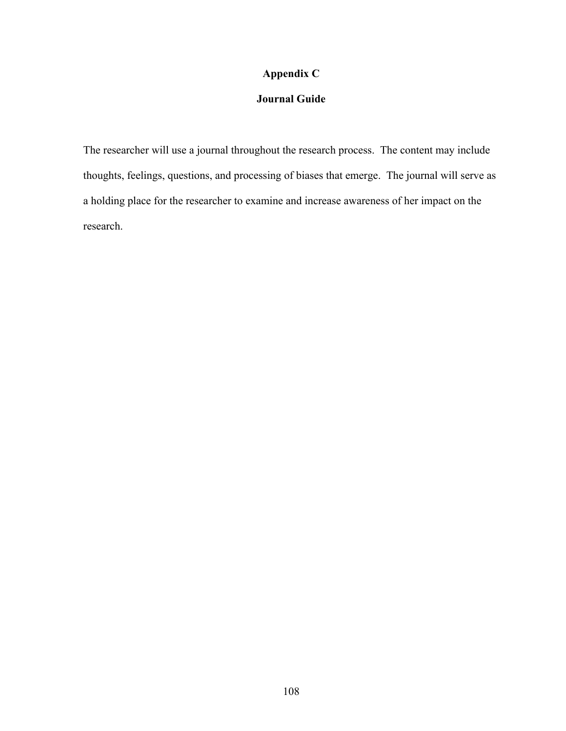## **Appendix C**

# **Journal Guide**

The researcher will use a journal throughout the research process. The content may include thoughts, feelings, questions, and processing of biases that emerge. The journal will serve as a holding place for the researcher to examine and increase awareness of her impact on the research.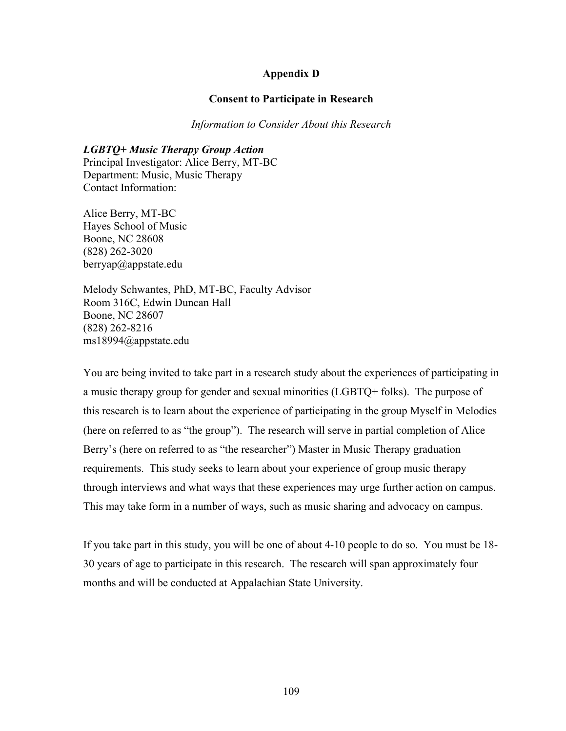### **Appendix D**

### **Consent to Participate in Research**

*Information to Consider About this Research*

*LGBTQ+ Music Therapy Group Action* Principal Investigator: Alice Berry, MT-BC Department: Music, Music Therapy Contact Information:

Alice Berry, MT-BC Hayes School of Music Boone, NC 28608 (828) 262-3020 berryap@appstate.edu

Melody Schwantes, PhD, MT-BC, Faculty Advisor Room 316C, Edwin Duncan Hall Boone, NC 28607 (828) 262-8216 ms18994@appstate.edu

You are being invited to take part in a research study about the experiences of participating in a music therapy group for gender and sexual minorities (LGBTQ+ folks). The purpose of this research is to learn about the experience of participating in the group Myself in Melodies (here on referred to as "the group"). The research will serve in partial completion of Alice Berry's (here on referred to as "the researcher") Master in Music Therapy graduation requirements. This study seeks to learn about your experience of group music therapy through interviews and what ways that these experiences may urge further action on campus. This may take form in a number of ways, such as music sharing and advocacy on campus.

If you take part in this study, you will be one of about 4-10 people to do so. You must be 18- 30 years of age to participate in this research. The research will span approximately four months and will be conducted at Appalachian State University.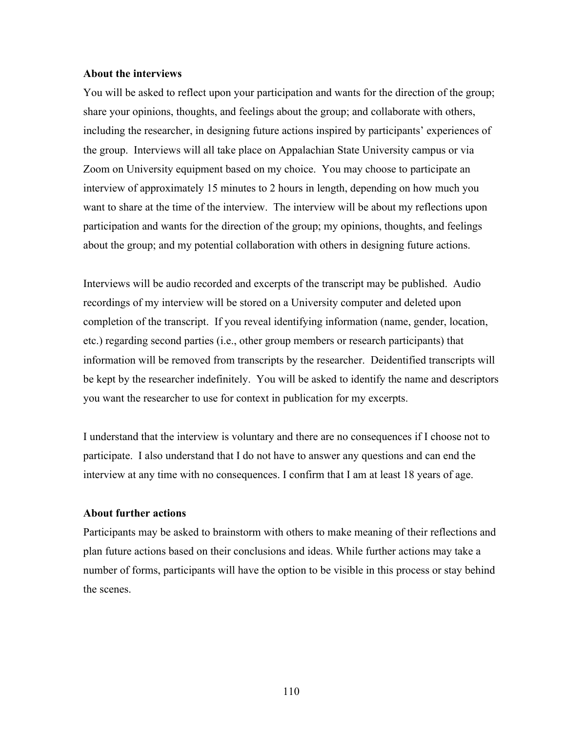#### **About the interviews**

You will be asked to reflect upon your participation and wants for the direction of the group; share your opinions, thoughts, and feelings about the group; and collaborate with others, including the researcher, in designing future actions inspired by participants' experiences of the group. Interviews will all take place on Appalachian State University campus or via Zoom on University equipment based on my choice. You may choose to participate an interview of approximately 15 minutes to 2 hours in length, depending on how much you want to share at the time of the interview. The interview will be about my reflections upon participation and wants for the direction of the group; my opinions, thoughts, and feelings about the group; and my potential collaboration with others in designing future actions.

Interviews will be audio recorded and excerpts of the transcript may be published. Audio recordings of my interview will be stored on a University computer and deleted upon completion of the transcript. If you reveal identifying information (name, gender, location, etc.) regarding second parties (i.e., other group members or research participants) that information will be removed from transcripts by the researcher. Deidentified transcripts will be kept by the researcher indefinitely. You will be asked to identify the name and descriptors you want the researcher to use for context in publication for my excerpts.

I understand that the interview is voluntary and there are no consequences if I choose not to participate. I also understand that I do not have to answer any questions and can end the interview at any time with no consequences. I confirm that I am at least 18 years of age.

### **About further actions**

Participants may be asked to brainstorm with others to make meaning of their reflections and plan future actions based on their conclusions and ideas. While further actions may take a number of forms, participants will have the option to be visible in this process or stay behind the scenes.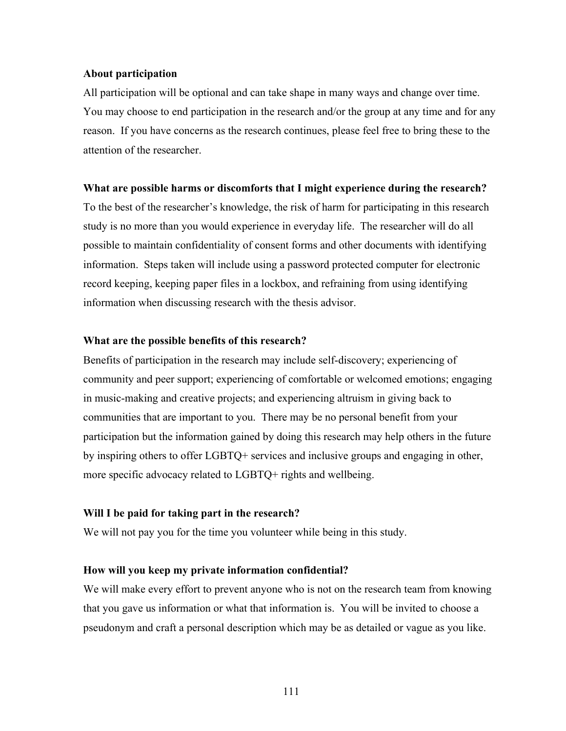#### **About participation**

All participation will be optional and can take shape in many ways and change over time. You may choose to end participation in the research and/or the group at any time and for any reason. If you have concerns as the research continues, please feel free to bring these to the attention of the researcher.

#### **What are possible harms or discomforts that I might experience during the research?**

To the best of the researcher's knowledge, the risk of harm for participating in this research study is no more than you would experience in everyday life. The researcher will do all possible to maintain confidentiality of consent forms and other documents with identifying information. Steps taken will include using a password protected computer for electronic record keeping, keeping paper files in a lockbox, and refraining from using identifying information when discussing research with the thesis advisor.

### **What are the possible benefits of this research?**

Benefits of participation in the research may include self-discovery; experiencing of community and peer support; experiencing of comfortable or welcomed emotions; engaging in music-making and creative projects; and experiencing altruism in giving back to communities that are important to you. There may be no personal benefit from your participation but the information gained by doing this research may help others in the future by inspiring others to offer LGBTQ+ services and inclusive groups and engaging in other, more specific advocacy related to LGBTQ+ rights and wellbeing.

### **Will I be paid for taking part in the research?**

We will not pay you for the time you volunteer while being in this study.

#### **How will you keep my private information confidential?**

We will make every effort to prevent anyone who is not on the research team from knowing that you gave us information or what that information is. You will be invited to choose a pseudonym and craft a personal description which may be as detailed or vague as you like.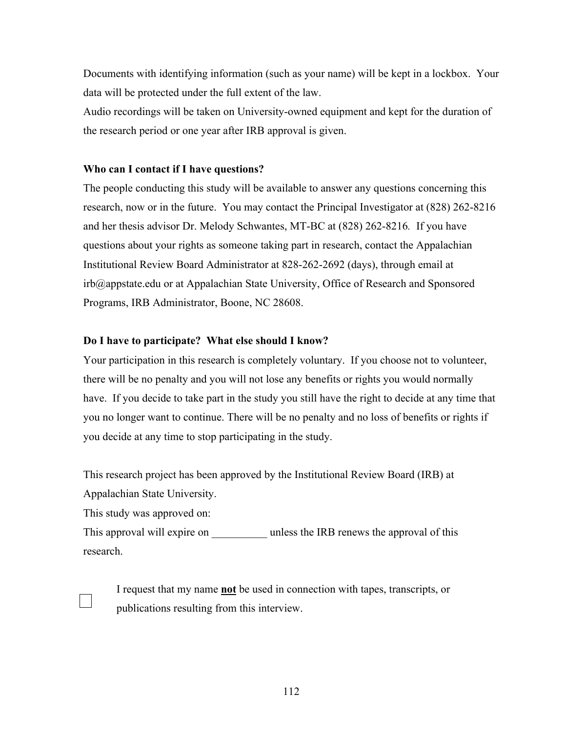Documents with identifying information (such as your name) will be kept in a lockbox. Your data will be protected under the full extent of the law.

Audio recordings will be taken on University-owned equipment and kept for the duration of the research period or one year after IRB approval is given.

### **Who can I contact if I have questions?**

The people conducting this study will be available to answer any questions concerning this research, now or in the future. You may contact the Principal Investigator at (828) 262-8216 and her thesis advisor Dr. Melody Schwantes, MT-BC at (828) 262-8216*.* If you have questions about your rights as someone taking part in research, contact the Appalachian Institutional Review Board Administrator at 828-262-2692 (days), through email at irb@appstate.edu or at Appalachian State University, Office of Research and Sponsored Programs, IRB Administrator, Boone, NC 28608.

## **Do I have to participate? What else should I know?**

Your participation in this research is completely voluntary. If you choose not to volunteer, there will be no penalty and you will not lose any benefits or rights you would normally have. If you decide to take part in the study you still have the right to decide at any time that you no longer want to continue. There will be no penalty and no loss of benefits or rights if you decide at any time to stop participating in the study.

This research project has been approved by the Institutional Review Board (IRB) at Appalachian State University.

This study was approved on:

This approval will expire on  $\qquad \qquad$  unless the IRB renews the approval of this research.

I request that my name **not** be used in connection with tapes, transcripts, or publications resulting from this interview.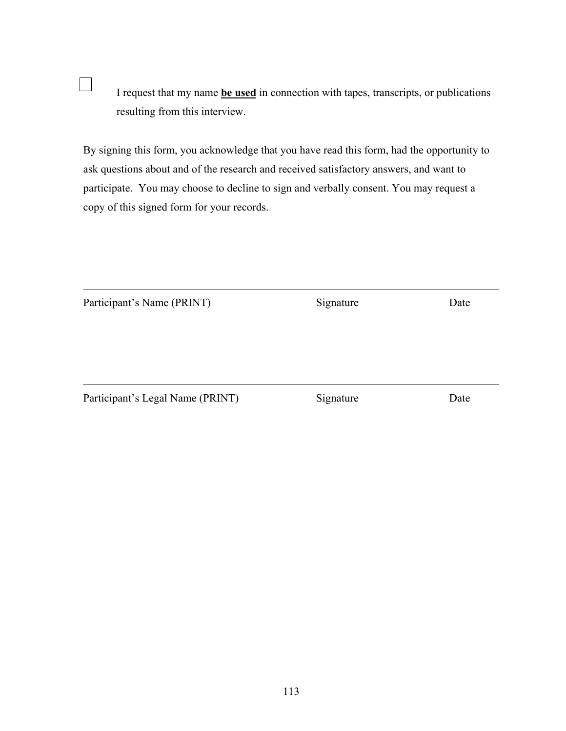I request that my name **be used** in connection with tapes, transcripts, or publications resulting from this interview.

By signing this form, you acknowledge that you have read this form, had the opportunity to ask questions about and of the research and received satisfactory answers, and want to participate. You may choose to decline to sign and verbally consent. You may request a copy of this signed form for your records.

 $\overline{\phantom{a}}$ 

| Participant's Name (PRINT)       | Signature | Date |
|----------------------------------|-----------|------|
|                                  |           |      |
|                                  |           |      |
|                                  |           |      |
| Participant's Legal Name (PRINT) | Signature | Date |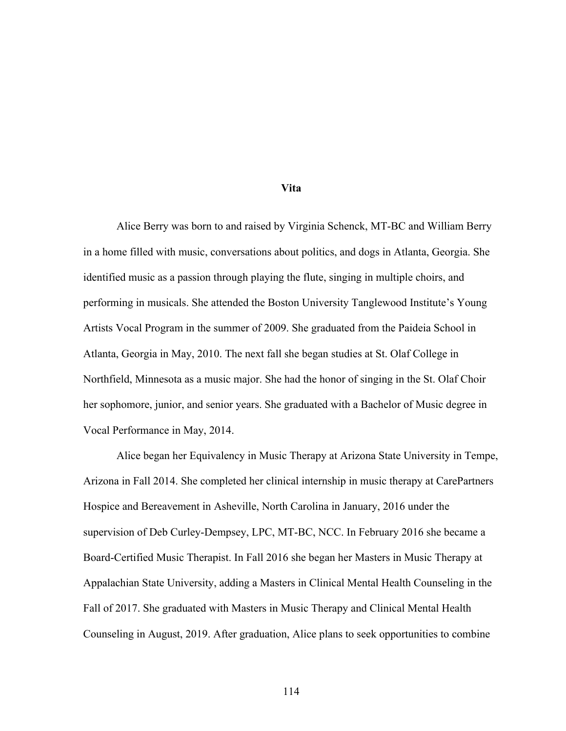#### **Vita**

Alice Berry was born to and raised by Virginia Schenck, MT-BC and William Berry in a home filled with music, conversations about politics, and dogs in Atlanta, Georgia. She identified music as a passion through playing the flute, singing in multiple choirs, and performing in musicals. She attended the Boston University Tanglewood Institute's Young Artists Vocal Program in the summer of 2009. She graduated from the Paideia School in Atlanta, Georgia in May, 2010. The next fall she began studies at St. Olaf College in Northfield, Minnesota as a music major. She had the honor of singing in the St. Olaf Choir her sophomore, junior, and senior years. She graduated with a Bachelor of Music degree in Vocal Performance in May, 2014.

Alice began her Equivalency in Music Therapy at Arizona State University in Tempe, Arizona in Fall 2014. She completed her clinical internship in music therapy at CarePartners Hospice and Bereavement in Asheville, North Carolina in January, 2016 under the supervision of Deb Curley-Dempsey, LPC, MT-BC, NCC. In February 2016 she became a Board-Certified Music Therapist. In Fall 2016 she began her Masters in Music Therapy at Appalachian State University, adding a Masters in Clinical Mental Health Counseling in the Fall of 2017. She graduated with Masters in Music Therapy and Clinical Mental Health Counseling in August, 2019. After graduation, Alice plans to seek opportunities to combine